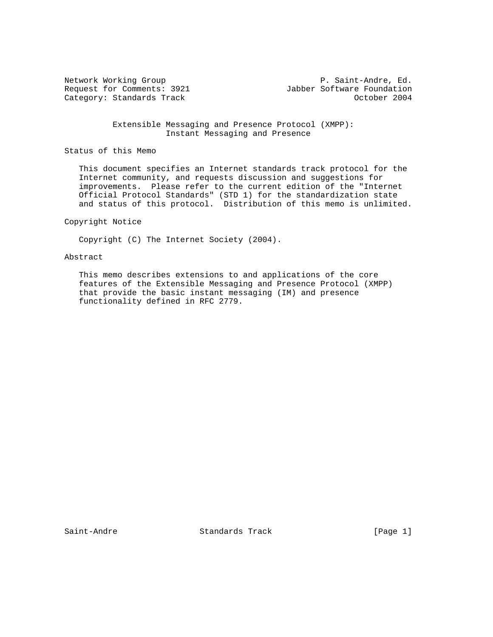Category: Standards Track

Network Working Group 1992<br>Request for Comments: 3921 1992 Jabber Software Foundation Jabber Software Foundation<br>October 2004

> Extensible Messaging and Presence Protocol (XMPP): Instant Messaging and Presence

Status of this Memo

 This document specifies an Internet standards track protocol for the Internet community, and requests discussion and suggestions for improvements. Please refer to the current edition of the "Internet Official Protocol Standards" (STD 1) for the standardization state and status of this protocol. Distribution of this memo is unlimited.

Copyright Notice

Copyright (C) The Internet Society (2004).

## Abstract

 This memo describes extensions to and applications of the core features of the Extensible Messaging and Presence Protocol (XMPP) that provide the basic instant messaging (IM) and presence functionality defined in RFC 2779.

Saint-Andre Standards Track [Page 1]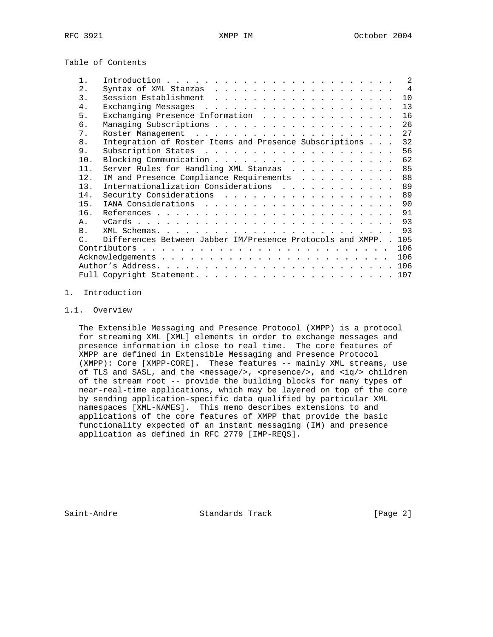Table of Contents

|                  |                                                                  | $\mathcal{L}$ |
|------------------|------------------------------------------------------------------|---------------|
| 2.               |                                                                  |               |
| $\overline{3}$ . |                                                                  | 10            |
| 4.               |                                                                  |               |
| 5.               | Exchanging Presence Information                                  | 16            |
| б.               |                                                                  | 26            |
| 7.               |                                                                  |               |
| 8.               | Integration of Roster Items and Presence Subscriptions           | 32            |
| 9.               |                                                                  | 56            |
| 10.              |                                                                  | 62            |
| 11.              | Server Rules for Handling XML Stanzas 85                         |               |
| 12.              | IM and Presence Compliance Requirements 88                       |               |
| 13.              | Internationalization Considerations 89                           |               |
| 14.              | Security Considerations 89                                       |               |
| 15.              |                                                                  |               |
| 16.              |                                                                  |               |
| $\mathsf{A}$ .   |                                                                  |               |
| B <sub>1</sub>   |                                                                  |               |
| $\cap$           | Differences Between Jabber IM/Presence Protocols and XMPP. . 105 |               |
|                  |                                                                  | 106           |
|                  |                                                                  | 106           |
|                  |                                                                  |               |
|                  |                                                                  |               |

# 1. Introduction

# 1.1. Overview

 The Extensible Messaging and Presence Protocol (XMPP) is a protocol for streaming XML [XML] elements in order to exchange messages and presence information in close to real time. The core features of XMPP are defined in Extensible Messaging and Presence Protocol (XMPP): Core [XMPP-CORE]. These features -- mainly XML streams, use of TLS and SASL, and the <message/>, <presence/>, and <iq/> ciq/> children of the stream root -- provide the building blocks for many types of near-real-time applications, which may be layered on top of the core by sending application-specific data qualified by particular XML namespaces [XML-NAMES]. This memo describes extensions to and applications of the core features of XMPP that provide the basic functionality expected of an instant messaging (IM) and presence application as defined in RFC 2779 [IMP-REQS].

Saint-Andre Standards Track [Page 2]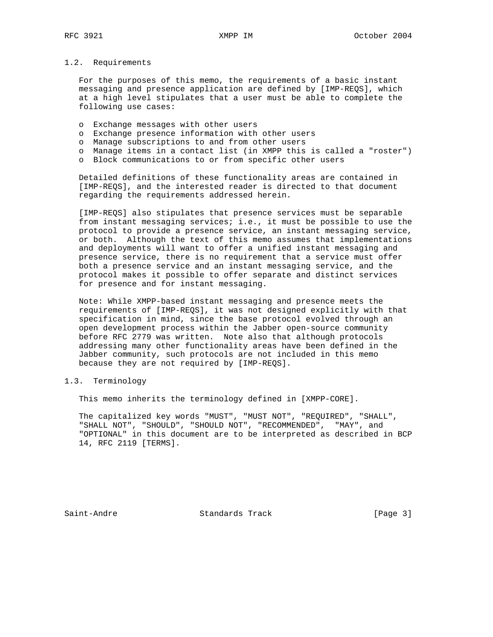## 1.2. Requirements

 For the purposes of this memo, the requirements of a basic instant messaging and presence application are defined by [IMP-REQS], which at a high level stipulates that a user must be able to complete the following use cases:

- o Exchange messages with other users
- o Exchange presence information with other users
- o Manage subscriptions to and from other users
- o Manage items in a contact list (in XMPP this is called a "roster")
- o Block communications to or from specific other users

 Detailed definitions of these functionality areas are contained in [IMP-REQS], and the interested reader is directed to that document regarding the requirements addressed herein.

 [IMP-REQS] also stipulates that presence services must be separable from instant messaging services; i.e., it must be possible to use the protocol to provide a presence service, an instant messaging service, or both. Although the text of this memo assumes that implementations and deployments will want to offer a unified instant messaging and presence service, there is no requirement that a service must offer both a presence service and an instant messaging service, and the protocol makes it possible to offer separate and distinct services for presence and for instant messaging.

 Note: While XMPP-based instant messaging and presence meets the requirements of [IMP-REQS], it was not designed explicitly with that specification in mind, since the base protocol evolved through an open development process within the Jabber open-source community before RFC 2779 was written. Note also that although protocols addressing many other functionality areas have been defined in the Jabber community, such protocols are not included in this memo because they are not required by [IMP-REQS].

# 1.3. Terminology

This memo inherits the terminology defined in [XMPP-CORE].

 The capitalized key words "MUST", "MUST NOT", "REQUIRED", "SHALL", "SHALL NOT", "SHOULD", "SHOULD NOT", "RECOMMENDED", "MAY", and "OPTIONAL" in this document are to be interpreted as described in BCP 14, RFC 2119 [TERMS].

Saint-Andre Standards Track [Page 3]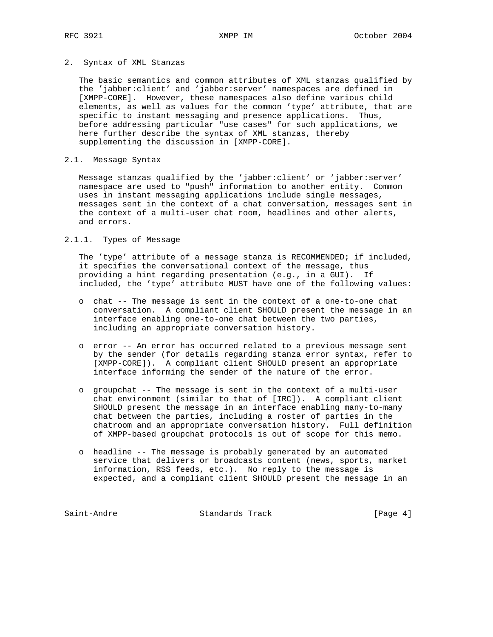#### 2. Syntax of XML Stanzas

 The basic semantics and common attributes of XML stanzas qualified by the 'jabber:client' and 'jabber:server' namespaces are defined in [XMPP-CORE]. However, these namespaces also define various child elements, as well as values for the common 'type' attribute, that are specific to instant messaging and presence applications. Thus, before addressing particular "use cases" for such applications, we here further describe the syntax of XML stanzas, thereby supplementing the discussion in [XMPP-CORE].

## 2.1. Message Syntax

 Message stanzas qualified by the 'jabber:client' or 'jabber:server' namespace are used to "push" information to another entity. Common uses in instant messaging applications include single messages, messages sent in the context of a chat conversation, messages sent in the context of a multi-user chat room, headlines and other alerts, and errors.

## 2.1.1. Types of Message

 The 'type' attribute of a message stanza is RECOMMENDED; if included, it specifies the conversational context of the message, thus providing a hint regarding presentation (e.g., in a GUI). If included, the 'type' attribute MUST have one of the following values:

- o chat -- The message is sent in the context of a one-to-one chat conversation. A compliant client SHOULD present the message in an interface enabling one-to-one chat between the two parties, including an appropriate conversation history.
- o error -- An error has occurred related to a previous message sent by the sender (for details regarding stanza error syntax, refer to [XMPP-CORE]). A compliant client SHOULD present an appropriate interface informing the sender of the nature of the error.
- o groupchat -- The message is sent in the context of a multi-user chat environment (similar to that of [IRC]). A compliant client SHOULD present the message in an interface enabling many-to-many chat between the parties, including a roster of parties in the chatroom and an appropriate conversation history. Full definition of XMPP-based groupchat protocols is out of scope for this memo.
- o headline -- The message is probably generated by an automated service that delivers or broadcasts content (news, sports, market information, RSS feeds, etc.). No reply to the message is expected, and a compliant client SHOULD present the message in an

Saint-Andre Standards Track [Page 4]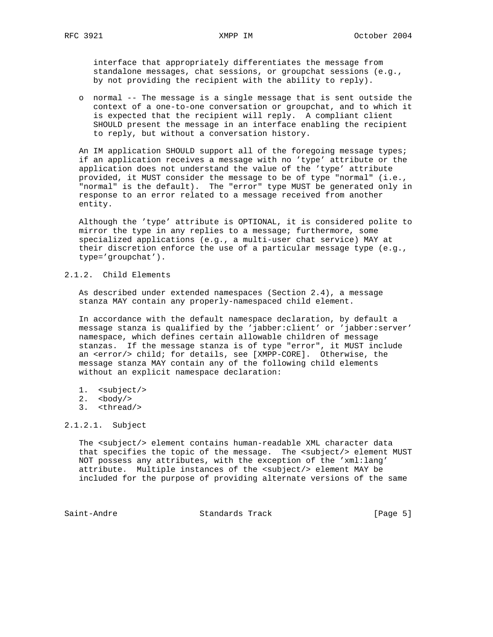interface that appropriately differentiates the message from standalone messages, chat sessions, or groupchat sessions (e.g., by not providing the recipient with the ability to reply).

 o normal -- The message is a single message that is sent outside the context of a one-to-one conversation or groupchat, and to which it is expected that the recipient will reply. A compliant client SHOULD present the message in an interface enabling the recipient to reply, but without a conversation history.

 An IM application SHOULD support all of the foregoing message types; if an application receives a message with no 'type' attribute or the application does not understand the value of the 'type' attribute provided, it MUST consider the message to be of type "normal" (i.e., "normal" is the default). The "error" type MUST be generated only in response to an error related to a message received from another entity.

 Although the 'type' attribute is OPTIONAL, it is considered polite to mirror the type in any replies to a message; furthermore, some specialized applications (e.g., a multi-user chat service) MAY at their discretion enforce the use of a particular message type (e.g., type='groupchat').

## 2.1.2. Child Elements

 As described under extended namespaces (Section 2.4), a message stanza MAY contain any properly-namespaced child element.

 In accordance with the default namespace declaration, by default a message stanza is qualified by the 'jabber:client' or 'jabber:server' namespace, which defines certain allowable children of message stanzas. If the message stanza is of type "error", it MUST include an <error/> child; for details, see [XMPP-CORE]. Otherwise, the message stanza MAY contain any of the following child elements without an explicit namespace declaration:

- 1. <subject/>
- $2. <$   $<$ body/ $>$ 
	- 3. <thread/>

## 2.1.2.1. Subject

 The <subject/> element contains human-readable XML character data that specifies the topic of the message. The <subject/> element MUST NOT possess any attributes, with the exception of the 'xml:lang' attribute. Multiple instances of the <subject/> element MAY be included for the purpose of providing alternate versions of the same

Saint-Andre Standards Track [Page 5]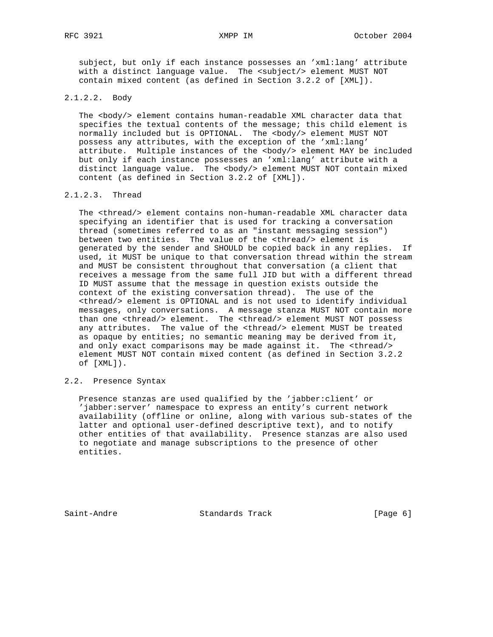subject, but only if each instance possesses an 'xml:lang' attribute with a distinct language value. The <subject/> element MUST NOT contain mixed content (as defined in Section 3.2.2 of [XML]).

#### 2.1.2.2. Body

The <body/> element contains human-readable XML character data that specifies the textual contents of the message; this child element is normally included but is OPTIONAL. The <body/> element MUST NOT possess any attributes, with the exception of the 'xml:lang' attribute. Multiple instances of the <body/> element MAY be included but only if each instance possesses an 'xml:lang' attribute with a distinct language value. The <body/> element MUST NOT contain mixed content (as defined in Section 3.2.2 of [XML]).

#### 2.1.2.3. Thread

 The <thread/> element contains non-human-readable XML character data specifying an identifier that is used for tracking a conversation thread (sometimes referred to as an "instant messaging session") between two entities. The value of the <thread/> element is generated by the sender and SHOULD be copied back in any replies. If used, it MUST be unique to that conversation thread within the stream and MUST be consistent throughout that conversation (a client that receives a message from the same full JID but with a different thread ID MUST assume that the message in question exists outside the context of the existing conversation thread). The use of the <thread/> element is OPTIONAL and is not used to identify individual messages, only conversations. A message stanza MUST NOT contain more than one <thread/> element. The <thread/> element MUST NOT possess any attributes. The value of the <thread/> element MUST be treated as opaque by entities; no semantic meaning may be derived from it, and only exact comparisons may be made against it. The <thread/> element MUST NOT contain mixed content (as defined in Section 3.2.2 of [XML]).

#### 2.2. Presence Syntax

 Presence stanzas are used qualified by the 'jabber:client' or 'jabber:server' namespace to express an entity's current network availability (offline or online, along with various sub-states of the latter and optional user-defined descriptive text), and to notify other entities of that availability. Presence stanzas are also used to negotiate and manage subscriptions to the presence of other entities.

Saint-Andre Standards Track [Page 6]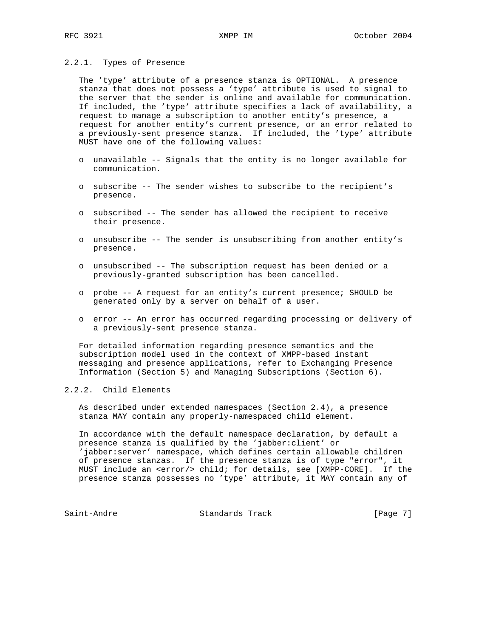#### 2.2.1. Types of Presence

 The 'type' attribute of a presence stanza is OPTIONAL. A presence stanza that does not possess a 'type' attribute is used to signal to the server that the sender is online and available for communication. If included, the 'type' attribute specifies a lack of availability, a request to manage a subscription to another entity's presence, a request for another entity's current presence, or an error related to a previously-sent presence stanza. If included, the 'type' attribute MUST have one of the following values:

- o unavailable -- Signals that the entity is no longer available for communication.
- o subscribe -- The sender wishes to subscribe to the recipient's presence.
- o subscribed -- The sender has allowed the recipient to receive their presence.
- o unsubscribe -- The sender is unsubscribing from another entity's presence.
- o unsubscribed -- The subscription request has been denied or a previously-granted subscription has been cancelled.
- o probe -- A request for an entity's current presence; SHOULD be generated only by a server on behalf of a user.
- o error -- An error has occurred regarding processing or delivery of a previously-sent presence stanza.

 For detailed information regarding presence semantics and the subscription model used in the context of XMPP-based instant messaging and presence applications, refer to Exchanging Presence Information (Section 5) and Managing Subscriptions (Section 6).

#### 2.2.2. Child Elements

 As described under extended namespaces (Section 2.4), a presence stanza MAY contain any properly-namespaced child element.

 In accordance with the default namespace declaration, by default a presence stanza is qualified by the 'jabber:client' or 'jabber:server' namespace, which defines certain allowable children of presence stanzas. If the presence stanza is of type "error", it MUST include an <error/> child; for details, see [XMPP-CORE]. If the presence stanza possesses no 'type' attribute, it MAY contain any of

Saint-Andre Standards Track [Page 7]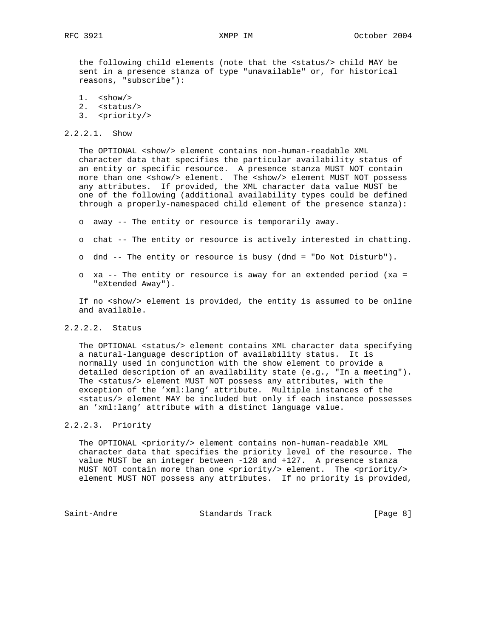the following child elements (note that the <status/> child MAY be sent in a presence stanza of type "unavailable" or, for historical reasons, "subscribe"):

- $1.$   $$\mbox{\sc$\simeq$}$  show/> 2. <status/>
- 3. <priority/>

#### 2.2.2.1. Show

 The OPTIONAL <show/> element contains non-human-readable XML character data that specifies the particular availability status of an entity or specific resource. A presence stanza MUST NOT contain more than one <show/> element. The <show/> element MUST NOT possess any attributes. If provided, the XML character data value MUST be one of the following (additional availability types could be defined through a properly-namespaced child element of the presence stanza):

- o away -- The entity or resource is temporarily away.
- o chat -- The entity or resource is actively interested in chatting.
- o dnd -- The entity or resource is busy (dnd = "Do Not Disturb").
- o xa -- The entity or resource is away for an extended period (xa = "eXtended Away").

If no <show/> element is provided, the entity is assumed to be online and available.

#### 2.2.2.2. Status

 The OPTIONAL <status/> element contains XML character data specifying a natural-language description of availability status. It is normally used in conjunction with the show element to provide a detailed description of an availability state (e.g., "In a meeting"). The <status/> element MUST NOT possess any attributes, with the exception of the 'xml:lang' attribute. Multiple instances of the <status/> element MAY be included but only if each instance possesses an 'xml:lang' attribute with a distinct language value.

## 2.2.2.3. Priority

 The OPTIONAL <priority/> element contains non-human-readable XML character data that specifies the priority level of the resource. The value MUST be an integer between -128 and +127. A presence stanza MUST NOT contain more than one <priority/> element. The <priority/> element MUST NOT possess any attributes. If no priority is provided,

Saint-Andre Standards Track [Page 8]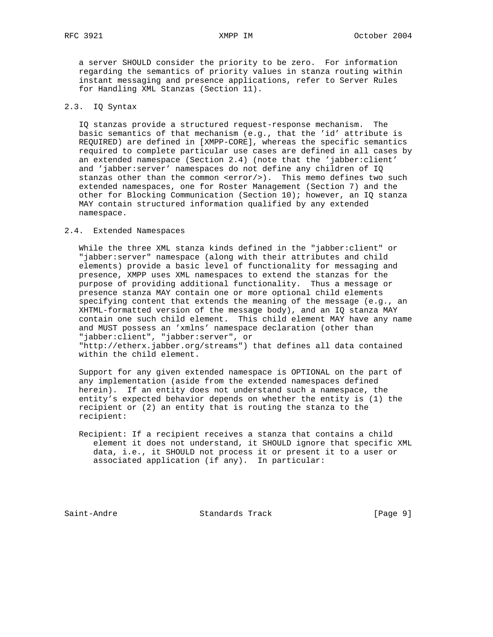a server SHOULD consider the priority to be zero. For information regarding the semantics of priority values in stanza routing within instant messaging and presence applications, refer to Server Rules for Handling XML Stanzas (Section 11).

## 2.3. IQ Syntax

 IQ stanzas provide a structured request-response mechanism. The basic semantics of that mechanism (e.g., that the 'id' attribute is REQUIRED) are defined in [XMPP-CORE], whereas the specific semantics required to complete particular use cases are defined in all cases by an extended namespace (Section 2.4) (note that the 'jabber:client' and 'jabber:server' namespaces do not define any children of IQ stanzas other than the common <error/>). This memo defines two such extended namespaces, one for Roster Management (Section 7) and the other for Blocking Communication (Section 10); however, an IQ stanza MAY contain structured information qualified by any extended namespace.

#### 2.4. Extended Namespaces

 While the three XML stanza kinds defined in the "jabber:client" or "jabber:server" namespace (along with their attributes and child elements) provide a basic level of functionality for messaging and presence, XMPP uses XML namespaces to extend the stanzas for the purpose of providing additional functionality. Thus a message or presence stanza MAY contain one or more optional child elements specifying content that extends the meaning of the message (e.g., an XHTML-formatted version of the message body), and an IQ stanza MAY contain one such child element. This child element MAY have any name and MUST possess an 'xmlns' namespace declaration (other than "jabber:client", "jabber:server", or "http://etherx.jabber.org/streams") that defines all data contained within the child element.

 Support for any given extended namespace is OPTIONAL on the part of any implementation (aside from the extended namespaces defined herein). If an entity does not understand such a namespace, the entity's expected behavior depends on whether the entity is (1) the recipient or (2) an entity that is routing the stanza to the recipient:

 Recipient: If a recipient receives a stanza that contains a child element it does not understand, it SHOULD ignore that specific XML data, i.e., it SHOULD not process it or present it to a user or associated application (if any). In particular:

Saint-Andre Standards Track [Page 9]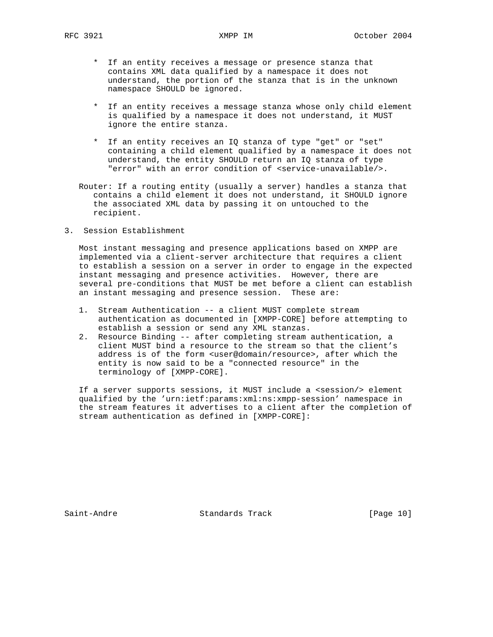- \* If an entity receives a message or presence stanza that contains XML data qualified by a namespace it does not understand, the portion of the stanza that is in the unknown namespace SHOULD be ignored.
- \* If an entity receives a message stanza whose only child element is qualified by a namespace it does not understand, it MUST ignore the entire stanza.
- \* If an entity receives an IQ stanza of type "get" or "set" containing a child element qualified by a namespace it does not understand, the entity SHOULD return an IQ stanza of type "error" with an error condition of <service-unavailable/>.
- Router: If a routing entity (usually a server) handles a stanza that contains a child element it does not understand, it SHOULD ignore the associated XML data by passing it on untouched to the recipient.
- 3. Session Establishment

 Most instant messaging and presence applications based on XMPP are implemented via a client-server architecture that requires a client to establish a session on a server in order to engage in the expected instant messaging and presence activities. However, there are several pre-conditions that MUST be met before a client can establish an instant messaging and presence session. These are:

- 1. Stream Authentication -- a client MUST complete stream authentication as documented in [XMPP-CORE] before attempting to establish a session or send any XML stanzas.
- 2. Resource Binding -- after completing stream authentication, a client MUST bind a resource to the stream so that the client's address is of the form <user@domain/resource>, after which the entity is now said to be a "connected resource" in the terminology of [XMPP-CORE].

If a server supports sessions, it MUST include a <session/> element qualified by the 'urn:ietf:params:xml:ns:xmpp-session' namespace in the stream features it advertises to a client after the completion of stream authentication as defined in [XMPP-CORE]:

Saint-Andre Standards Track [Page 10]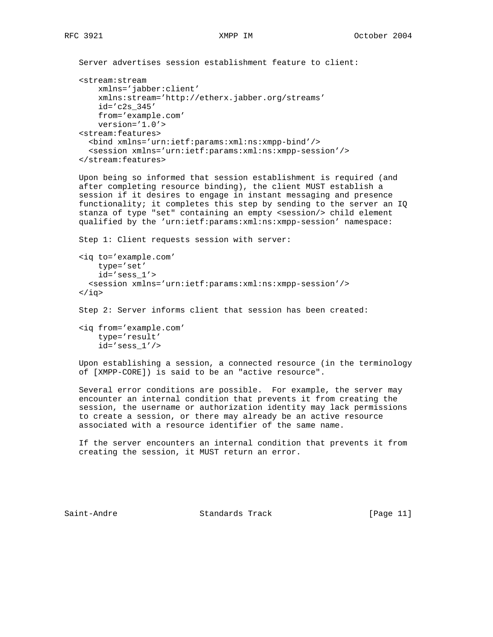```
 Server advertises session establishment feature to client:
```

```
 <stream:stream
    xmlns='jabber:client'
    xmlns:stream='http://etherx.jabber.org/streams'
    id='c2s_345'
    from='example.com'
    version='1.0'>
 <stream:features>
   <bind xmlns='urn:ietf:params:xml:ns:xmpp-bind'/>
   <session xmlns='urn:ietf:params:xml:ns:xmpp-session'/>
 </stream:features>
```
 Upon being so informed that session establishment is required (and after completing resource binding), the client MUST establish a session if it desires to engage in instant messaging and presence functionality; it completes this step by sending to the server an IQ stanza of type "set" containing an empty <session/> child element qualified by the 'urn:ietf:params:xml:ns:xmpp-session' namespace:

```
 Step 1: Client requests session with server:
 <iq to='example.com'
     type='set'
     id='sess_1'>
   <session xmlns='urn:ietf:params:xml:ns:xmpp-session'/>
\langleiq>
 Step 2: Server informs client that session has been created:
```
 <iq from='example.com' type='result' id='sess\_1'/>

 Upon establishing a session, a connected resource (in the terminology of [XMPP-CORE]) is said to be an "active resource".

 Several error conditions are possible. For example, the server may encounter an internal condition that prevents it from creating the session, the username or authorization identity may lack permissions to create a session, or there may already be an active resource associated with a resource identifier of the same name.

 If the server encounters an internal condition that prevents it from creating the session, it MUST return an error.

Saint-Andre Standards Track [Page 11]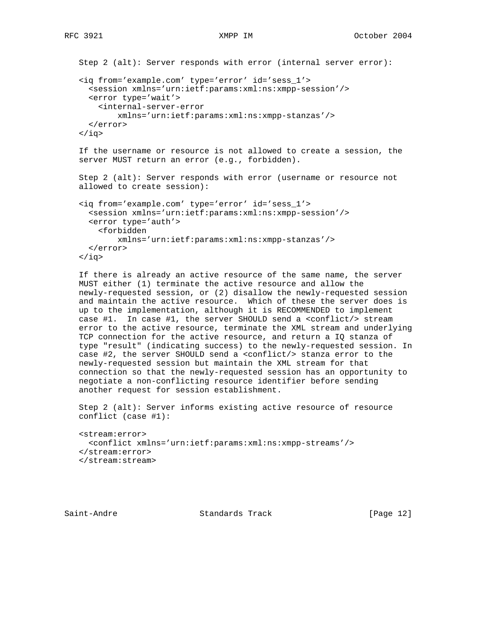```
 Step 2 (alt): Server responds with error (internal server error):
 <iq from='example.com' type='error' id='sess_1'>
   <session xmlns='urn:ietf:params:xml:ns:xmpp-session'/>
   <error type='wait'>
     <internal-server-error
         xmlns='urn:ietf:params:xml:ns:xmpp-stanzas'/>
   </error>
\langleiq>
 If the username or resource is not allowed to create a session, the
 server MUST return an error (e.g., forbidden).
 Step 2 (alt): Server responds with error (username or resource not
 allowed to create session):
 <iq from='example.com' type='error' id='sess_1'>
   <session xmlns='urn:ietf:params:xml:ns:xmpp-session'/>
  <error type='auth'>
    <forbidden
         xmlns='urn:ietf:params:xml:ns:xmpp-stanzas'/>
  </error>
```
 $\langle$ iq>

 If there is already an active resource of the same name, the server MUST either (1) terminate the active resource and allow the newly-requested session, or (2) disallow the newly-requested session and maintain the active resource. Which of these the server does is up to the implementation, although it is RECOMMENDED to implement case #1. In case #1, the server SHOULD send a <conflict/> stream error to the active resource, terminate the XML stream and underlying TCP connection for the active resource, and return a IQ stanza of type "result" (indicating success) to the newly-requested session. In case #2, the server SHOULD send a <conflict/> stanza error to the newly-requested session but maintain the XML stream for that connection so that the newly-requested session has an opportunity to negotiate a non-conflicting resource identifier before sending another request for session establishment.

 Step 2 (alt): Server informs existing active resource of resource conflict (case #1):

```
 <stream:error>
  <conflict xmlns='urn:ietf:params:xml:ns:xmpp-streams'/>
 </stream:error>
 </stream:stream>
```
Saint-Andre Standards Track [Page 12]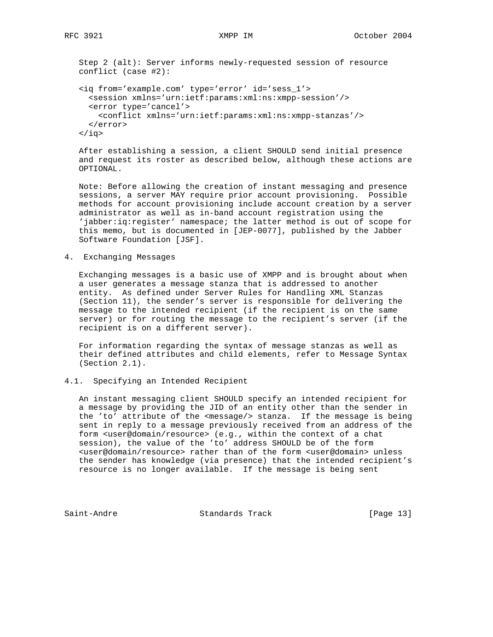Step 2 (alt): Server informs newly-requested session of resource conflict (case #2):

```
 <iq from='example.com' type='error' id='sess_1'>
   <session xmlns='urn:ietf:params:xml:ns:xmpp-session'/>
   <error type='cancel'>
     <conflict xmlns='urn:ietf:params:xml:ns:xmpp-stanzas'/>
   </error>
\langleiq>
```
 After establishing a session, a client SHOULD send initial presence and request its roster as described below, although these actions are OPTIONAL.

 Note: Before allowing the creation of instant messaging and presence sessions, a server MAY require prior account provisioning. Possible methods for account provisioning include account creation by a server administrator as well as in-band account registration using the 'jabber:iq:register' namespace; the latter method is out of scope for this memo, but is documented in [JEP-0077], published by the Jabber Software Foundation [JSF].

4. Exchanging Messages

 Exchanging messages is a basic use of XMPP and is brought about when a user generates a message stanza that is addressed to another entity. As defined under Server Rules for Handling XML Stanzas (Section 11), the sender's server is responsible for delivering the message to the intended recipient (if the recipient is on the same server) or for routing the message to the recipient's server (if the recipient is on a different server).

 For information regarding the syntax of message stanzas as well as their defined attributes and child elements, refer to Message Syntax (Section 2.1).

4.1. Specifying an Intended Recipient

 An instant messaging client SHOULD specify an intended recipient for a message by providing the JID of an entity other than the sender in the 'to' attribute of the <message/> stanza. If the message is being sent in reply to a message previously received from an address of the form <user@domain/resource> (e.g., within the context of a chat session), the value of the 'to' address SHOULD be of the form <user@domain/resource> rather than of the form <user@domain> unless the sender has knowledge (via presence) that the intended recipient's resource is no longer available. If the message is being sent

Saint-Andre Standards Track [Page 13]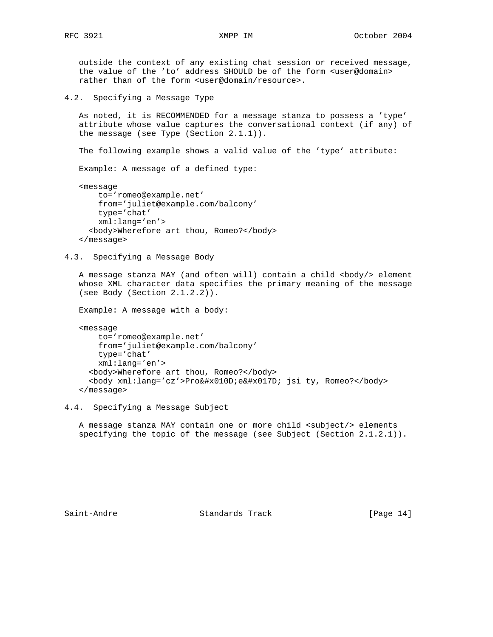outside the context of any existing chat session or received message, the value of the 'to' address SHOULD be of the form <user@domain> rather than of the form <user@domain/resource>.

4.2. Specifying a Message Type

 As noted, it is RECOMMENDED for a message stanza to possess a 'type' attribute whose value captures the conversational context (if any) of the message (see Type (Section 2.1.1)).

The following example shows a valid value of the 'type' attribute:

Example: A message of a defined type:

 <message to='romeo@example.net' from='juliet@example.com/balcony' type='chat' xml:lang='en'> <body>Wherefore art thou, Romeo?</body> </message>

4.3. Specifying a Message Body

A message stanza MAY (and often will) contain a child <body/> element whose XML character data specifies the primary meaning of the message (see Body (Section 2.1.2.2)).

Example: A message with a body:

```
 <message
    to='romeo@example.net'
    from='juliet@example.com/balcony'
    type='chat'
    xml:lang='en'>
   <body>Wherefore art thou, Romeo?</body>
  <body xml:lang='cz'>Pro&#x010D;e&#x017D; jsi ty, Romeo?</body>
 </message>
```
4.4. Specifying a Message Subject

 A message stanza MAY contain one or more child <subject/> elements specifying the topic of the message (see Subject (Section 2.1.2.1)).

Saint-Andre Standards Track [Page 14]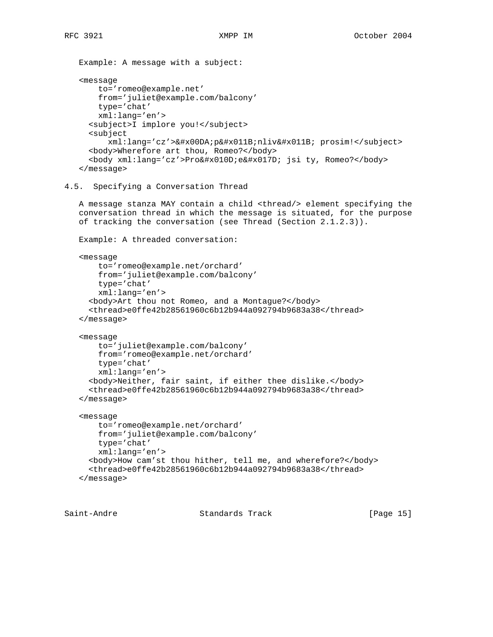```
 Example: A message with a subject:
    <message
       to='romeo@example.net'
       from='juliet@example.com/balcony'
       type='chat'
       xml:lang='en'>
      <subject>I implore you!</subject>
      <subject
         xml:lang='cz'>Úpěnlivě prosim!</subject>
      <body>Wherefore art thou, Romeo?</body>
     <body xml:lang='cz'>Pro&#x010D;e&#x017D; jsi ty, Romeo?</body>
    </message>
4.5. Specifying a Conversation Thread
   A message stanza MAY contain a child <thread/> element specifying the
    conversation thread in which the message is situated, for the purpose
   of tracking the conversation (see Thread (Section 2.1.2.3)).
    Example: A threaded conversation:
    <message
       to='romeo@example.net/orchard'
       from='juliet@example.com/balcony'
       type='chat'
       xml:lang='en'>
      <body>Art thou not Romeo, and a Montague?</body>
      <thread>e0ffe42b28561960c6b12b944a092794b9683a38</thread>
    </message>
    <message
       to='juliet@example.com/balcony'
       from='romeo@example.net/orchard'
       type='chat'
       xml:lang='en'>
      <body>Neither, fair saint, if either thee dislike.</body>
      <thread>e0ffe42b28561960c6b12b944a092794b9683a38</thread>
    </message>
    <message
       to='romeo@example.net/orchard'
       from='juliet@example.com/balcony'
       type='chat'
       xml:lang='en'>
      <body>How cam'st thou hither, tell me, and wherefore?</body>
      <thread>e0ffe42b28561960c6b12b944a092794b9683a38</thread>
    </message>
```
Saint-Andre Standards Track [Page 15]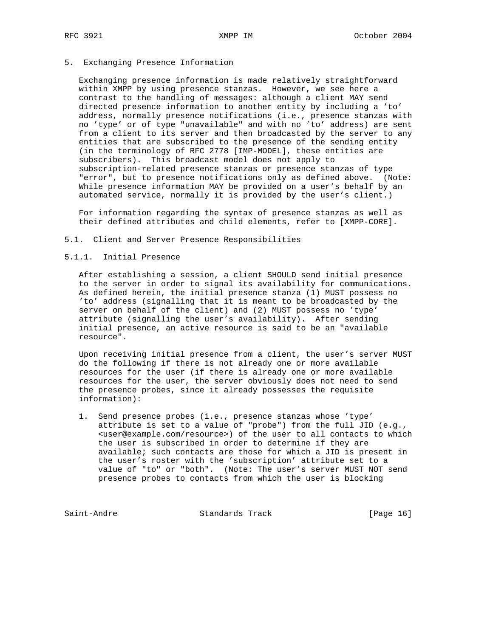5. Exchanging Presence Information

 Exchanging presence information is made relatively straightforward within XMPP by using presence stanzas. However, we see here a contrast to the handling of messages: although a client MAY send directed presence information to another entity by including a 'to' address, normally presence notifications (i.e., presence stanzas with no 'type' or of type "unavailable" and with no 'to' address) are sent from a client to its server and then broadcasted by the server to any entities that are subscribed to the presence of the sending entity (in the terminology of RFC 2778 [IMP-MODEL], these entities are subscribers). This broadcast model does not apply to subscription-related presence stanzas or presence stanzas of type "error", but to presence notifications only as defined above. (Note: While presence information MAY be provided on a user's behalf by an automated service, normally it is provided by the user's client.)

 For information regarding the syntax of presence stanzas as well as their defined attributes and child elements, refer to [XMPP-CORE].

5.1. Client and Server Presence Responsibilities

#### 5.1.1. Initial Presence

 After establishing a session, a client SHOULD send initial presence to the server in order to signal its availability for communications. As defined herein, the initial presence stanza (1) MUST possess no 'to' address (signalling that it is meant to be broadcasted by the server on behalf of the client) and (2) MUST possess no 'type' attribute (signalling the user's availability). After sending initial presence, an active resource is said to be an "available resource".

 Upon receiving initial presence from a client, the user's server MUST do the following if there is not already one or more available resources for the user (if there is already one or more available resources for the user, the server obviously does not need to send the presence probes, since it already possesses the requisite information):

 1. Send presence probes (i.e., presence stanzas whose 'type' attribute is set to a value of "probe") from the full JID (e.g., <user@example.com/resource>) of the user to all contacts to which the user is subscribed in order to determine if they are available; such contacts are those for which a JID is present in the user's roster with the 'subscription' attribute set to a value of "to" or "both". (Note: The user's server MUST NOT send presence probes to contacts from which the user is blocking

Saint-Andre Standards Track [Page 16]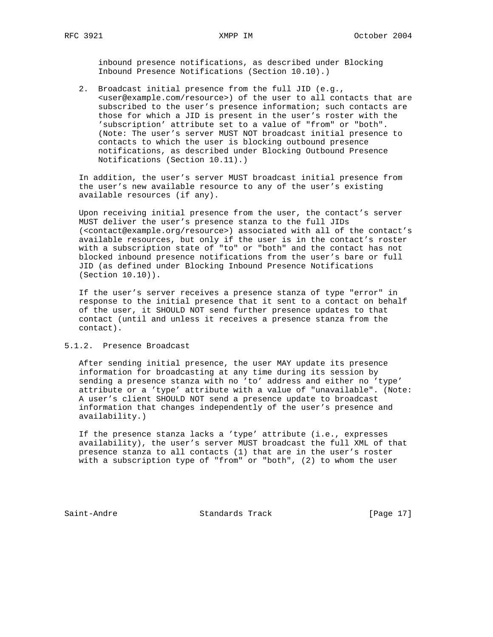inbound presence notifications, as described under Blocking Inbound Presence Notifications (Section 10.10).)

 2. Broadcast initial presence from the full JID (e.g., <user@example.com/resource>) of the user to all contacts that are subscribed to the user's presence information; such contacts are those for which a JID is present in the user's roster with the 'subscription' attribute set to a value of "from" or "both". (Note: The user's server MUST NOT broadcast initial presence to contacts to which the user is blocking outbound presence notifications, as described under Blocking Outbound Presence Notifications (Section 10.11).)

 In addition, the user's server MUST broadcast initial presence from the user's new available resource to any of the user's existing available resources (if any).

 Upon receiving initial presence from the user, the contact's server MUST deliver the user's presence stanza to the full JIDs (<contact@example.org/resource>) associated with all of the contact's available resources, but only if the user is in the contact's roster with a subscription state of "to" or "both" and the contact has not blocked inbound presence notifications from the user's bare or full JID (as defined under Blocking Inbound Presence Notifications (Section 10.10)).

 If the user's server receives a presence stanza of type "error" in response to the initial presence that it sent to a contact on behalf of the user, it SHOULD NOT send further presence updates to that contact (until and unless it receives a presence stanza from the contact).

## 5.1.2. Presence Broadcast

 After sending initial presence, the user MAY update its presence information for broadcasting at any time during its session by sending a presence stanza with no 'to' address and either no 'type' attribute or a 'type' attribute with a value of "unavailable". (Note: A user's client SHOULD NOT send a presence update to broadcast information that changes independently of the user's presence and availability.)

 If the presence stanza lacks a 'type' attribute (i.e., expresses availability), the user's server MUST broadcast the full XML of that presence stanza to all contacts (1) that are in the user's roster with a subscription type of "from" or "both", (2) to whom the user

Saint-Andre Standards Track [Page 17]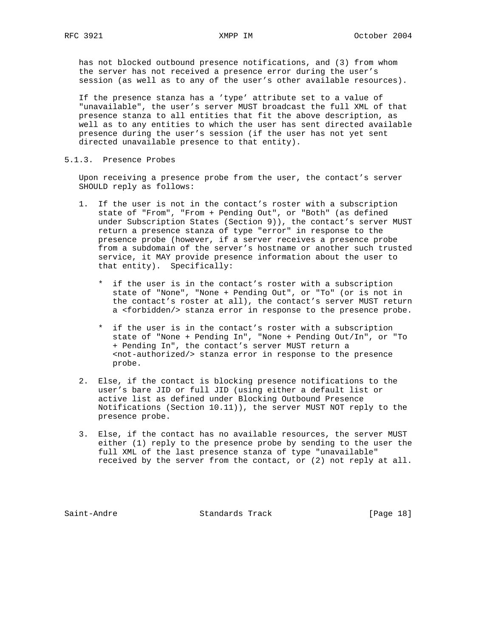has not blocked outbound presence notifications, and (3) from whom the server has not received a presence error during the user's session (as well as to any of the user's other available resources).

 If the presence stanza has a 'type' attribute set to a value of "unavailable", the user's server MUST broadcast the full XML of that presence stanza to all entities that fit the above description, as well as to any entities to which the user has sent directed available presence during the user's session (if the user has not yet sent directed unavailable presence to that entity).

5.1.3. Presence Probes

 Upon receiving a presence probe from the user, the contact's server SHOULD reply as follows:

- 1. If the user is not in the contact's roster with a subscription state of "From", "From + Pending Out", or "Both" (as defined under Subscription States (Section 9)), the contact's server MUST return a presence stanza of type "error" in response to the presence probe (however, if a server receives a presence probe from a subdomain of the server's hostname or another such trusted service, it MAY provide presence information about the user to that entity). Specifically:
	- \* if the user is in the contact's roster with a subscription state of "None", "None + Pending Out", or "To" (or is not in the contact's roster at all), the contact's server MUST return a <forbidden/> stanza error in response to the presence probe.
	- \* if the user is in the contact's roster with a subscription state of "None + Pending In", "None + Pending Out/In", or "To + Pending In", the contact's server MUST return a <not-authorized/> stanza error in response to the presence probe.
- 2. Else, if the contact is blocking presence notifications to the user's bare JID or full JID (using either a default list or active list as defined under Blocking Outbound Presence Notifications (Section 10.11)), the server MUST NOT reply to the presence probe.
- 3. Else, if the contact has no available resources, the server MUST either (1) reply to the presence probe by sending to the user the full XML of the last presence stanza of type "unavailable" received by the server from the contact, or (2) not reply at all.

Saint-Andre Standards Track [Page 18]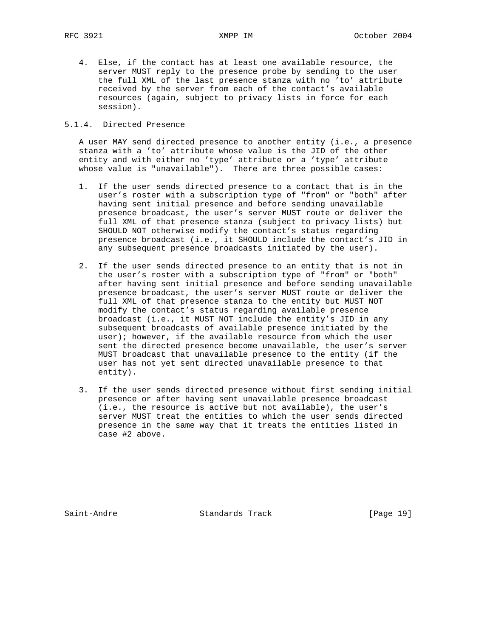4. Else, if the contact has at least one available resource, the server MUST reply to the presence probe by sending to the user the full XML of the last presence stanza with no 'to' attribute received by the server from each of the contact's available resources (again, subject to privacy lists in force for each session).

#### 5.1.4. Directed Presence

 A user MAY send directed presence to another entity (i.e., a presence stanza with a 'to' attribute whose value is the JID of the other entity and with either no 'type' attribute or a 'type' attribute whose value is "unavailable"). There are three possible cases:

- 1. If the user sends directed presence to a contact that is in the user's roster with a subscription type of "from" or "both" after having sent initial presence and before sending unavailable presence broadcast, the user's server MUST route or deliver the full XML of that presence stanza (subject to privacy lists) but SHOULD NOT otherwise modify the contact's status regarding presence broadcast (i.e., it SHOULD include the contact's JID in any subsequent presence broadcasts initiated by the user).
- 2. If the user sends directed presence to an entity that is not in the user's roster with a subscription type of "from" or "both" after having sent initial presence and before sending unavailable presence broadcast, the user's server MUST route or deliver the full XML of that presence stanza to the entity but MUST NOT modify the contact's status regarding available presence broadcast (i.e., it MUST NOT include the entity's JID in any subsequent broadcasts of available presence initiated by the user); however, if the available resource from which the user sent the directed presence become unavailable, the user's server MUST broadcast that unavailable presence to the entity (if the user has not yet sent directed unavailable presence to that entity).
- 3. If the user sends directed presence without first sending initial presence or after having sent unavailable presence broadcast (i.e., the resource is active but not available), the user's server MUST treat the entities to which the user sends directed presence in the same way that it treats the entities listed in case #2 above.

Saint-Andre Standards Track [Page 19]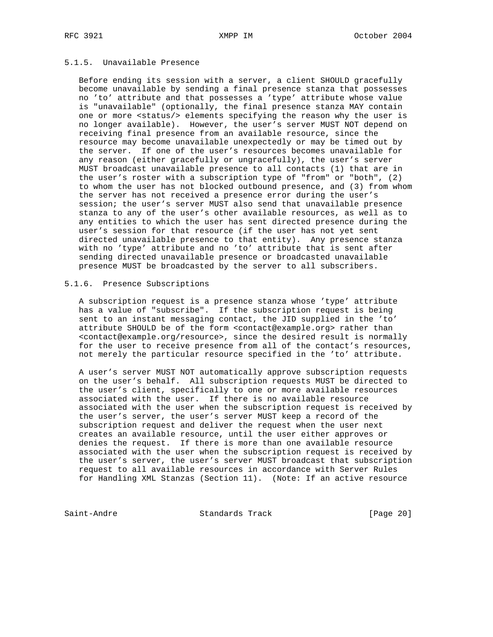## 5.1.5. Unavailable Presence

 Before ending its session with a server, a client SHOULD gracefully become unavailable by sending a final presence stanza that possesses no 'to' attribute and that possesses a 'type' attribute whose value is "unavailable" (optionally, the final presence stanza MAY contain one or more <status/> elements specifying the reason why the user is no longer available). However, the user's server MUST NOT depend on receiving final presence from an available resource, since the resource may become unavailable unexpectedly or may be timed out by the server. If one of the user's resources becomes unavailable for any reason (either gracefully or ungracefully), the user's server MUST broadcast unavailable presence to all contacts (1) that are in the user's roster with a subscription type of "from" or "both", (2) to whom the user has not blocked outbound presence, and (3) from whom the server has not received a presence error during the user's session; the user's server MUST also send that unavailable presence stanza to any of the user's other available resources, as well as to any entities to which the user has sent directed presence during the user's session for that resource (if the user has not yet sent directed unavailable presence to that entity). Any presence stanza with no 'type' attribute and no 'to' attribute that is sent after sending directed unavailable presence or broadcasted unavailable presence MUST be broadcasted by the server to all subscribers.

#### 5.1.6. Presence Subscriptions

 A subscription request is a presence stanza whose 'type' attribute has a value of "subscribe". If the subscription request is being sent to an instant messaging contact, the JID supplied in the 'to' attribute SHOULD be of the form <contact@example.org> rather than <contact@example.org/resource>, since the desired result is normally for the user to receive presence from all of the contact's resources, not merely the particular resource specified in the 'to' attribute.

 A user's server MUST NOT automatically approve subscription requests on the user's behalf. All subscription requests MUST be directed to the user's client, specifically to one or more available resources associated with the user. If there is no available resource associated with the user when the subscription request is received by the user's server, the user's server MUST keep a record of the subscription request and deliver the request when the user next creates an available resource, until the user either approves or denies the request. If there is more than one available resource associated with the user when the subscription request is received by the user's server, the user's server MUST broadcast that subscription request to all available resources in accordance with Server Rules for Handling XML Stanzas (Section 11). (Note: If an active resource

Saint-Andre Standards Track [Page 20]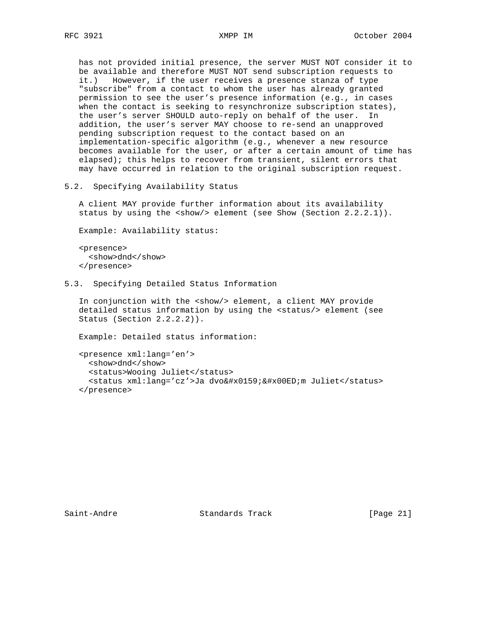has not provided initial presence, the server MUST NOT consider it to be available and therefore MUST NOT send subscription requests to it.) However, if the user receives a presence stanza of type "subscribe" from a contact to whom the user has already granted permission to see the user's presence information (e.g., in cases when the contact is seeking to resynchronize subscription states), the user's server SHOULD auto-reply on behalf of the user. In addition, the user's server MAY choose to re-send an unapproved pending subscription request to the contact based on an implementation-specific algorithm (e.g., whenever a new resource becomes available for the user, or after a certain amount of time has elapsed); this helps to recover from transient, silent errors that may have occurred in relation to the original subscription request.

5.2. Specifying Availability Status

 A client MAY provide further information about its availability status by using the  $\langle$ show/> element (see Show (Section 2.2.2.1)).

Example: Availability status:

 <presence> <show>dnd</show> </presence>

5.3. Specifying Detailed Status Information

 In conjunction with the <show/> element, a client MAY provide detailed status information by using the <status/> element (see Status (Section 2.2.2.2)).

Example: Detailed status information:

```
 <presence xml:lang='en'>
  <show>dnd</show>
  <status>Wooing Juliet</status>
  <status xml:lang='cz'>Ja dvo&#x0159;&#x00ED;m Juliet</status>
 </presence>
```
Saint-Andre Standards Track [Page 21]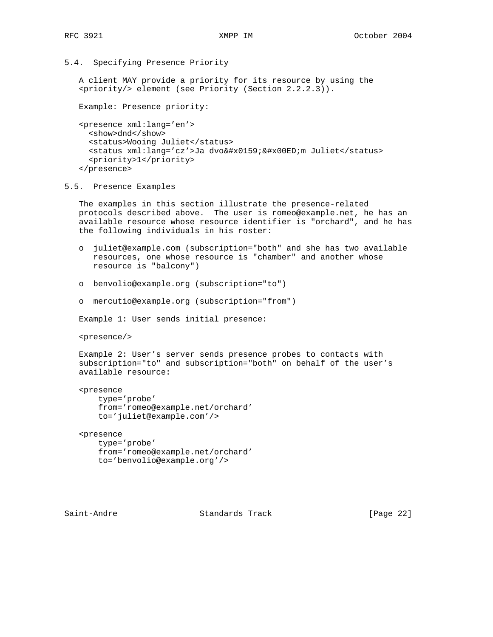5.4. Specifying Presence Priority

 A client MAY provide a priority for its resource by using the <priority/> element (see Priority (Section 2.2.2.3)).

Example: Presence priority:

```
 <presence xml:lang='en'>
  <show>dnd</show>
  <status>Wooing Juliet</status>
  <status xml:lang='cz'>Ja dvo&#x0159;&#x00ED;m Juliet</status>
   <priority>1</priority>
 </presence>
```
#### 5.5. Presence Examples

 The examples in this section illustrate the presence-related protocols described above. The user is romeo@example.net, he has an available resource whose resource identifier is "orchard", and he has the following individuals in his roster:

- o juliet@example.com (subscription="both" and she has two available resources, one whose resource is "chamber" and another whose resource is "balcony")
- o benvolio@example.org (subscription="to")
- o mercutio@example.org (subscription="from")

Example 1: User sends initial presence:

<presence/>

 Example 2: User's server sends presence probes to contacts with subscription="to" and subscription="both" on behalf of the user's available resource:

```
 <presence
    type='probe'
     from='romeo@example.net/orchard'
     to='juliet@example.com'/>
```
 <presence type='probe' from='romeo@example.net/orchard' to='benvolio@example.org'/>

Saint-Andre Standards Track [Page 22]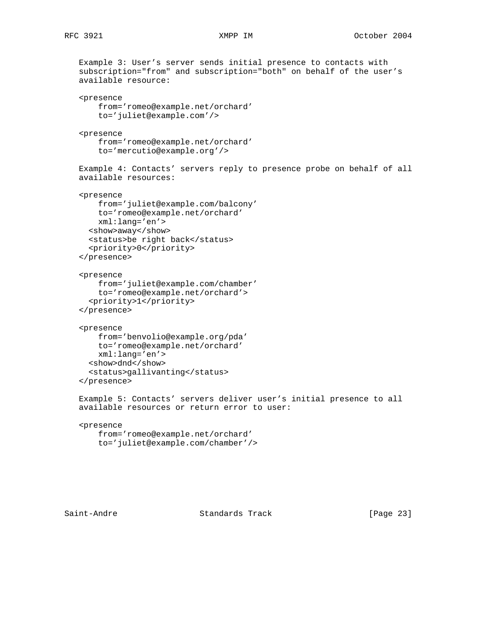```
 Example 3: User's server sends initial presence to contacts with
 subscription="from" and subscription="both" on behalf of the user's
 available resource:
 <presence
    from='romeo@example.net/orchard'
    to='juliet@example.com'/>
 <presence
    from='romeo@example.net/orchard'
     to='mercutio@example.org'/>
 Example 4: Contacts' servers reply to presence probe on behalf of all
 available resources:
 <presence
    from='juliet@example.com/balcony'
    to='romeo@example.net/orchard'
    xml:lang='en'>
   <show>away</show>
   <status>be right back</status>
   <priority>0</priority>
 </presence>
 <presence
     from='juliet@example.com/chamber'
     to='romeo@example.net/orchard'>
   <priority>1</priority>
 </presence>
 <presence
    from='benvolio@example.org/pda'
    to='romeo@example.net/orchard'
    xml:lang='en'>
   <show>dnd</show>
   <status>gallivanting</status>
 </presence>
 Example 5: Contacts' servers deliver user's initial presence to all
 available resources or return error to user:
 <presence
    from='romeo@example.net/orchard'
    to='juliet@example.com/chamber'/>
```
Saint-Andre Standards Track [Page 23]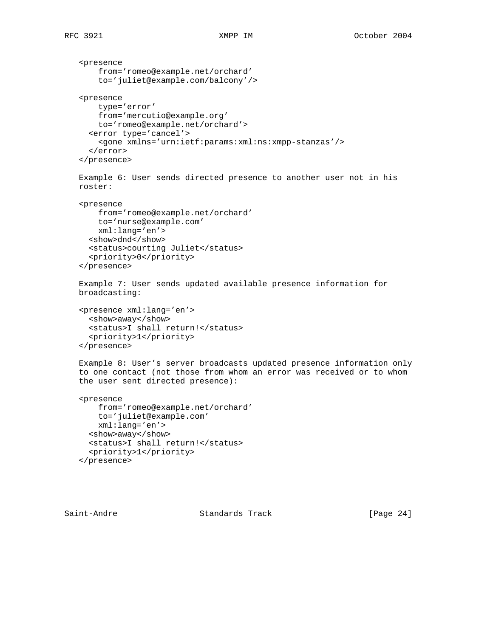```
 <presence
     from='romeo@example.net/orchard'
     to='juliet@example.com/balcony'/>
 <presence
    type='error'
     from='mercutio@example.org'
    to='romeo@example.net/orchard'>
   <error type='cancel'>
     <gone xmlns='urn:ietf:params:xml:ns:xmpp-stanzas'/>
   </error>
 </presence>
 Example 6: User sends directed presence to another user not in his
 roster:
 <presence
    from='romeo@example.net/orchard'
    to='nurse@example.com'
     xml:lang='en'>
   <show>dnd</show>
   <status>courting Juliet</status>
   <priority>0</priority>
 </presence>
 Example 7: User sends updated available presence information for
 broadcasting:
 <presence xml:lang='en'>
   <show>away</show>
   <status>I shall return!</status>
   <priority>1</priority>
 </presence>
 Example 8: User's server broadcasts updated presence information only
 to one contact (not those from whom an error was received or to whom
 the user sent directed presence):
 <presence
     from='romeo@example.net/orchard'
     to='juliet@example.com'
     xml:lang='en'>
   <show>away</show>
   <status>I shall return!</status>
   <priority>1</priority>
 </presence>
```
Saint-Andre Standards Track [Page 24]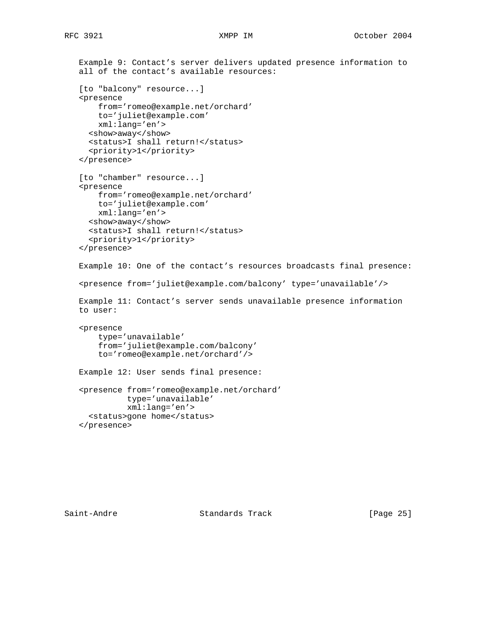```
 Example 9: Contact's server delivers updated presence information to
 all of the contact's available resources:
 [to "balcony" resource...]
 <presence
    from='romeo@example.net/orchard'
    to='juliet@example.com'
    xml:lang='en'>
   <show>away</show>
  <status>I shall return!</status>
   <priority>1</priority>
 </presence>
 [to "chamber" resource...]
 <presence
    from='romeo@example.net/orchard'
    to='juliet@example.com'
    xml:lang='en'>
  <show>away</show>
   <status>I shall return!</status>
   <priority>1</priority>
 </presence>
 Example 10: One of the contact's resources broadcasts final presence:
 <presence from='juliet@example.com/balcony' type='unavailable'/>
 Example 11: Contact's server sends unavailable presence information
 to user:
 <presence
    type='unavailable'
     from='juliet@example.com/balcony'
     to='romeo@example.net/orchard'/>
 Example 12: User sends final presence:
 <presence from='romeo@example.net/orchard'
           type='unavailable'
           xml:lang='en'>
  <status>gone home</status>
 </presence>
```
Saint-Andre Standards Track [Page 25]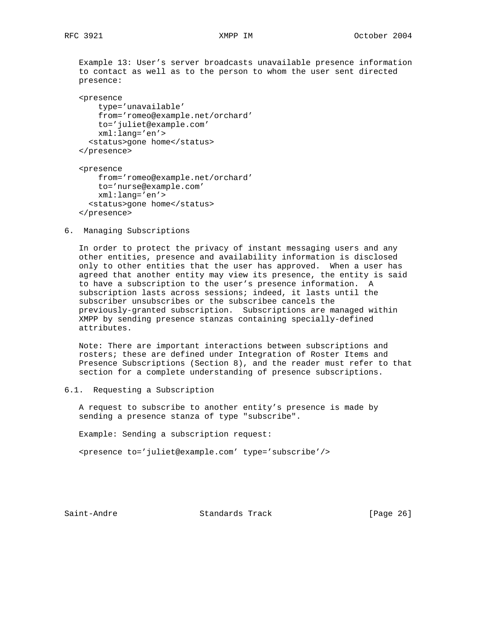Example 13: User's server broadcasts unavailable presence information to contact as well as to the person to whom the user sent directed presence:

 <presence type='unavailable' from='romeo@example.net/orchard' to='juliet@example.com' xml:lang='en'> <status>gone home</status> </presence>

 <presence from='romeo@example.net/orchard' to='nurse@example.com' xml:lang='en'> <status>gone home</status> </presence>

6. Managing Subscriptions

 In order to protect the privacy of instant messaging users and any other entities, presence and availability information is disclosed only to other entities that the user has approved. When a user has agreed that another entity may view its presence, the entity is said to have a subscription to the user's presence information. A subscription lasts across sessions; indeed, it lasts until the subscriber unsubscribes or the subscribee cancels the previously-granted subscription. Subscriptions are managed within XMPP by sending presence stanzas containing specially-defined attributes.

 Note: There are important interactions between subscriptions and rosters; these are defined under Integration of Roster Items and Presence Subscriptions (Section 8), and the reader must refer to that section for a complete understanding of presence subscriptions.

6.1. Requesting a Subscription

 A request to subscribe to another entity's presence is made by sending a presence stanza of type "subscribe".

Example: Sending a subscription request:

<presence to='juliet@example.com' type='subscribe'/>

Saint-Andre Standards Track [Page 26]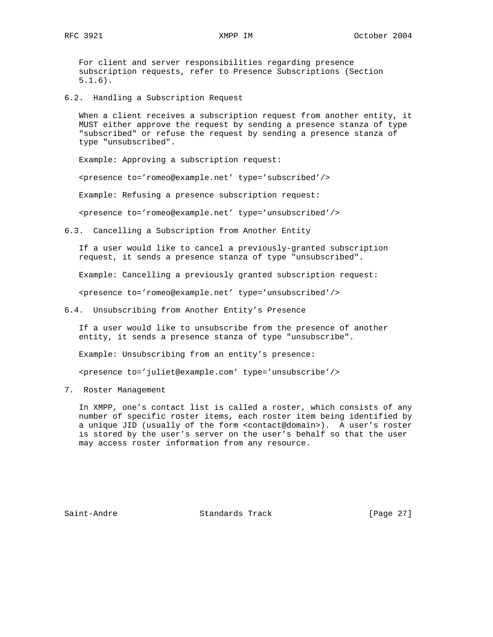RFC 3921 XMPP IM October 2004

 For client and server responsibilities regarding presence subscription requests, refer to Presence Subscriptions (Section 5.1.6).

6.2. Handling a Subscription Request

 When a client receives a subscription request from another entity, it MUST either approve the request by sending a presence stanza of type "subscribed" or refuse the request by sending a presence stanza of type "unsubscribed".

Example: Approving a subscription request:

<presence to='romeo@example.net' type='subscribed'/>

Example: Refusing a presence subscription request:

<presence to='romeo@example.net' type='unsubscribed'/>

6.3. Cancelling a Subscription from Another Entity

 If a user would like to cancel a previously-granted subscription request, it sends a presence stanza of type "unsubscribed".

Example: Cancelling a previously granted subscription request:

<presence to='romeo@example.net' type='unsubscribed'/>

6.4. Unsubscribing from Another Entity's Presence

 If a user would like to unsubscribe from the presence of another entity, it sends a presence stanza of type "unsubscribe".

Example: Unsubscribing from an entity's presence:

<presence to='juliet@example.com' type='unsubscribe'/>

7. Roster Management

 In XMPP, one's contact list is called a roster, which consists of any number of specific roster items, each roster item being identified by a unique JID (usually of the form <contact@domain>). A user's roster is stored by the user's server on the user's behalf so that the user may access roster information from any resource.

Saint-Andre Standards Track [Page 27]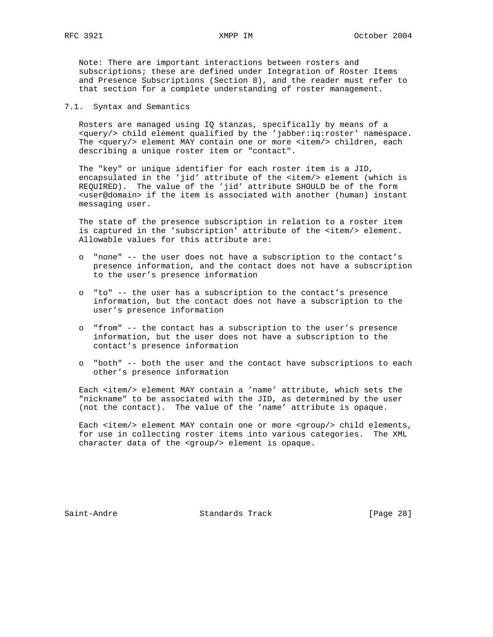Note: There are important interactions between rosters and subscriptions; these are defined under Integration of Roster Items and Presence Subscriptions (Section 8), and the reader must refer to that section for a complete understanding of roster management.

7.1. Syntax and Semantics

 Rosters are managed using IQ stanzas, specifically by means of a <query/> child element qualified by the 'jabber:iq:roster' namespace. The <query/> element MAY contain one or more <item/> children, each describing a unique roster item or "contact".

 The "key" or unique identifier for each roster item is a JID, encapsulated in the 'jid' attribute of the <item/> element (which is REQUIRED). The value of the 'jid' attribute SHOULD be of the form <user@domain> if the item is associated with another (human) instant messaging user.

 The state of the presence subscription in relation to a roster item is captured in the 'subscription' attribute of the <item/> element. Allowable values for this attribute are:

- o "none" -- the user does not have a subscription to the contact's presence information, and the contact does not have a subscription to the user's presence information
- o "to" -- the user has a subscription to the contact's presence information, but the contact does not have a subscription to the user's presence information
- o "from" -- the contact has a subscription to the user's presence information, but the user does not have a subscription to the contact's presence information
- o "both" -- both the user and the contact have subscriptions to each other's presence information

 Each <item/> element MAY contain a 'name' attribute, which sets the "nickname" to be associated with the JID, as determined by the user (not the contact). The value of the 'name' attribute is opaque.

Each <item/> element MAY contain one or more <group/> child elements, for use in collecting roster items into various categories. The XML character data of the <group/> element is opaque.

Saint-Andre Standards Track [Page 28]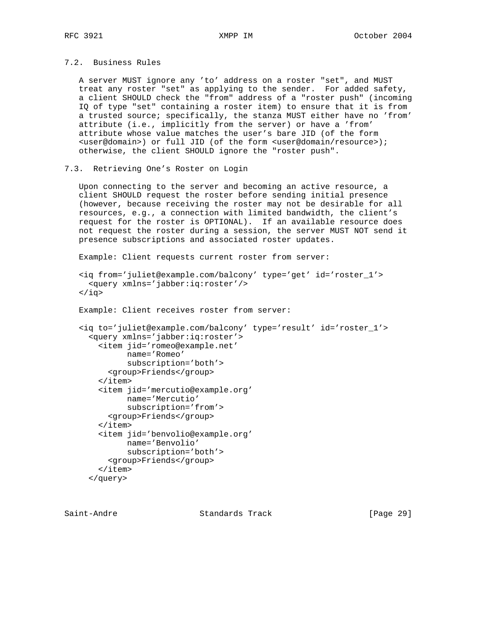# 7.2. Business Rules

 A server MUST ignore any 'to' address on a roster "set", and MUST treat any roster "set" as applying to the sender. For added safety, a client SHOULD check the "from" address of a "roster push" (incoming IQ of type "set" containing a roster item) to ensure that it is from a trusted source; specifically, the stanza MUST either have no 'from' attribute (i.e., implicitly from the server) or have a 'from' attribute whose value matches the user's bare JID (of the form <user@domain>) or full JID (of the form <user@domain/resource>); otherwise, the client SHOULD ignore the "roster push".

## 7.3. Retrieving One's Roster on Login

 Upon connecting to the server and becoming an active resource, a client SHOULD request the roster before sending initial presence (however, because receiving the roster may not be desirable for all resources, e.g., a connection with limited bandwidth, the client's request for the roster is OPTIONAL). If an available resource does not request the roster during a session, the server MUST NOT send it presence subscriptions and associated roster updates.

Example: Client requests current roster from server:

```
 <iq from='juliet@example.com/balcony' type='get' id='roster_1'>
   <query xmlns='jabber:iq:roster'/>
\langleiq>
 Example: Client receives roster from server:
 <iq to='juliet@example.com/balcony' type='result' id='roster_1'>
   <query xmlns='jabber:iq:roster'>
     <item jid='romeo@example.net'
           name='Romeo'
           subscription='both'>
       <group>Friends</group>
    \langleitem\rangle <item jid='mercutio@example.org'
           name='Mercutio'
           subscription='from'>
       <group>Friends</group>
     </item>
     <item jid='benvolio@example.org'
           name='Benvolio'
           subscription='both'>
       <group>Friends</group>
    \langleitem\rangle </query>
```
Saint-Andre Standards Track [Page 29]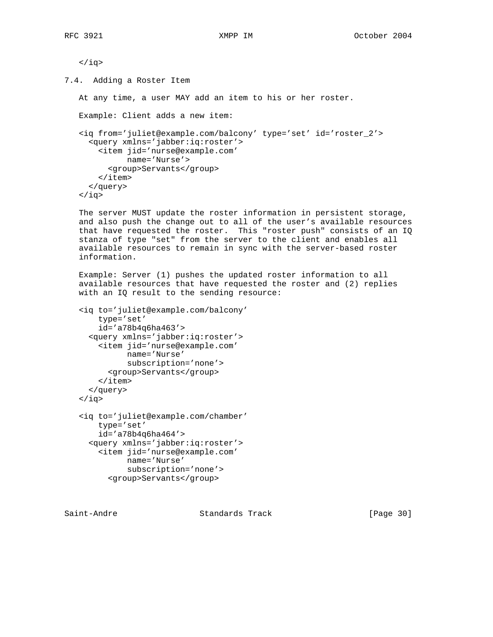```
\langleiq>
```
7.4. Adding a Roster Item

At any time, a user MAY add an item to his or her roster.

Example: Client adds a new item:

```
 <iq from='juliet@example.com/balcony' type='set' id='roster_2'>
   <query xmlns='jabber:iq:roster'>
    <item jid='nurse@example.com'
         name='Nurse'>
      <group>Servants</group>
     </item>
   </query>
\langleiq>
```
 The server MUST update the roster information in persistent storage, and also push the change out to all of the user's available resources that have requested the roster. This "roster push" consists of an IQ stanza of type "set" from the server to the client and enables all available resources to remain in sync with the server-based roster information.

 Example: Server (1) pushes the updated roster information to all available resources that have requested the roster and (2) replies with an IQ result to the sending resource:

```
 <iq to='juliet@example.com/balcony'
     type='set'
     id='a78b4q6ha463'>
   <query xmlns='jabber:iq:roster'>
     <item jid='nurse@example.com'
           name='Nurse'
           subscription='none'>
       <group>Servants</group>
    \langleitem\rangle </query>
\langleiq>
 <iq to='juliet@example.com/chamber'
     type='set'
     id='a78b4q6ha464'>
   <query xmlns='jabber:iq:roster'>
     <item jid='nurse@example.com'
           name='Nurse'
           subscription='none'>
```

```
 <group>Servants</group>
```
Saint-Andre Standards Track [Page 30]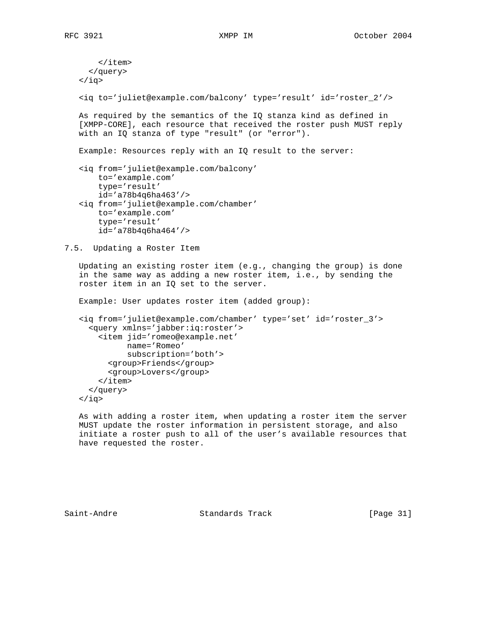```
 </item>
      </query>
   \langleiq>
    <iq to='juliet@example.com/balcony' type='result' id='roster_2'/>
    As required by the semantics of the IQ stanza kind as defined in
    [XMPP-CORE], each resource that received the roster push MUST reply
    with an IQ stanza of type "result" (or "error").
    Example: Resources reply with an IQ result to the server:
    <iq from='juliet@example.com/balcony'
        to='example.com'
        type='result'
        id='a78b4q6ha463'/>
    <iq from='juliet@example.com/chamber'
        to='example.com'
        type='result'
        id='a78b4q6ha464'/>
7.5. Updating a Roster Item
```
 Updating an existing roster item (e.g., changing the group) is done in the same way as adding a new roster item, i.e., by sending the roster item in an IQ set to the server.

Example: User updates roster item (added group):

```
 <iq from='juliet@example.com/chamber' type='set' id='roster_3'>
   <query xmlns='jabber:iq:roster'>
     <item jid='romeo@example.net'
          name='Romeo'
           subscription='both'>
       <group>Friends</group>
       <group>Lovers</group>
     </item>
   </query>
\langleiq>
```
 As with adding a roster item, when updating a roster item the server MUST update the roster information in persistent storage, and also initiate a roster push to all of the user's available resources that have requested the roster.

Saint-Andre Standards Track [Page 31]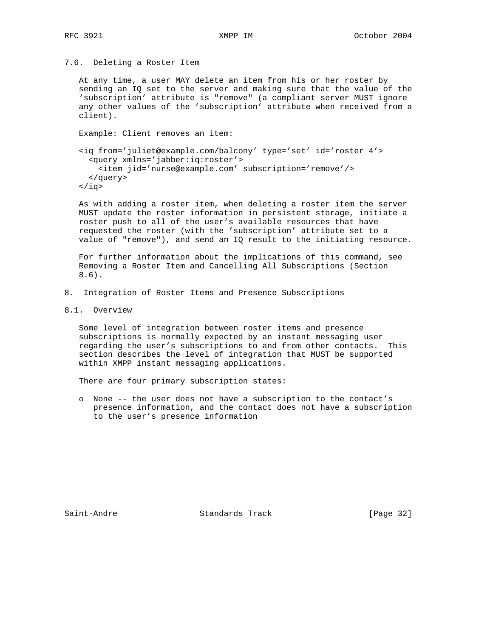#### 7.6. Deleting a Roster Item

 At any time, a user MAY delete an item from his or her roster by sending an IQ set to the server and making sure that the value of the 'subscription' attribute is "remove" (a compliant server MUST ignore any other values of the 'subscription' attribute when received from a client).

Example: Client removes an item:

 <iq from='juliet@example.com/balcony' type='set' id='roster\_4'> <query xmlns='jabber:iq:roster'> <item jid='nurse@example.com' subscription='remove'/> </query>  $\langle$ iq>

 As with adding a roster item, when deleting a roster item the server MUST update the roster information in persistent storage, initiate a roster push to all of the user's available resources that have requested the roster (with the 'subscription' attribute set to a value of "remove"), and send an IQ result to the initiating resource.

 For further information about the implications of this command, see Removing a Roster Item and Cancelling All Subscriptions (Section 8.6).

- 8. Integration of Roster Items and Presence Subscriptions
- 8.1. Overview

 Some level of integration between roster items and presence subscriptions is normally expected by an instant messaging user regarding the user's subscriptions to and from other contacts. This section describes the level of integration that MUST be supported within XMPP instant messaging applications.

There are four primary subscription states:

 o None -- the user does not have a subscription to the contact's presence information, and the contact does not have a subscription to the user's presence information

Saint-Andre Standards Track [Page 32]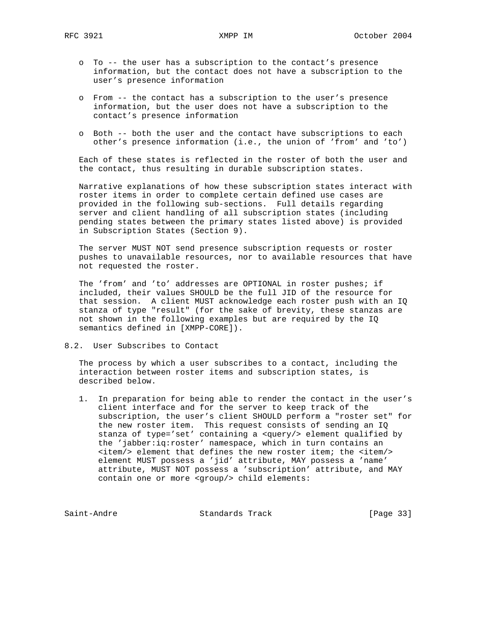- o To -- the user has a subscription to the contact's presence information, but the contact does not have a subscription to the user's presence information
- o From -- the contact has a subscription to the user's presence information, but the user does not have a subscription to the contact's presence information
- o Both -- both the user and the contact have subscriptions to each other's presence information (i.e., the union of 'from' and 'to')

 Each of these states is reflected in the roster of both the user and the contact, thus resulting in durable subscription states.

 Narrative explanations of how these subscription states interact with roster items in order to complete certain defined use cases are provided in the following sub-sections. Full details regarding server and client handling of all subscription states (including pending states between the primary states listed above) is provided in Subscription States (Section 9).

 The server MUST NOT send presence subscription requests or roster pushes to unavailable resources, nor to available resources that have not requested the roster.

 The 'from' and 'to' addresses are OPTIONAL in roster pushes; if included, their values SHOULD be the full JID of the resource for that session. A client MUST acknowledge each roster push with an IQ stanza of type "result" (for the sake of brevity, these stanzas are not shown in the following examples but are required by the IQ semantics defined in [XMPP-CORE]).

8.2. User Subscribes to Contact

 The process by which a user subscribes to a contact, including the interaction between roster items and subscription states, is described below.

 1. In preparation for being able to render the contact in the user's client interface and for the server to keep track of the subscription, the user's client SHOULD perform a "roster set" for the new roster item. This request consists of sending an IQ stanza of type='set' containing a <query/> element qualified by the 'jabber:iq:roster' namespace, which in turn contains an <item/> element that defines the new roster item; the <item/> element MUST possess a 'jid' attribute, MAY possess a 'name' attribute, MUST NOT possess a 'subscription' attribute, and MAY contain one or more <group/> child elements:

Saint-Andre Standards Track [Page 33]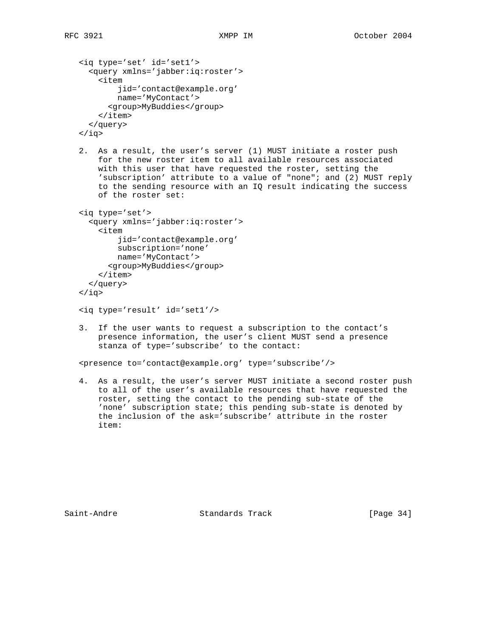```
 <iq type='set' id='set1'>
   <query xmlns='jabber:iq:roster'>
     <item
         jid='contact@example.org'
         name='MyContact'>
       <group>MyBuddies</group>
     </item>
   </query>
```
 $\langle$ iq>

 2. As a result, the user's server (1) MUST initiate a roster push for the new roster item to all available resources associated with this user that have requested the roster, setting the 'subscription' attribute to a value of "none"; and (2) MUST reply to the sending resource with an IQ result indicating the success of the roster set:

```
 <iq type='set'>
   <query xmlns='jabber:iq:roster'>
     <item
         jid='contact@example.org'
         subscription='none'
        name='MyContact'>
       <group>MyBuddies</group>
     </item>
   </query>
\langleiq>
```

```
 <iq type='result' id='set1'/>
```
 3. If the user wants to request a subscription to the contact's presence information, the user's client MUST send a presence stanza of type='subscribe' to the contact:

<presence to='contact@example.org' type='subscribe'/>

 4. As a result, the user's server MUST initiate a second roster push to all of the user's available resources that have requested the roster, setting the contact to the pending sub-state of the 'none' subscription state; this pending sub-state is denoted by the inclusion of the ask='subscribe' attribute in the roster item:

Saint-Andre Standards Track [Page 34]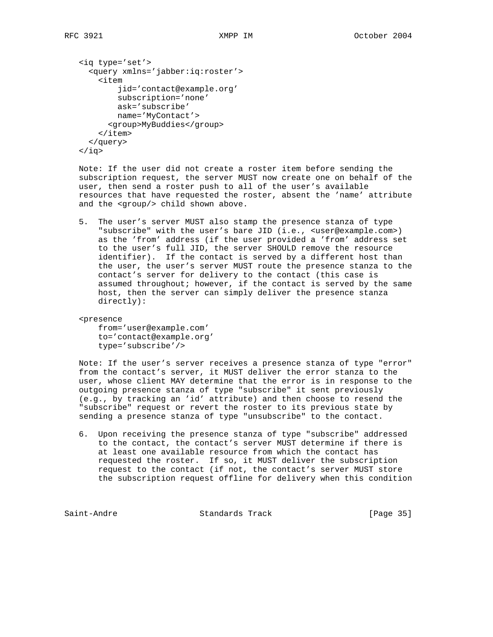```
 <iq type='set'>
   <query xmlns='jabber:iq:roster'>
     <item
         jid='contact@example.org'
         subscription='none'
         ask='subscribe'
         name='MyContact'>
       <group>MyBuddies</group>
     </item>
   </query>
 </iq>
```
 Note: If the user did not create a roster item before sending the subscription request, the server MUST now create one on behalf of the user, then send a roster push to all of the user's available resources that have requested the roster, absent the 'name' attribute and the <group/> child shown above.

 5. The user's server MUST also stamp the presence stanza of type "subscribe" with the user's bare JID (i.e., <user@example.com>) as the 'from' address (if the user provided a 'from' address set to the user's full JID, the server SHOULD remove the resource identifier). If the contact is served by a different host than the user, the user's server MUST route the presence stanza to the contact's server for delivery to the contact (this case is assumed throughout; however, if the contact is served by the same host, then the server can simply deliver the presence stanza directly):

<presence

 from='user@example.com' to='contact@example.org' type='subscribe'/>

 Note: If the user's server receives a presence stanza of type "error" from the contact's server, it MUST deliver the error stanza to the user, whose client MAY determine that the error is in response to the outgoing presence stanza of type "subscribe" it sent previously (e.g., by tracking an 'id' attribute) and then choose to resend the "subscribe" request or revert the roster to its previous state by sending a presence stanza of type "unsubscribe" to the contact.

 6. Upon receiving the presence stanza of type "subscribe" addressed to the contact, the contact's server MUST determine if there is at least one available resource from which the contact has requested the roster. If so, it MUST deliver the subscription request to the contact (if not, the contact's server MUST store the subscription request offline for delivery when this condition

Saint-Andre Standards Track [Page 35]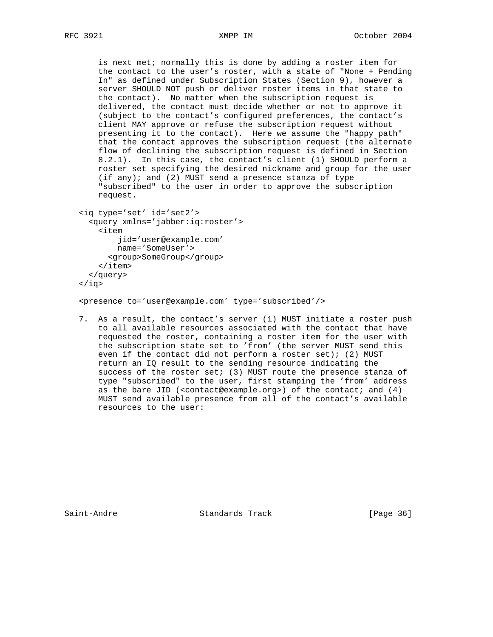is next met; normally this is done by adding a roster item for the contact to the user's roster, with a state of "None + Pending In" as defined under Subscription States (Section 9), however a server SHOULD NOT push or deliver roster items in that state to the contact). No matter when the subscription request is delivered, the contact must decide whether or not to approve it (subject to the contact's configured preferences, the contact's client MAY approve or refuse the subscription request without presenting it to the contact). Here we assume the "happy path" that the contact approves the subscription request (the alternate flow of declining the subscription request is defined in Section 8.2.1). In this case, the contact's client (1) SHOULD perform a roster set specifying the desired nickname and group for the user (if any); and (2) MUST send a presence stanza of type "subscribed" to the user in order to approve the subscription request.

```
 <iq type='set' id='set2'>
   <query xmlns='jabber:iq:roster'>
     <item
         jid='user@example.com'
         name='SomeUser'>
       <group>SomeGroup</group>
     </item>
   </query>
 </iq>
```
<presence to='user@example.com' type='subscribed'/>

 7. As a result, the contact's server (1) MUST initiate a roster push to all available resources associated with the contact that have requested the roster, containing a roster item for the user with the subscription state set to 'from' (the server MUST send this even if the contact did not perform a roster set); (2) MUST return an IQ result to the sending resource indicating the success of the roster set; (3) MUST route the presence stanza of type "subscribed" to the user, first stamping the 'from' address as the bare JID (<contact@example.org>) of the contact; and (4) MUST send available presence from all of the contact's available resources to the user:

Saint-Andre Standards Track [Page 36]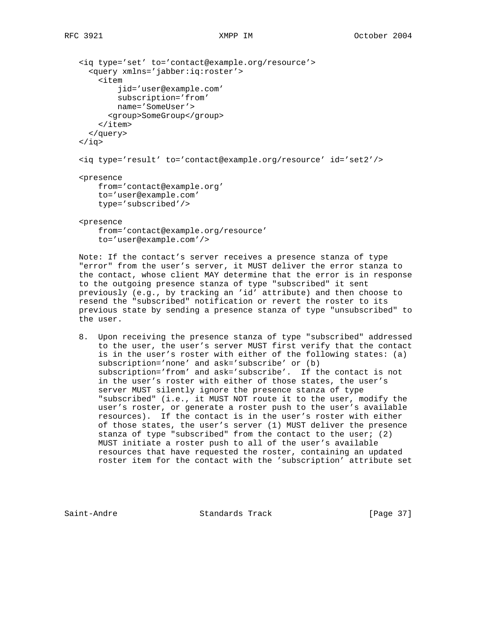```
 <iq type='set' to='contact@example.org/resource'>
   <query xmlns='jabber:iq:roster'>
     <item
         jid='user@example.com'
         subscription='from'
         name='SomeUser'>
       <group>SomeGroup</group>
     </item>
   </query>
\langleiq>
 <iq type='result' to='contact@example.org/resource' id='set2'/>
 <presence
     from='contact@example.org'
     to='user@example.com'
     type='subscribed'/>
 <presence
```
 from='contact@example.org/resource' to='user@example.com'/>

 Note: If the contact's server receives a presence stanza of type "error" from the user's server, it MUST deliver the error stanza to the contact, whose client MAY determine that the error is in response to the outgoing presence stanza of type "subscribed" it sent previously (e.g., by tracking an 'id' attribute) and then choose to resend the "subscribed" notification or revert the roster to its previous state by sending a presence stanza of type "unsubscribed" to the user.

 8. Upon receiving the presence stanza of type "subscribed" addressed to the user, the user's server MUST first verify that the contact is in the user's roster with either of the following states: (a) subscription='none' and ask='subscribe' or (b) subscription='from' and ask='subscribe'. If the contact is not in the user's roster with either of those states, the user's server MUST silently ignore the presence stanza of type "subscribed" (i.e., it MUST NOT route it to the user, modify the user's roster, or generate a roster push to the user's available resources). If the contact is in the user's roster with either of those states, the user's server (1) MUST deliver the presence stanza of type "subscribed" from the contact to the user; (2) MUST initiate a roster push to all of the user's available resources that have requested the roster, containing an updated roster item for the contact with the 'subscription' attribute set

Saint-Andre Standards Track [Page 37]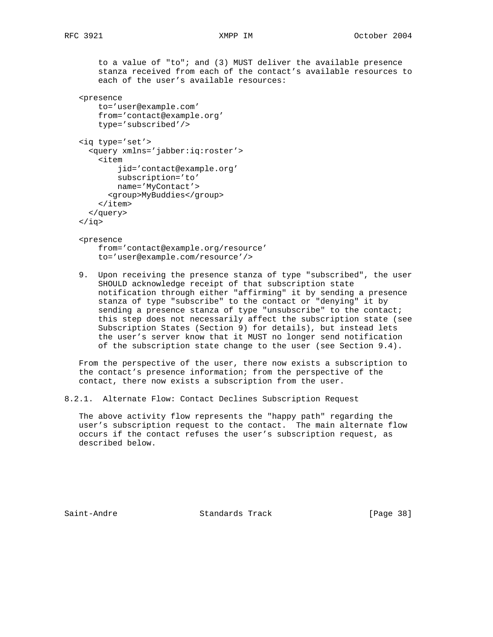to a value of "to"; and (3) MUST deliver the available presence stanza received from each of the contact's available resources to each of the user's available resources:

```
 <presence
```

```
 to='user@example.com'
 from='contact@example.org'
 type='subscribed'/>
```

```
 <iq type='set'>
   <query xmlns='jabber:iq:roster'>
     <item
         jid='contact@example.org'
         subscription='to'
         name='MyContact'>
       <group>MyBuddies</group>
    \langleitem>
   </query>
```

```
 </iq>
```
## <presence

 from='contact@example.org/resource' to='user@example.com/resource'/>

 9. Upon receiving the presence stanza of type "subscribed", the user SHOULD acknowledge receipt of that subscription state notification through either "affirming" it by sending a presence stanza of type "subscribe" to the contact or "denying" it by sending a presence stanza of type "unsubscribe" to the contact; this step does not necessarily affect the subscription state (see Subscription States (Section 9) for details), but instead lets the user's server know that it MUST no longer send notification of the subscription state change to the user (see Section 9.4).

 From the perspective of the user, there now exists a subscription to the contact's presence information; from the perspective of the contact, there now exists a subscription from the user.

```
8.2.1. Alternate Flow: Contact Declines Subscription Request
```
 The above activity flow represents the "happy path" regarding the user's subscription request to the contact. The main alternate flow occurs if the contact refuses the user's subscription request, as described below.

Saint-Andre Standards Track [Page 38]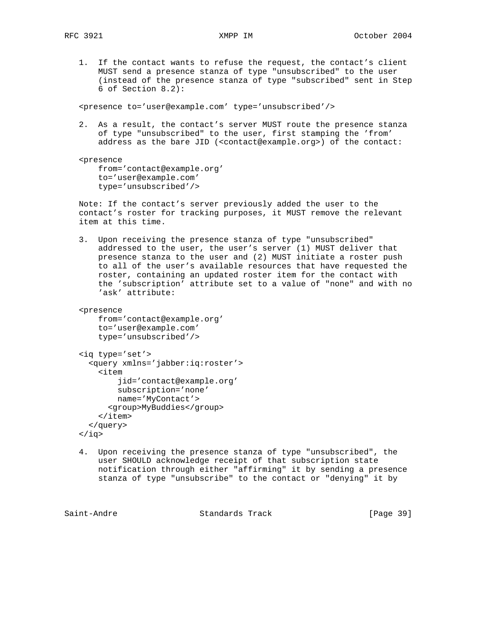1. If the contact wants to refuse the request, the contact's client MUST send a presence stanza of type "unsubscribed" to the user (instead of the presence stanza of type "subscribed" sent in Step 6 of Section 8.2):

<presence to='user@example.com' type='unsubscribed'/>

 2. As a result, the contact's server MUST route the presence stanza of type "unsubscribed" to the user, first stamping the 'from' address as the bare JID (<contact@example.org>) of the contact:

 <presence from='contact@example.org' to='user@example.com' type='unsubscribed'/>

 Note: If the contact's server previously added the user to the contact's roster for tracking purposes, it MUST remove the relevant item at this time.

 3. Upon receiving the presence stanza of type "unsubscribed" addressed to the user, the user's server (1) MUST deliver that presence stanza to the user and (2) MUST initiate a roster push to all of the user's available resources that have requested the roster, containing an updated roster item for the contact with the 'subscription' attribute set to a value of "none" and with no 'ask' attribute:

```
 <presence
```

```
 from='contact@example.org'
 to='user@example.com'
 type='unsubscribed'/>
```
<iq type='set'>

```
 <query xmlns='jabber:iq:roster'>
  \leq i \neq m jid='contact@example.org'
       subscription='none'
       name='MyContact'>
     <group>MyBuddies</group>
   </item>
 </query>
```

```
 </iq>
```
 4. Upon receiving the presence stanza of type "unsubscribed", the user SHOULD acknowledge receipt of that subscription state notification through either "affirming" it by sending a presence stanza of type "unsubscribe" to the contact or "denying" it by

Saint-Andre Standards Track [Page 39]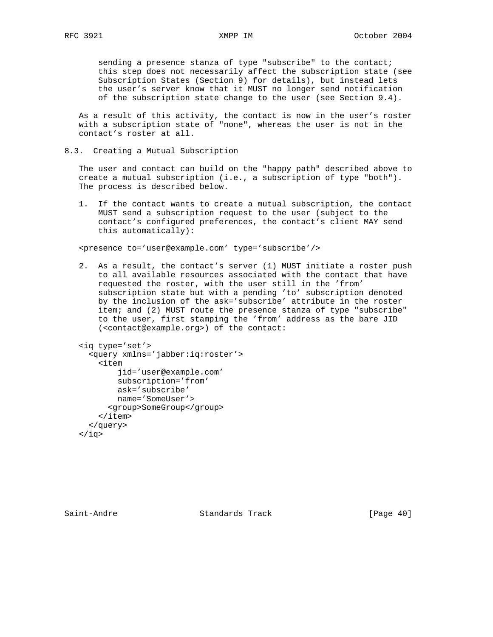sending a presence stanza of type "subscribe" to the contact; this step does not necessarily affect the subscription state (see Subscription States (Section 9) for details), but instead lets the user's server know that it MUST no longer send notification of the subscription state change to the user (see Section 9.4).

 As a result of this activity, the contact is now in the user's roster with a subscription state of "none", whereas the user is not in the contact's roster at all.

8.3. Creating a Mutual Subscription

 The user and contact can build on the "happy path" described above to create a mutual subscription (i.e., a subscription of type "both"). The process is described below.

 1. If the contact wants to create a mutual subscription, the contact MUST send a subscription request to the user (subject to the contact's configured preferences, the contact's client MAY send this automatically):

<presence to='user@example.com' type='subscribe'/>

 2. As a result, the contact's server (1) MUST initiate a roster push to all available resources associated with the contact that have requested the roster, with the user still in the 'from' subscription state but with a pending 'to' subscription denoted by the inclusion of the ask='subscribe' attribute in the roster item; and (2) MUST route the presence stanza of type "subscribe" to the user, first stamping the 'from' address as the bare JID (<contact@example.org>) of the contact:

```
 <iq type='set'>
   <query xmlns='jabber:iq:roster'>
     <item
         jid='user@example.com'
         subscription='from'
         ask='subscribe'
         name='SomeUser'>
       <group>SomeGroup</group>
     </item>
   </query>
\langleiq>
```
Saint-Andre Standards Track [Page 40]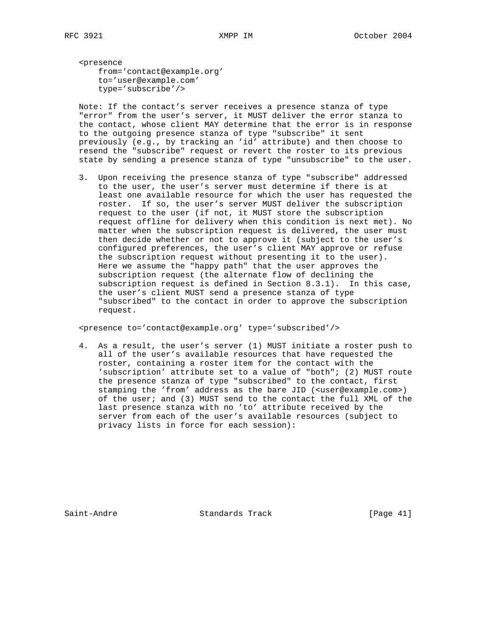<presence from='contact@example.org' to='user@example.com' type='subscribe'/>

 Note: If the contact's server receives a presence stanza of type "error" from the user's server, it MUST deliver the error stanza to the contact, whose client MAY determine that the error is in response to the outgoing presence stanza of type "subscribe" it sent previously (e.g., by tracking an 'id' attribute) and then choose to resend the "subscribe" request or revert the roster to its previous state by sending a presence stanza of type "unsubscribe" to the user.

 3. Upon receiving the presence stanza of type "subscribe" addressed to the user, the user's server must determine if there is at least one available resource for which the user has requested the roster. If so, the user's server MUST deliver the subscription request to the user (if not, it MUST store the subscription request offline for delivery when this condition is next met). No matter when the subscription request is delivered, the user must then decide whether or not to approve it (subject to the user's configured preferences, the user's client MAY approve or refuse the subscription request without presenting it to the user). Here we assume the "happy path" that the user approves the subscription request (the alternate flow of declining the subscription request is defined in Section 8.3.1). In this case, the user's client MUST send a presence stanza of type "subscribed" to the contact in order to approve the subscription request.

<presence to='contact@example.org' type='subscribed'/>

 4. As a result, the user's server (1) MUST initiate a roster push to all of the user's available resources that have requested the roster, containing a roster item for the contact with the 'subscription' attribute set to a value of "both"; (2) MUST route the presence stanza of type "subscribed" to the contact, first stamping the 'from' address as the bare JID (<user@example.com>) of the user; and (3) MUST send to the contact the full XML of the last presence stanza with no 'to' attribute received by the server from each of the user's available resources (subject to privacy lists in force for each session):

Saint-Andre Standards Track [Page 41]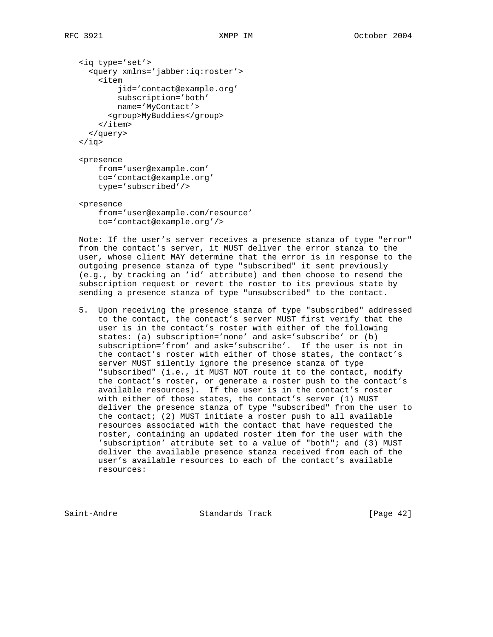```
 <iq type='set'>
   <query xmlns='jabber:iq:roster'>
     <item
         jid='contact@example.org'
         subscription='both'
         name='MyContact'>
       <group>MyBuddies</group>
     </item>
   </query>
\langleiq>
 <presence
     from='user@example.com'
     to='contact@example.org'
     type='subscribed'/>
```
 <presence from='user@example.com/resource' to='contact@example.org'/>

 Note: If the user's server receives a presence stanza of type "error" from the contact's server, it MUST deliver the error stanza to the user, whose client MAY determine that the error is in response to the outgoing presence stanza of type "subscribed" it sent previously (e.g., by tracking an 'id' attribute) and then choose to resend the subscription request or revert the roster to its previous state by sending a presence stanza of type "unsubscribed" to the contact.

 5. Upon receiving the presence stanza of type "subscribed" addressed to the contact, the contact's server MUST first verify that the user is in the contact's roster with either of the following states: (a) subscription='none' and ask='subscribe' or (b) subscription='from' and ask='subscribe'. If the user is not in the contact's roster with either of those states, the contact's server MUST silently ignore the presence stanza of type "subscribed" (i.e., it MUST NOT route it to the contact, modify the contact's roster, or generate a roster push to the contact's available resources). If the user is in the contact's roster with either of those states, the contact's server (1) MUST deliver the presence stanza of type "subscribed" from the user to the contact; (2) MUST initiate a roster push to all available resources associated with the contact that have requested the roster, containing an updated roster item for the user with the 'subscription' attribute set to a value of "both"; and (3) MUST deliver the available presence stanza received from each of the user's available resources to each of the contact's available resources:

Saint-Andre Standards Track [Page 42]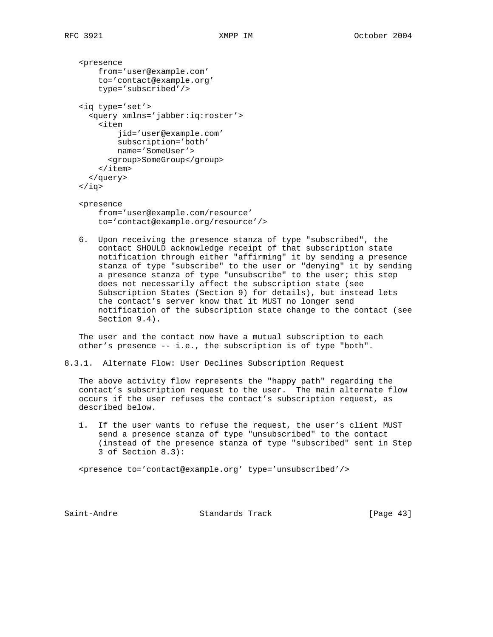```
 <presence
     from='user@example.com'
     to='contact@example.org'
     type='subscribed'/>
 <iq type='set'>
   <query xmlns='jabber:iq:roster'>
     <item
          jid='user@example.com'
         subscription='both'
         name='SomeUser'>
       <group>SomeGroup</group>
    \langleitem\rangle </query>
\langleiq>
 <presence
     from='user@example.com/resource'
```
to='contact@example.org/resource'/>

 6. Upon receiving the presence stanza of type "subscribed", the contact SHOULD acknowledge receipt of that subscription state notification through either "affirming" it by sending a presence stanza of type "subscribe" to the user or "denying" it by sending a presence stanza of type "unsubscribe" to the user; this step does not necessarily affect the subscription state (see Subscription States (Section 9) for details), but instead lets the contact's server know that it MUST no longer send notification of the subscription state change to the contact (see Section 9.4).

 The user and the contact now have a mutual subscription to each other's presence -- i.e., the subscription is of type "both".

8.3.1. Alternate Flow: User Declines Subscription Request

 The above activity flow represents the "happy path" regarding the contact's subscription request to the user. The main alternate flow occurs if the user refuses the contact's subscription request, as described below.

 1. If the user wants to refuse the request, the user's client MUST send a presence stanza of type "unsubscribed" to the contact (instead of the presence stanza of type "subscribed" sent in Step 3 of Section 8.3):

<presence to='contact@example.org' type='unsubscribed'/>

Saint-Andre Standards Track [Page 43]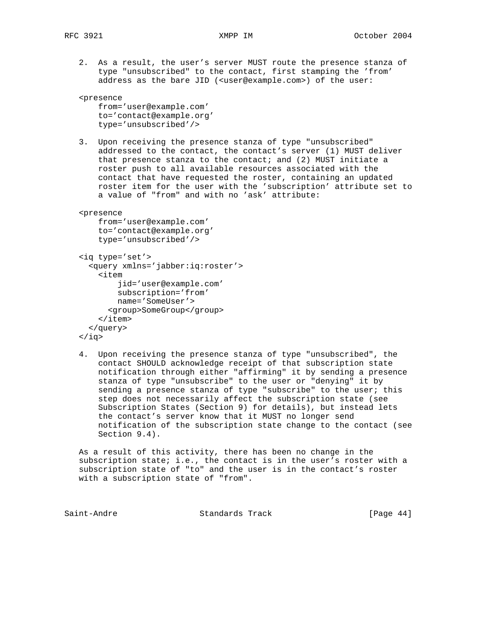2. As a result, the user's server MUST route the presence stanza of type "unsubscribed" to the contact, first stamping the 'from' address as the bare JID (<user@example.com>) of the user:

```
 <presence
     from='user@example.com'
     to='contact@example.org'
     type='unsubscribed'/>
```
 3. Upon receiving the presence stanza of type "unsubscribed" addressed to the contact, the contact's server (1) MUST deliver that presence stanza to the contact; and  $(2)$  MUST initiate a roster push to all available resources associated with the contact that have requested the roster, containing an updated roster item for the user with the 'subscription' attribute set to a value of "from" and with no 'ask' attribute:

```
 <presence
```

```
 from='user@example.com'
 to='contact@example.org'
 type='unsubscribed'/>
```

```
 <iq type='set'>
   <query xmlns='jabber:iq:roster'>
     <item
          jid='user@example.com'
          subscription='from'
          name='SomeUser'>
       <group>SomeGroup</group>
    \langleitem\rangle </query>
 </iq>
```
 4. Upon receiving the presence stanza of type "unsubscribed", the contact SHOULD acknowledge receipt of that subscription state notification through either "affirming" it by sending a presence stanza of type "unsubscribe" to the user or "denying" it by sending a presence stanza of type "subscribe" to the user; this step does not necessarily affect the subscription state (see Subscription States (Section 9) for details), but instead lets the contact's server know that it MUST no longer send notification of the subscription state change to the contact (see Section 9.4).

 As a result of this activity, there has been no change in the subscription state; i.e., the contact is in the user's roster with a subscription state of "to" and the user is in the contact's roster with a subscription state of "from".

| Saint-Andre<br>Standards Track | [Page $44$ ] |  |
|--------------------------------|--------------|--|
|--------------------------------|--------------|--|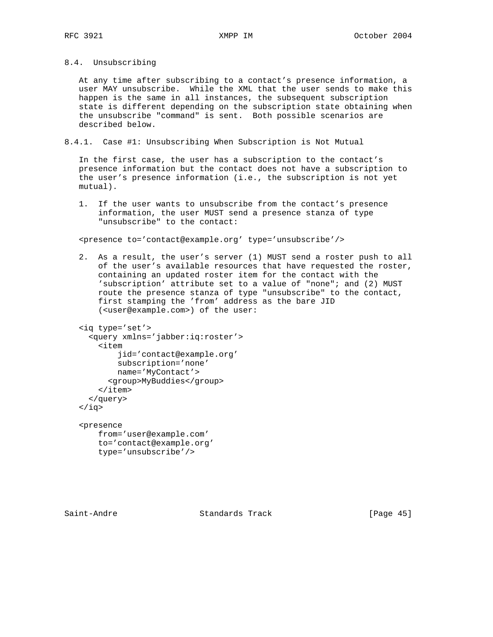8.4. Unsubscribing

 At any time after subscribing to a contact's presence information, a user MAY unsubscribe. While the XML that the user sends to make this happen is the same in all instances, the subsequent subscription state is different depending on the subscription state obtaining when the unsubscribe "command" is sent. Both possible scenarios are described below.

8.4.1. Case #1: Unsubscribing When Subscription is Not Mutual

 In the first case, the user has a subscription to the contact's presence information but the contact does not have a subscription to the user's presence information (i.e., the subscription is not yet mutual).

 1. If the user wants to unsubscribe from the contact's presence information, the user MUST send a presence stanza of type "unsubscribe" to the contact:

<presence to='contact@example.org' type='unsubscribe'/>

 2. As a result, the user's server (1) MUST send a roster push to all of the user's available resources that have requested the roster, containing an updated roster item for the contact with the 'subscription' attribute set to a value of "none"; and (2) MUST route the presence stanza of type "unsubscribe" to the contact, first stamping the 'from' address as the bare JID (<user@example.com>) of the user:

```
 <iq type='set'>
   <query xmlns='jabber:iq:roster'>
     <item
         jid='contact@example.org'
         subscription='none'
         name='MyContact'>
       <group>MyBuddies</group>
     </item>
   </query>
\langleiq>
 <presence
    from='user@example.com'
```
 to='contact@example.org' type='unsubscribe'/>

Saint-Andre Standards Track [Page 45]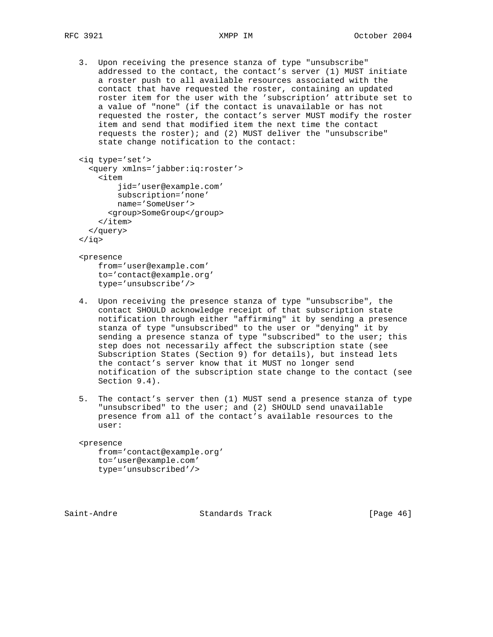3. Upon receiving the presence stanza of type "unsubscribe" addressed to the contact, the contact's server (1) MUST initiate a roster push to all available resources associated with the contact that have requested the roster, containing an updated roster item for the user with the 'subscription' attribute set to a value of "none" (if the contact is unavailable or has not requested the roster, the contact's server MUST modify the roster item and send that modified item the next time the contact requests the roster); and (2) MUST deliver the "unsubscribe" state change notification to the contact:

```
 <iq type='set'>
   <query xmlns='jabber:iq:roster'>
     <item
          jid='user@example.com'
          subscription='none'
          name='SomeUser'>
       <group>SomeGroup</group>
    \langleitem\rangle </query>
\langleiq>
```
 <presence from='user@example.com' to='contact@example.org' type='unsubscribe'/>

- 4. Upon receiving the presence stanza of type "unsubscribe", the contact SHOULD acknowledge receipt of that subscription state notification through either "affirming" it by sending a presence stanza of type "unsubscribed" to the user or "denying" it by sending a presence stanza of type "subscribed" to the user; this step does not necessarily affect the subscription state (see Subscription States (Section 9) for details), but instead lets the contact's server know that it MUST no longer send notification of the subscription state change to the contact (see Section 9.4).
- 5. The contact's server then (1) MUST send a presence stanza of type "unsubscribed" to the user; and (2) SHOULD send unavailable presence from all of the contact's available resources to the user:

### <presence

 from='contact@example.org' to='user@example.com' type='unsubscribed'/>

Saint-Andre Standards Track [Page 46]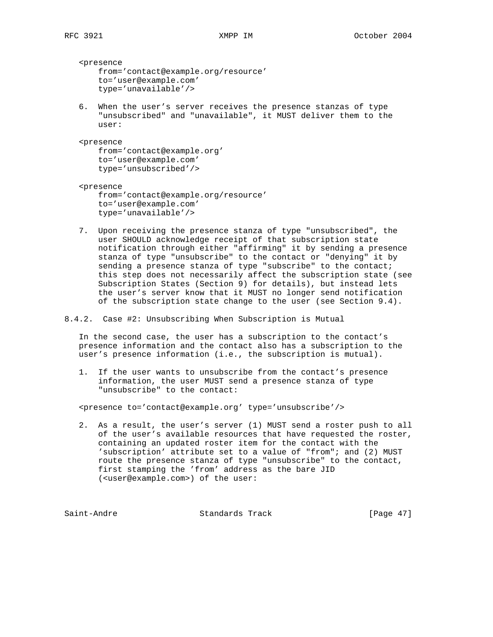<presence from='contact@example.org/resource' to='user@example.com' type='unavailable'/>

 6. When the user's server receives the presence stanzas of type "unsubscribed" and "unavailable", it MUST deliver them to the user:

 <presence from='contact@example.org' to='user@example.com' type='unsubscribed'/>

 <presence from='contact@example.org/resource' to='user@example.com' type='unavailable'/>

- 7. Upon receiving the presence stanza of type "unsubscribed", the user SHOULD acknowledge receipt of that subscription state notification through either "affirming" it by sending a presence stanza of type "unsubscribe" to the contact or "denying" it by sending a presence stanza of type "subscribe" to the contact; this step does not necessarily affect the subscription state (see Subscription States (Section 9) for details), but instead lets the user's server know that it MUST no longer send notification of the subscription state change to the user (see Section 9.4).
- 8.4.2. Case #2: Unsubscribing When Subscription is Mutual

 In the second case, the user has a subscription to the contact's presence information and the contact also has a subscription to the user's presence information (i.e., the subscription is mutual).

 1. If the user wants to unsubscribe from the contact's presence information, the user MUST send a presence stanza of type "unsubscribe" to the contact:

<presence to='contact@example.org' type='unsubscribe'/>

 2. As a result, the user's server (1) MUST send a roster push to all of the user's available resources that have requested the roster, containing an updated roster item for the contact with the 'subscription' attribute set to a value of "from"; and (2) MUST route the presence stanza of type "unsubscribe" to the contact, first stamping the 'from' address as the bare JID (<user@example.com>) of the user:

Saint-Andre Standards Track [Page 47]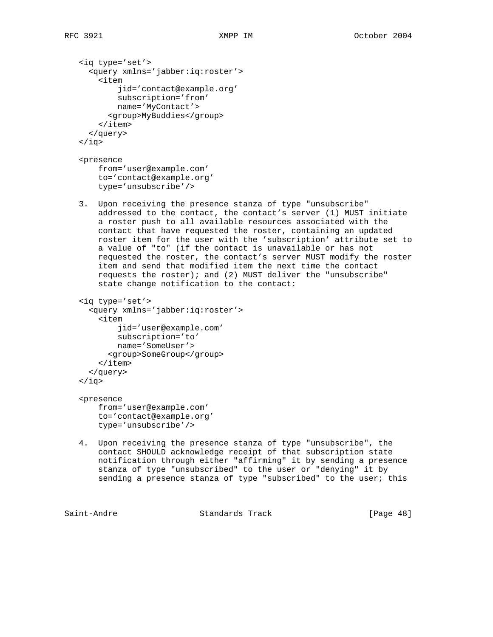```
 <iq type='set'>
   <query xmlns='jabber:iq:roster'>
     <item
         jid='contact@example.org'
         subscription='from'
         name='MyContact'>
       <group>MyBuddies</group>
     </item>
   </query>
\langleiq>
 <presence
    from='user@example.com'
     to='contact@example.org'
     type='unsubscribe'/>
 3. Upon receiving the presence stanza of type "unsubscribe"
    addressed to the contact, the contact's server (1) MUST initiate
    a roster push to all available resources associated with the
    contact that have requested the roster, containing an updated
    roster item for the user with the 'subscription' attribute set to
    a value of "to" (if the contact is unavailable or has not
    requested the roster, the contact's server MUST modify the roster
    item and send that modified item the next time the contact
    requests the roster); and (2) MUST deliver the "unsubscribe"
    state change notification to the contact:
 <iq type='set'>
   <query xmlns='jabber:iq:roster'>
     <item
         jid='user@example.com'
         subscription='to'
        name='SomeUser'>
       <group>SomeGroup</group>
    \langleitem\rangle </query>
\langleiq>
 <presence
    from='user@example.com'
     to='contact@example.org'
    type='unsubscribe'/>
 4. Upon receiving the presence stanza of type "unsubscribe", the
    contact SHOULD acknowledge receipt of that subscription state
    notification through either "affirming" it by sending a presence
    stanza of type "unsubscribed" to the user or "denying" it by
    sending a presence stanza of type "subscribed" to the user; this
```
Saint-Andre Standards Track [Page 48]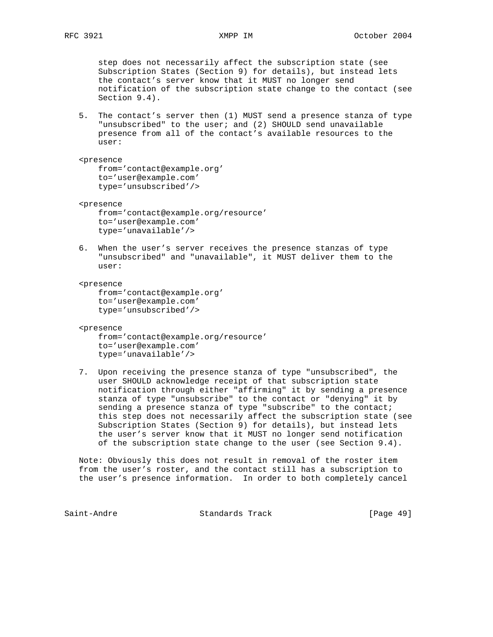step does not necessarily affect the subscription state (see Subscription States (Section 9) for details), but instead lets the contact's server know that it MUST no longer send notification of the subscription state change to the contact (see Section 9.4).

 5. The contact's server then (1) MUST send a presence stanza of type "unsubscribed" to the user; and (2) SHOULD send unavailable presence from all of the contact's available resources to the user:

 <presence from='contact@example.org' to='user@example.com'

type='unsubscribed'/>

 <presence from='contact@example.org/resource' to='user@example.com' type='unavailable'/>

 6. When the user's server receives the presence stanzas of type "unsubscribed" and "unavailable", it MUST deliver them to the user:

<presence

```
 from='contact@example.org'
 to='user@example.com'
 type='unsubscribed'/>
```
<presence

 from='contact@example.org/resource' to='user@example.com' type='unavailable'/>

 7. Upon receiving the presence stanza of type "unsubscribed", the user SHOULD acknowledge receipt of that subscription state notification through either "affirming" it by sending a presence stanza of type "unsubscribe" to the contact or "denying" it by sending a presence stanza of type "subscribe" to the contact; this step does not necessarily affect the subscription state (see Subscription States (Section 9) for details), but instead lets the user's server know that it MUST no longer send notification of the subscription state change to the user (see Section 9.4).

 Note: Obviously this does not result in removal of the roster item from the user's roster, and the contact still has a subscription to the user's presence information. In order to both completely cancel

Saint-Andre Standards Track [Page 49]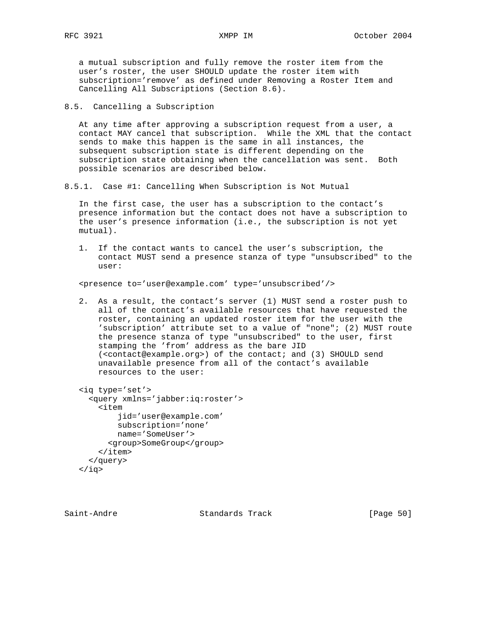a mutual subscription and fully remove the roster item from the user's roster, the user SHOULD update the roster item with subscription='remove' as defined under Removing a Roster Item and Cancelling All Subscriptions (Section 8.6).

8.5. Cancelling a Subscription

 At any time after approving a subscription request from a user, a contact MAY cancel that subscription. While the XML that the contact sends to make this happen is the same in all instances, the subsequent subscription state is different depending on the subscription state obtaining when the cancellation was sent. Both possible scenarios are described below.

8.5.1. Case #1: Cancelling When Subscription is Not Mutual

 In the first case, the user has a subscription to the contact's presence information but the contact does not have a subscription to the user's presence information (i.e., the subscription is not yet mutual).

 1. If the contact wants to cancel the user's subscription, the contact MUST send a presence stanza of type "unsubscribed" to the user:

<presence to='user@example.com' type='unsubscribed'/>

 2. As a result, the contact's server (1) MUST send a roster push to all of the contact's available resources that have requested the roster, containing an updated roster item for the user with the 'subscription' attribute set to a value of "none"; (2) MUST route the presence stanza of type "unsubscribed" to the user, first stamping the 'from' address as the bare JID (<contact@example.org>) of the contact; and (3) SHOULD send unavailable presence from all of the contact's available resources to the user:

```
 <iq type='set'>
   <query xmlns='jabber:iq:roster'>
     <item
         jid='user@example.com'
         subscription='none'
         name='SomeUser'>
       <group>SomeGroup</group>
     </item>
   </query>
 </iq>
```
Saint-Andre Standards Track [Page 50]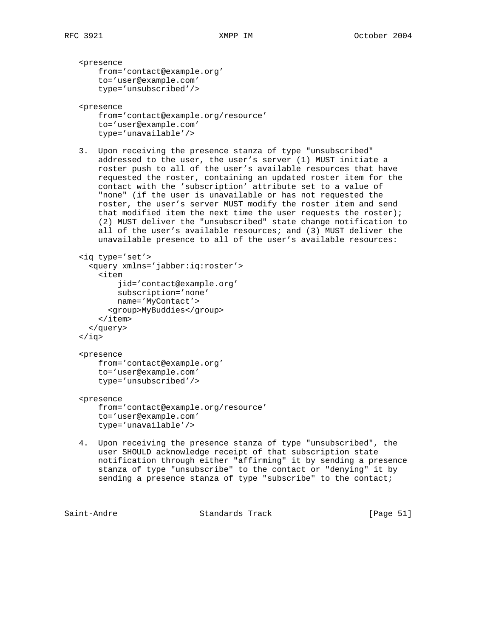<presence from='contact@example.org' to='user@example.com' type='unsubscribed'/>

<presence

 from='contact@example.org/resource' to='user@example.com' type='unavailable'/>

 3. Upon receiving the presence stanza of type "unsubscribed" addressed to the user, the user's server (1) MUST initiate a roster push to all of the user's available resources that have requested the roster, containing an updated roster item for the contact with the 'subscription' attribute set to a value of "none" (if the user is unavailable or has not requested the roster, the user's server MUST modify the roster item and send that modified item the next time the user requests the roster); (2) MUST deliver the "unsubscribed" state change notification to all of the user's available resources; and (3) MUST deliver the unavailable presence to all of the user's available resources:

```
 <iq type='set'>
   <query xmlns='jabber:iq:roster'>
     <item
          jid='contact@example.org'
         subscription='none'
         name='MyContact'>
       <group>MyBuddies</group>
    \langleitem\rangle </query>
 </iq>
```

```
 <presence
```
 from='contact@example.org' to='user@example.com' type='unsubscribed'/>

<presence

 from='contact@example.org/resource' to='user@example.com' type='unavailable'/>

 4. Upon receiving the presence stanza of type "unsubscribed", the user SHOULD acknowledge receipt of that subscription state notification through either "affirming" it by sending a presence stanza of type "unsubscribe" to the contact or "denying" it by sending a presence stanza of type "subscribe" to the contact;

Saint-Andre Standards Track [Page 51]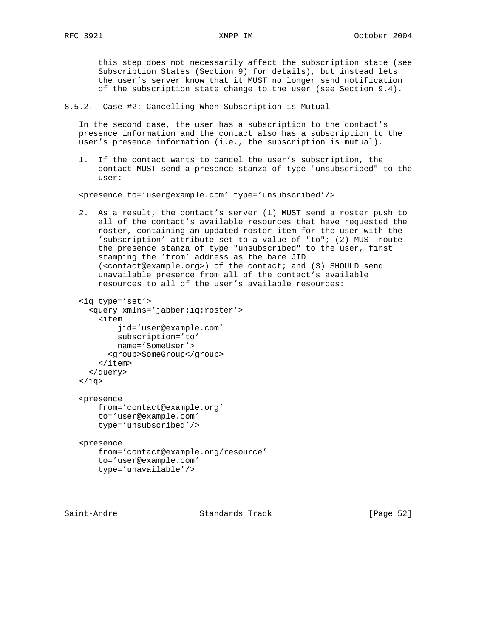this step does not necessarily affect the subscription state (see Subscription States (Section 9) for details), but instead lets the user's server know that it MUST no longer send notification of the subscription state change to the user (see Section 9.4).

8.5.2. Case #2: Cancelling When Subscription is Mutual

 In the second case, the user has a subscription to the contact's presence information and the contact also has a subscription to the user's presence information (i.e., the subscription is mutual).

 1. If the contact wants to cancel the user's subscription, the contact MUST send a presence stanza of type "unsubscribed" to the user:

<presence to='user@example.com' type='unsubscribed'/>

 2. As a result, the contact's server (1) MUST send a roster push to all of the contact's available resources that have requested the roster, containing an updated roster item for the user with the 'subscription' attribute set to a value of "to"; (2) MUST route the presence stanza of type "unsubscribed" to the user, first stamping the 'from' address as the bare JID (<contact@example.org>) of the contact; and (3) SHOULD send unavailable presence from all of the contact's available resources to all of the user's available resources:

```
 <iq type='set'>
   <query xmlns='jabber:iq:roster'>
     <item
          jid='user@example.com'
          subscription='to'
         name='SomeUser'>
       <group>SomeGroup</group>
    \langleitem\rangle </query>
\langleiq>
```

```
 <presence
     from='contact@example.org'
     to='user@example.com'
     type='unsubscribed'/>
```

```
 <presence
    from='contact@example.org/resource'
    to='user@example.com'
    type='unavailable'/>
```
Saint-Andre Standards Track [Page 52]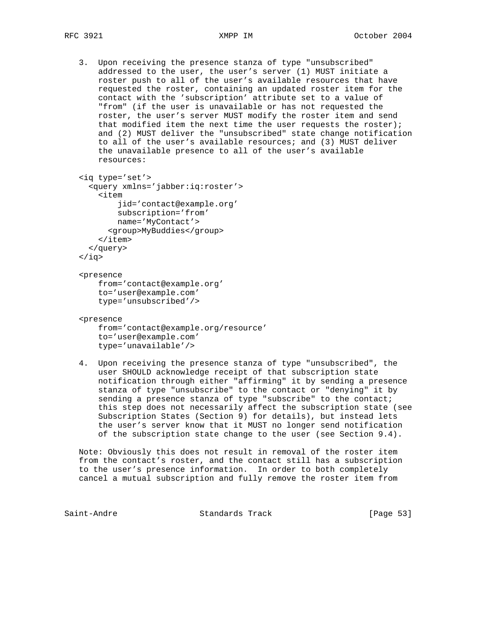3. Upon receiving the presence stanza of type "unsubscribed" addressed to the user, the user's server (1) MUST initiate a roster push to all of the user's available resources that have requested the roster, containing an updated roster item for the contact with the 'subscription' attribute set to a value of "from" (if the user is unavailable or has not requested the roster, the user's server MUST modify the roster item and send that modified item the next time the user requests the roster); and (2) MUST deliver the "unsubscribed" state change notification to all of the user's available resources; and (3) MUST deliver the unavailable presence to all of the user's available resources:

```
 <iq type='set'>
   <query xmlns='jabber:iq:roster'>
     <item
         jid='contact@example.org'
         subscription='from'
         name='MyContact'>
```
<group>MyBuddies</group>

```
 </item>
```

```
 </query>
```

```
 </iq>
```
## <presence

```
 from='contact@example.org'
 to='user@example.com'
 type='unsubscribed'/>
```

```
 <presence
```

```
 from='contact@example.org/resource'
 to='user@example.com'
 type='unavailable'/>
```
 4. Upon receiving the presence stanza of type "unsubscribed", the user SHOULD acknowledge receipt of that subscription state notification through either "affirming" it by sending a presence stanza of type "unsubscribe" to the contact or "denying" it by sending a presence stanza of type "subscribe" to the contact; this step does not necessarily affect the subscription state (see Subscription States (Section 9) for details), but instead lets the user's server know that it MUST no longer send notification of the subscription state change to the user (see Section 9.4).

 Note: Obviously this does not result in removal of the roster item from the contact's roster, and the contact still has a subscription to the user's presence information. In order to both completely cancel a mutual subscription and fully remove the roster item from

Saint-Andre Standards Track [Page 53]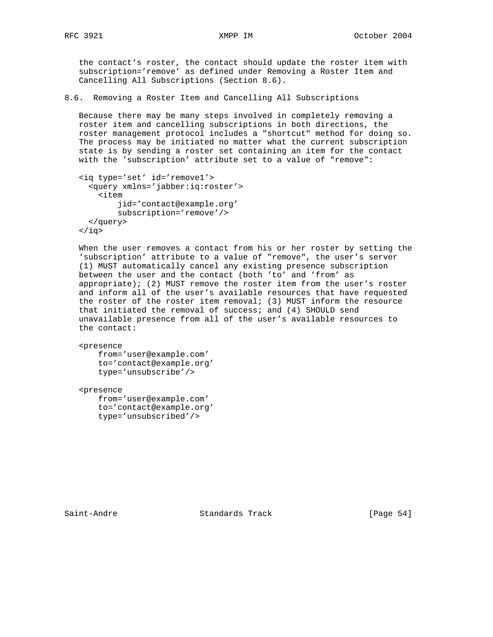the contact's roster, the contact should update the roster item with subscription='remove' as defined under Removing a Roster Item and Cancelling All Subscriptions (Section 8.6).

# 8.6. Removing a Roster Item and Cancelling All Subscriptions

 Because there may be many steps involved in completely removing a roster item and cancelling subscriptions in both directions, the roster management protocol includes a "shortcut" method for doing so. The process may be initiated no matter what the current subscription state is by sending a roster set containing an item for the contact with the 'subscription' attribute set to a value of "remove":

```
 <iq type='set' id='remove1'>
   <query xmlns='jabber:iq:roster'>
     <item
         jid='contact@example.org'
         subscription='remove'/>
  </query>
\langleiq>
```
 When the user removes a contact from his or her roster by setting the 'subscription' attribute to a value of "remove", the user's server (1) MUST automatically cancel any existing presence subscription between the user and the contact (both 'to' and 'from' as appropriate); (2) MUST remove the roster item from the user's roster and inform all of the user's available resources that have requested the roster of the roster item removal; (3) MUST inform the resource that initiated the removal of success; and (4) SHOULD send unavailable presence from all of the user's available resources to the contact:

```
 <presence
```
 from='user@example.com' to='contact@example.org' type='unsubscribe'/>

<presence

 from='user@example.com' to='contact@example.org' type='unsubscribed'/>

Saint-Andre Standards Track [Page 54]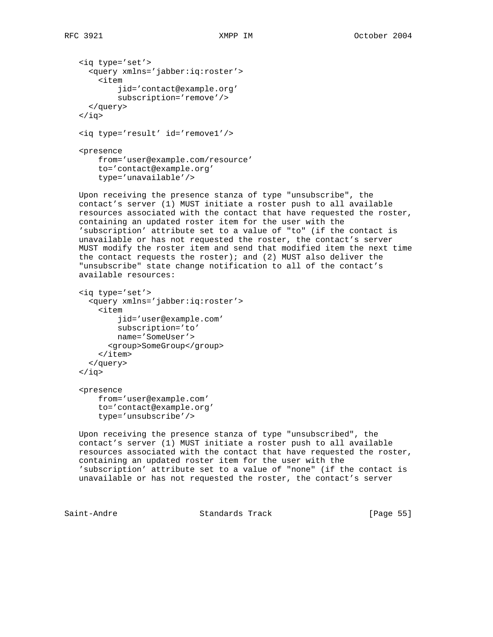```
 <iq type='set'>
      <query xmlns='jabber:iq:roster'>
        <item
            jid='contact@example.org'
            subscription='remove'/>
      </query>
   \langleiq>
    <iq type='result' id='remove1'/>
    <presence
       from='user@example.com/resource'
       to='contact@example.org'
       type='unavailable'/>
   Upon receiving the presence stanza of type "unsubscribe", the
    contact's server (1) MUST initiate a roster push to all available
   resources associated with the contact that have requested the roster,
   containing an updated roster item for the user with the
    'subscription' attribute set to a value of "to" (if the contact is
   unavailable or has not requested the roster, the contact's server
   MUST modify the roster item and send that modified item the next time
   the contact requests the roster); and (2) MUST also deliver the
    "unsubscribe" state change notification to all of the contact's
    available resources:
    <iq type='set'>
      <query xmlns='jabber:iq:roster'>
        <item
            jid='user@example.com'
            subscription='to'
           name='SomeUser'>
          <group>SomeGroup</group>
       \langleitem\rangle </query>
   \langleiq>
    <presence
       from='user@example.com'
       to='contact@example.org'
       type='unsubscribe'/>
   Upon receiving the presence stanza of type "unsubscribed", the
    contact's server (1) MUST initiate a roster push to all available
   resources associated with the contact that have requested the roster,
   containing an updated roster item for the user with the
    'subscription' attribute set to a value of "none" (if the contact is
   unavailable or has not requested the roster, the contact's server
Saint-Andre Standards Track [Page 55]
```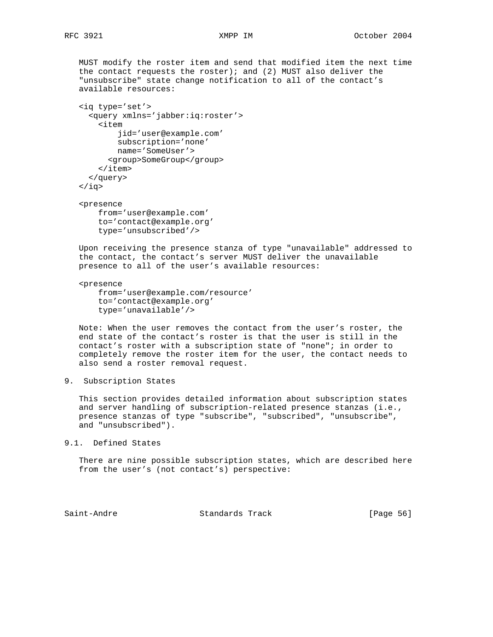MUST modify the roster item and send that modified item the next time the contact requests the roster); and (2) MUST also deliver the "unsubscribe" state change notification to all of the contact's available resources:

```
 <iq type='set'>
   <query xmlns='jabber:iq:roster'>
     <item
         jid='user@example.com'
         subscription='none'
        name='SomeUser'>
       <group>SomeGroup</group>
     </item>
   </query>
\langleiq>
```
 <presence from='user@example.com' to='contact@example.org' type='unsubscribed'/>

 Upon receiving the presence stanza of type "unavailable" addressed to the contact, the contact's server MUST deliver the unavailable presence to all of the user's available resources:

 <presence from='user@example.com/resource' to='contact@example.org' type='unavailable'/>

 Note: When the user removes the contact from the user's roster, the end state of the contact's roster is that the user is still in the contact's roster with a subscription state of "none"; in order to completely remove the roster item for the user, the contact needs to also send a roster removal request.

9. Subscription States

 This section provides detailed information about subscription states and server handling of subscription-related presence stanzas (i.e., presence stanzas of type "subscribe", "subscribed", "unsubscribe", and "unsubscribed").

9.1. Defined States

 There are nine possible subscription states, which are described here from the user's (not contact's) perspective:

Saint-Andre Standards Track [Page 56]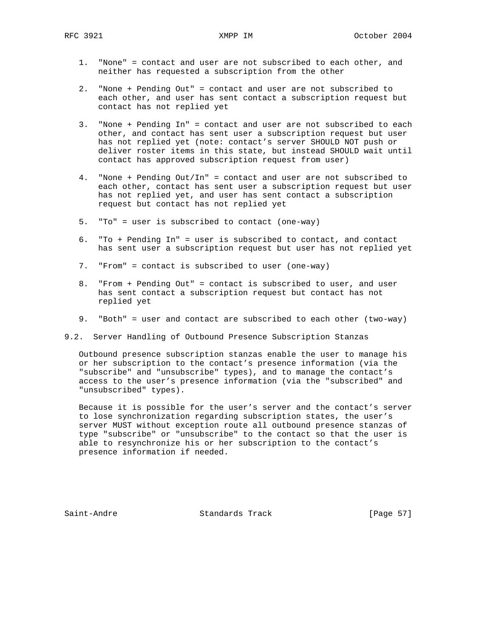- 1. "None" = contact and user are not subscribed to each other, and neither has requested a subscription from the other
- 2. "None + Pending Out" = contact and user are not subscribed to each other, and user has sent contact a subscription request but contact has not replied yet
- 3. "None + Pending In" = contact and user are not subscribed to each other, and contact has sent user a subscription request but user has not replied yet (note: contact's server SHOULD NOT push or deliver roster items in this state, but instead SHOULD wait until contact has approved subscription request from user)
- 4. "None + Pending Out/In" = contact and user are not subscribed to each other, contact has sent user a subscription request but user has not replied yet, and user has sent contact a subscription request but contact has not replied yet
- 5. "To" = user is subscribed to contact (one-way)
- 6. "To + Pending In" = user is subscribed to contact, and contact has sent user a subscription request but user has not replied yet
- 7. "From" = contact is subscribed to user (one-way)
- 8. "From + Pending Out" = contact is subscribed to user, and user has sent contact a subscription request but contact has not replied yet
- 9. "Both" = user and contact are subscribed to each other (two-way)
- 9.2. Server Handling of Outbound Presence Subscription Stanzas

 Outbound presence subscription stanzas enable the user to manage his or her subscription to the contact's presence information (via the "subscribe" and "unsubscribe" types), and to manage the contact's access to the user's presence information (via the "subscribed" and "unsubscribed" types).

 Because it is possible for the user's server and the contact's server to lose synchronization regarding subscription states, the user's server MUST without exception route all outbound presence stanzas of type "subscribe" or "unsubscribe" to the contact so that the user is able to resynchronize his or her subscription to the contact's presence information if needed.

Saint-Andre Standards Track [Page 57]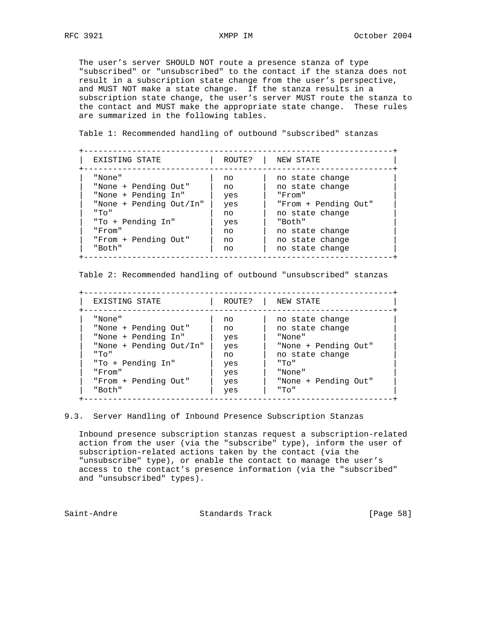The user's server SHOULD NOT route a presence stanza of type "subscribed" or "unsubscribed" to the contact if the stanza does not result in a subscription state change from the user's perspective, and MUST NOT make a state change. If the stanza results in a subscription state change, the user's server MUST route the stanza to the contact and MUST make the appropriate state change. These rules are summarized in the following tables.

Table 1: Recommended handling of outbound "subscribed" stanzas

| EXISTING STATE          | ROUTE? | NEW STATE            |
|-------------------------|--------|----------------------|
| "None"                  | no     | no state change      |
| "None + Pending Out"    | no     | no state change      |
| "None + Pending In"     | yes    | "From"               |
| "None + Pending Out/In" | yes    | "From + Pending Out" |
| " エロ                    | no     | no state change      |
| "To + Pending In"       | yes    | "Both"               |
| "From"                  | no     | no state change      |
| "From + Pending Out"    | no     | no state change      |
| "Both"                  | no     | no state change      |

Table 2: Recommended handling of outbound "unsubscribed" stanzas

 +----------------------------------------------------------------+ EXISTING STATE  $|$  ROUTE?  $|$  NEW STATE +----------------------------------------------------------------+ | "None" | no | no state change | | "None + Pending Out" | no | no state change | | "None + Pending In" | yes | "None" | | "None + Pending Out/In" | yes | "None + Pending Out" | | "To" | no | no state change | | "To + Pending In" | yes | "To" | | "From" | yes | "None" | | "From + Pending Out" | yes | "None + Pending Out" | | "Both" | yes | "To" | +----------------------------------------------------------------+

9.3. Server Handling of Inbound Presence Subscription Stanzas

 Inbound presence subscription stanzas request a subscription-related action from the user (via the "subscribe" type), inform the user of subscription-related actions taken by the contact (via the "unsubscribe" type), or enable the contact to manage the user's access to the contact's presence information (via the "subscribed" and "unsubscribed" types).

Saint-Andre Standards Track [Page 58]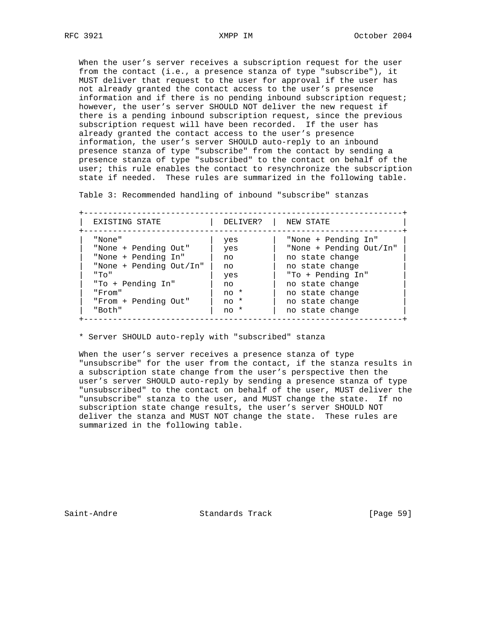When the user's server receives a subscription request for the user from the contact (i.e., a presence stanza of type "subscribe"), it MUST deliver that request to the user for approval if the user has not already granted the contact access to the user's presence information and if there is no pending inbound subscription request; however, the user's server SHOULD NOT deliver the new request if there is a pending inbound subscription request, since the previous subscription request will have been recorded. If the user has already granted the contact access to the user's presence information, the user's server SHOULD auto-reply to an inbound presence stanza of type "subscribe" from the contact by sending a presence stanza of type "subscribed" to the contact on behalf of the user; this rule enables the contact to resynchronize the subscription state if needed. These rules are summarized in the following table.

Table 3: Recommended handling of inbound "subscribe" stanzas

| EXISTING STATE          | DELIVER? | NEW STATE               |
|-------------------------|----------|-------------------------|
| "None"                  | yes      | "None + Pending In"     |
| "None + Pending Out"    | yes      | "None + Pending Out/In" |
| "None + Pending In"     | no       | no state change         |
| "None + Pending Out/In" | no       | no state change         |
| " エロ                    | yes      | "To + Pending In"       |
| "To + Pending In"       | no       | no state change         |
| "From"                  | no *     | no state change         |
| "From + Pending Out"    | no *     | no state change         |
| "Both"                  | no *     | no state change         |

\* Server SHOULD auto-reply with "subscribed" stanza

When the user's server receives a presence stanza of type "unsubscribe" for the user from the contact, if the stanza results in a subscription state change from the user's perspective then the user's server SHOULD auto-reply by sending a presence stanza of type "unsubscribed" to the contact on behalf of the user, MUST deliver the "unsubscribe" stanza to the user, and MUST change the state. If no subscription state change results, the user's server SHOULD NOT deliver the stanza and MUST NOT change the state. These rules are summarized in the following table.

Saint-Andre Standards Track [Page 59]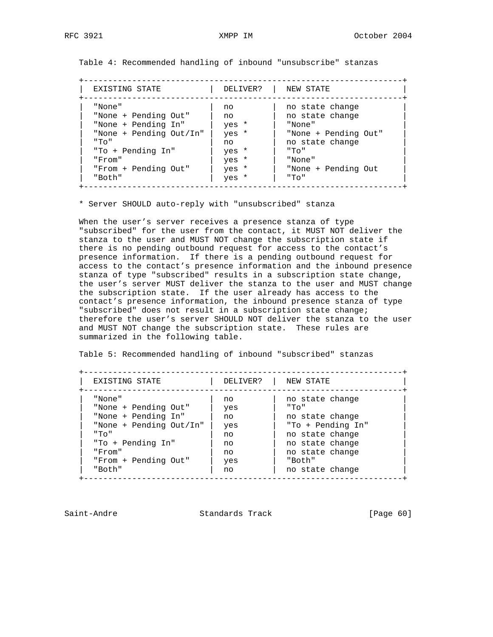Table 4: Recommended handling of inbound "unsubscribe" stanzas

 +------------------------------------------------------------------+ EXISTING STATE  $|$  DELIVER?  $|$  NEW STATE +------------------------------------------------------------------+ | "None" | no | no state change | | "None + Pending Out" | no | no state change | | "None + Pending In" | yes \* | "None" | | "None + Pending Out/In" | yes \* | "None + Pending Out" | | "To" | no | no state change | | "To + Pending In" | yes \* | "To" | | "From" | yes \* | "None" | | "From + Pending Out" | yes \* | "None + Pending Out | | "Both" | yes \* | "To" | +------------------------------------------------------------------+

\* Server SHOULD auto-reply with "unsubscribed" stanza

 When the user's server receives a presence stanza of type "subscribed" for the user from the contact, it MUST NOT deliver the stanza to the user and MUST NOT change the subscription state if there is no pending outbound request for access to the contact's presence information. If there is a pending outbound request for access to the contact's presence information and the inbound presence stanza of type "subscribed" results in a subscription state change, the user's server MUST deliver the stanza to the user and MUST change the subscription state. If the user already has access to the contact's presence information, the inbound presence stanza of type "subscribed" does not result in a subscription state change; therefore the user's server SHOULD NOT deliver the stanza to the user and MUST NOT change the subscription state. These rules are summarized in the following table.

Table 5: Recommended handling of inbound "subscribed" stanzas

| EXISTING STATE          | DELIVER? | NEW STATE         |
|-------------------------|----------|-------------------|
| "None"                  | no       | no state change   |
| "None + Pending Out"    | yes      | " ፐი "            |
| "None + Pending In"     | no       | no state change   |
| "None + Pending Out/In" | yes      | "To + Pending In" |
| " エロ                    | no       | no state change   |
| "To + Pending In"       | no       | no state change   |
| "From"                  | no       | no state change   |
| "From + Pending Out"    | yes      | "Both"            |
| "Both"                  | no       | no state change   |

Saint-Andre Standards Track [Page 60]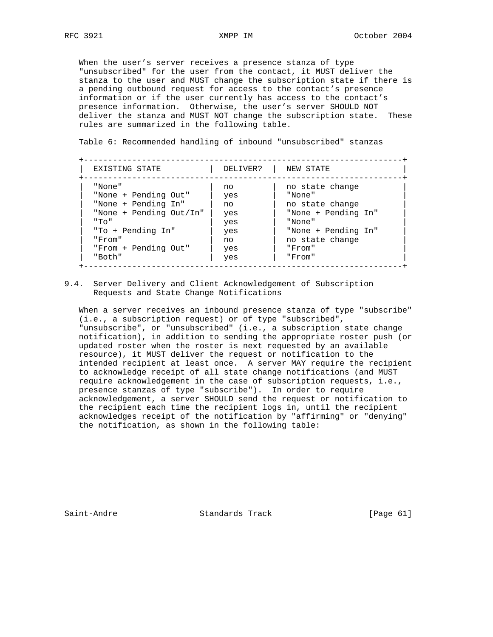When the user's server receives a presence stanza of type "unsubscribed" for the user from the contact, it MUST deliver the stanza to the user and MUST change the subscription state if there is a pending outbound request for access to the contact's presence information or if the user currently has access to the contact's presence information. Otherwise, the user's server SHOULD NOT deliver the stanza and MUST NOT change the subscription state. These rules are summarized in the following table.

Table 6: Recommended handling of inbound "unsubscribed" stanzas

| EXISTING STATE          | DELIVER? | NEW STATE           |
|-------------------------|----------|---------------------|
| "None"                  | no       | no state change     |
| "None + Pending Out"    | yes      | "None"              |
| "None + Pending In"     | no       | no state change     |
| "None + Pending Out/In" | yes      | "None + Pending In" |
| " エロ                    | yes      | "None"              |
| "To + Pending In"       | yes      | "None + Pending In" |
| "From"                  | no       | no state change     |
| "From + Pending Out"    | yes      | "From"              |
| "Both"                  | yes      | "From"              |

9.4. Server Delivery and Client Acknowledgement of Subscription Requests and State Change Notifications

 When a server receives an inbound presence stanza of type "subscribe" (i.e., a subscription request) or of type "subscribed", "unsubscribe", or "unsubscribed" (i.e., a subscription state change notification), in addition to sending the appropriate roster push (or updated roster when the roster is next requested by an available resource), it MUST deliver the request or notification to the intended recipient at least once. A server MAY require the recipient to acknowledge receipt of all state change notifications (and MUST require acknowledgement in the case of subscription requests, i.e., presence stanzas of type "subscribe"). In order to require acknowledgement, a server SHOULD send the request or notification to the recipient each time the recipient logs in, until the recipient acknowledges receipt of the notification by "affirming" or "denying" the notification, as shown in the following table:

Saint-Andre Standards Track [Page 61]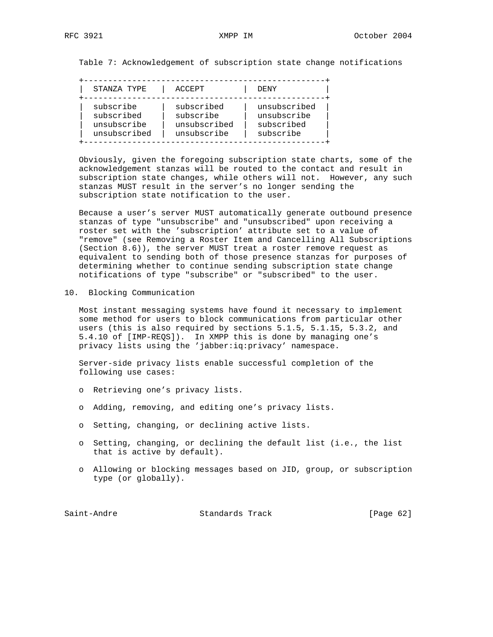Table 7: Acknowledgement of subscription state change notifications

| STANZA TYPE                                            |
|--------------------------------------------------------|
| subscribe<br>subscribed<br>unsubscribe<br>unsubscribed |

 Obviously, given the foregoing subscription state charts, some of the acknowledgement stanzas will be routed to the contact and result in subscription state changes, while others will not. However, any such stanzas MUST result in the server's no longer sending the subscription state notification to the user.

 Because a user's server MUST automatically generate outbound presence stanzas of type "unsubscribe" and "unsubscribed" upon receiving a roster set with the 'subscription' attribute set to a value of "remove" (see Removing a Roster Item and Cancelling All Subscriptions (Section 8.6)), the server MUST treat a roster remove request as equivalent to sending both of those presence stanzas for purposes of determining whether to continue sending subscription state change notifications of type "subscribe" or "subscribed" to the user.

# 10. Blocking Communication

 Most instant messaging systems have found it necessary to implement some method for users to block communications from particular other users (this is also required by sections 5.1.5, 5.1.15, 5.3.2, and 5.4.10 of [IMP-REQS]). In XMPP this is done by managing one's privacy lists using the 'jabber:iq:privacy' namespace.

 Server-side privacy lists enable successful completion of the following use cases:

- o Retrieving one's privacy lists.
- o Adding, removing, and editing one's privacy lists.
- o Setting, changing, or declining active lists.
- o Setting, changing, or declining the default list (i.e., the list that is active by default).
- o Allowing or blocking messages based on JID, group, or subscription type (or globally).

Saint-Andre Standards Track [Page 62]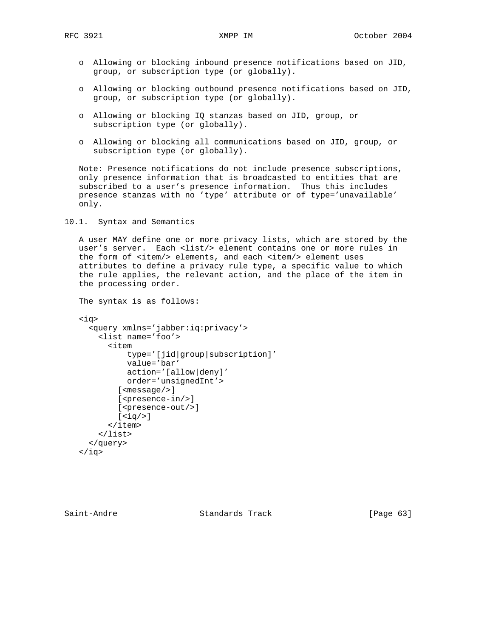- o Allowing or blocking inbound presence notifications based on JID, group, or subscription type (or globally).
- o Allowing or blocking outbound presence notifications based on JID, group, or subscription type (or globally).
- o Allowing or blocking IQ stanzas based on JID, group, or subscription type (or globally).
- o Allowing or blocking all communications based on JID, group, or subscription type (or globally).

 Note: Presence notifications do not include presence subscriptions, only presence information that is broadcasted to entities that are subscribed to a user's presence information. Thus this includes presence stanzas with no 'type' attribute or of type='unavailable' only.

10.1. Syntax and Semantics

 A user MAY define one or more privacy lists, which are stored by the user's server. Each <list/> element contains one or more rules in the form of <item/> elements, and each <item/> element uses attributes to define a privacy rule type, a specific value to which the rule applies, the relevant action, and the place of the item in the processing order.

The syntax is as follows:

```
 <iq>
   <query xmlns='jabber:iq:privacy'>
     <list name='foo'>
        <item
            type='[jid|group|subscription]'
            value='bar'
            action='[allow|deny]'
            order='unsignedInt'>
          [<message/>]
         [<presence-in/>]
         [ <presence-out/>]
         [\langle iq/>\rangle] </item>
    \langlelist>
   </query>
\langleiq>
```
Saint-Andre Standards Track [Page 63]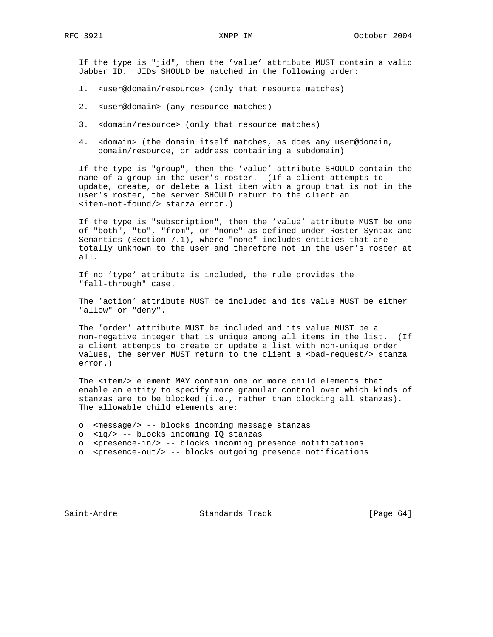If the type is "jid", then the 'value' attribute MUST contain a valid Jabber ID. JIDs SHOULD be matched in the following order:

- 1. <user@domain/resource> (only that resource matches)
- 2. <user@domain> (any resource matches)
- 3. <domain/resource> (only that resource matches)
- 4. <domain> (the domain itself matches, as does any user@domain, domain/resource, or address containing a subdomain)

 If the type is "group", then the 'value' attribute SHOULD contain the name of a group in the user's roster. (If a client attempts to update, create, or delete a list item with a group that is not in the user's roster, the server SHOULD return to the client an <item-not-found/> stanza error.)

 If the type is "subscription", then the 'value' attribute MUST be one of "both", "to", "from", or "none" as defined under Roster Syntax and Semantics (Section 7.1), where "none" includes entities that are totally unknown to the user and therefore not in the user's roster at all.

 If no 'type' attribute is included, the rule provides the "fall-through" case.

 The 'action' attribute MUST be included and its value MUST be either "allow" or "deny".

 The 'order' attribute MUST be included and its value MUST be a non-negative integer that is unique among all items in the list. (If a client attempts to create or update a list with non-unique order values, the server MUST return to the client a <br/>bad-request/> stanza error.)

 The <item/> element MAY contain one or more child elements that enable an entity to specify more granular control over which kinds of stanzas are to be blocked (i.e., rather than blocking all stanzas). The allowable child elements are:

- o <message/> -- blocks incoming message stanzas
- o <iq/> -- blocks incoming IQ stanzas
- o <presence-in/> -- blocks incoming presence notifications
- o <presence-out/> -- blocks outgoing presence notifications

Saint-Andre Standards Track [Page 64]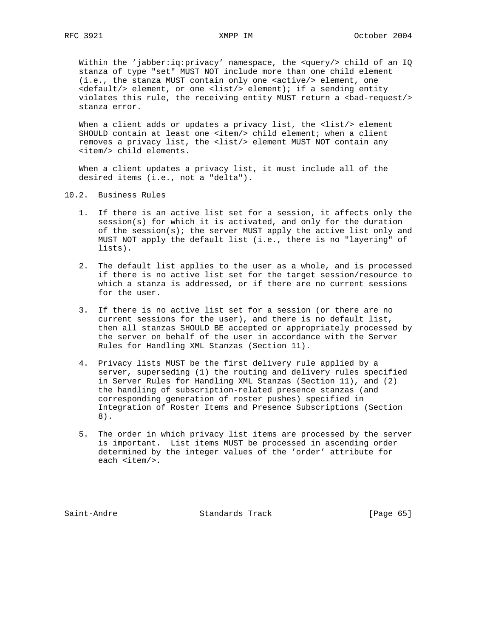Within the 'jabber:iq:privacy' namespace, the <query/> child of an IQ stanza of type "set" MUST NOT include more than one child element (i.e., the stanza MUST contain only one <active/> element, one <default/> element, or one <list/> element); if a sending entity violates this rule, the receiving entity MUST return a <br/>bad-request/>>>> stanza error.

When a client adds or updates a privacy list, the <list/> element SHOULD contain at least one <item/> child element; when a client removes a privacy list, the <list/> element MUST NOT contain any <item/> child elements.

 When a client updates a privacy list, it must include all of the desired items (i.e., not a "delta").

- 10.2. Business Rules
	- 1. If there is an active list set for a session, it affects only the session(s) for which it is activated, and only for the duration of the session(s); the server MUST apply the active list only and MUST NOT apply the default list (i.e., there is no "layering" of lists).
	- 2. The default list applies to the user as a whole, and is processed if there is no active list set for the target session/resource to which a stanza is addressed, or if there are no current sessions for the user.
	- 3. If there is no active list set for a session (or there are no current sessions for the user), and there is no default list, then all stanzas SHOULD BE accepted or appropriately processed by the server on behalf of the user in accordance with the Server Rules for Handling XML Stanzas (Section 11).
	- 4. Privacy lists MUST be the first delivery rule applied by a server, superseding (1) the routing and delivery rules specified in Server Rules for Handling XML Stanzas (Section 11), and (2) the handling of subscription-related presence stanzas (and corresponding generation of roster pushes) specified in Integration of Roster Items and Presence Subscriptions (Section 8).
	- 5. The order in which privacy list items are processed by the server is important. List items MUST be processed in ascending order determined by the integer values of the 'order' attribute for each <item/>.

Saint-Andre Standards Track [Page 65]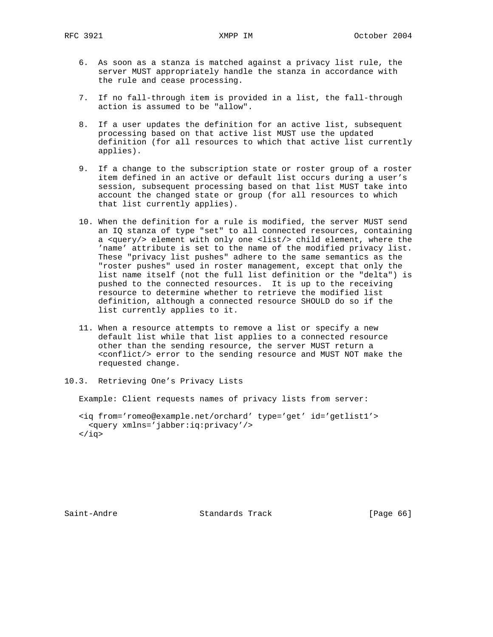- 6. As soon as a stanza is matched against a privacy list rule, the server MUST appropriately handle the stanza in accordance with the rule and cease processing.
- 7. If no fall-through item is provided in a list, the fall-through action is assumed to be "allow".
- 8. If a user updates the definition for an active list, subsequent processing based on that active list MUST use the updated definition (for all resources to which that active list currently applies).
- 9. If a change to the subscription state or roster group of a roster item defined in an active or default list occurs during a user's session, subsequent processing based on that list MUST take into account the changed state or group (for all resources to which that list currently applies).
- 10. When the definition for a rule is modified, the server MUST send an IQ stanza of type "set" to all connected resources, containing a <query/> element with only one <list/> child element, where the 'name' attribute is set to the name of the modified privacy list. These "privacy list pushes" adhere to the same semantics as the "roster pushes" used in roster management, except that only the list name itself (not the full list definition or the "delta") is pushed to the connected resources. It is up to the receiving resource to determine whether to retrieve the modified list definition, although a connected resource SHOULD do so if the list currently applies to it.
- 11. When a resource attempts to remove a list or specify a new default list while that list applies to a connected resource other than the sending resource, the server MUST return a <conflict/> error to the sending resource and MUST NOT make the requested change.
- 10.3. Retrieving One's Privacy Lists

Example: Client requests names of privacy lists from server:

 <iq from='romeo@example.net/orchard' type='get' id='getlist1'> <query xmlns='jabber:iq:privacy'/>  $\langle$ iq>

Saint-Andre Standards Track [Page 66]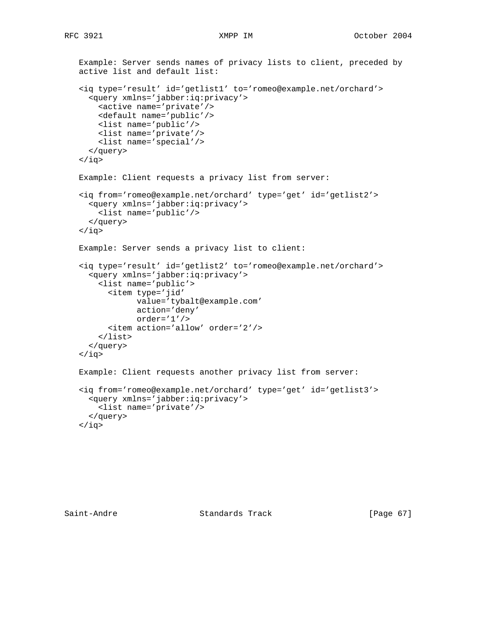```
 Example: Server sends names of privacy lists to client, preceded by
 active list and default list:
 <iq type='result' id='getlist1' to='romeo@example.net/orchard'>
   <query xmlns='jabber:iq:privacy'>
     <active name='private'/>
     <default name='public'/>
     <list name='public'/>
     <list name='private'/>
     <list name='special'/>
   </query>
\langleiq>
 Example: Client requests a privacy list from server:
 <iq from='romeo@example.net/orchard' type='get' id='getlist2'>
   <query xmlns='jabber:iq:privacy'>
     <list name='public'/>
   </query>
 </iq>
 Example: Server sends a privacy list to client:
 <iq type='result' id='getlist2' to='romeo@example.net/orchard'>
   <query xmlns='jabber:iq:privacy'>
     <list name='public'>
       <item type='jid'
             value='tybalt@example.com'
             action='deny'
             order='1'/>
       <item action='allow' order='2'/>
     </list>
   </query>
\langleiq>
 Example: Client requests another privacy list from server:
 <iq from='romeo@example.net/orchard' type='get' id='getlist3'>
   <query xmlns='jabber:iq:privacy'>
     <list name='private'/>
   </query>
\langleiq>
```
Saint-Andre Standards Track [Page 67]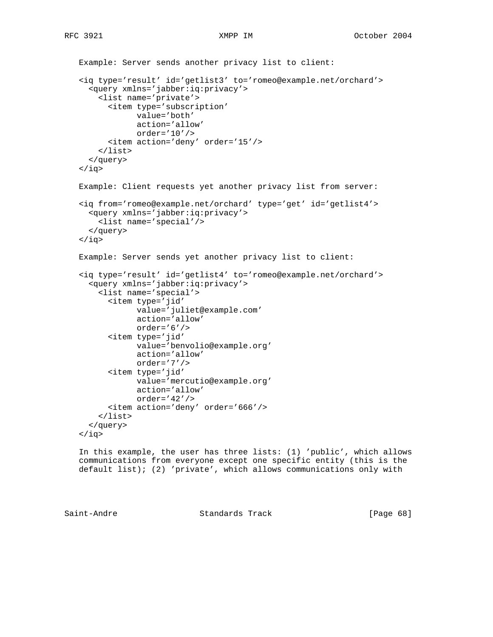```
 Example: Server sends another privacy list to client:
 <iq type='result' id='getlist3' to='romeo@example.net/orchard'>
   <query xmlns='jabber:iq:privacy'>
     <list name='private'>
       <item type='subscription'
             value='both'
             action='allow'
             order='10'/>
       <item action='deny' order='15'/>
     </list>
   </query>
\langleiq>
 Example: Client requests yet another privacy list from server:
 <iq from='romeo@example.net/orchard' type='get' id='getlist4'>
   <query xmlns='jabber:iq:privacy'>
     <list name='special'/>
   </query>
\langleiq>
 Example: Server sends yet another privacy list to client:
 <iq type='result' id='getlist4' to='romeo@example.net/orchard'>
   <query xmlns='jabber:iq:privacy'>
     <list name='special'>
       <item type='jid'
             value='juliet@example.com'
             action='allow'
             order='6'/>
       <item type='jid'
             value='benvolio@example.org'
             action='allow'
             order='7'/>
       <item type='jid'
             value='mercutio@example.org'
             action='allow'
             order='42'/>
       <item action='deny' order='666'/>
     </list>
   </query>
\langleiq>
```
 In this example, the user has three lists: (1) 'public', which allows communications from everyone except one specific entity (this is the default list); (2) 'private', which allows communications only with

Saint-Andre Standards Track [Page 68]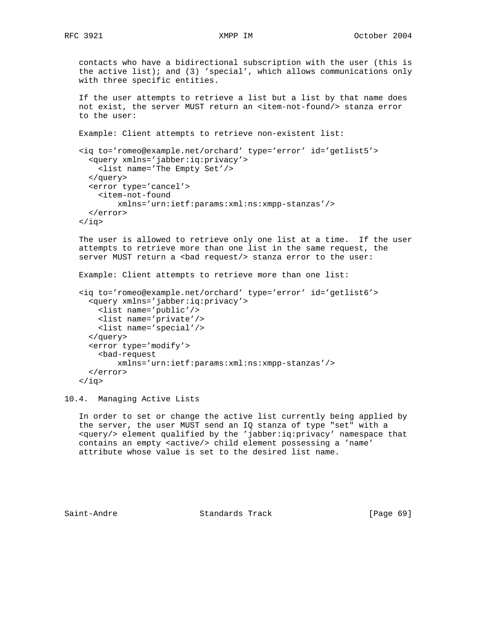```
 contacts who have a bidirectional subscription with the user (this is
 the active list); and (3) 'special', which allows communications only
 with three specific entities.
 If the user attempts to retrieve a list but a list by that name does
not exist, the server MUST return an <item-not-found/> stanza error
 to the user:
 Example: Client attempts to retrieve non-existent list:
 <iq to='romeo@example.net/orchard' type='error' id='getlist5'>
   <query xmlns='jabber:iq:privacy'>
    <list name='The Empty Set'/>
   </query>
   <error type='cancel'>
    <item-not-found
         xmlns='urn:ietf:params:xml:ns:xmpp-stanzas'/>
   </error>
\langleiq>
 The user is allowed to retrieve only one list at a time. If the user
 attempts to retrieve more than one list in the same request, the
server MUST return a <br/>bad request/> stanza error to the user:
 Example: Client attempts to retrieve more than one list:
 <iq to='romeo@example.net/orchard' type='error' id='getlist6'>
   <query xmlns='jabber:iq:privacy'>
     <list name='public'/>
     <list name='private'/>
     <list name='special'/>
   </query>
   <error type='modify'>
     <bad-request
         xmlns='urn:ietf:params:xml:ns:xmpp-stanzas'/>
   </error>
\langle iq \rangle
```
10.4. Managing Active Lists

 In order to set or change the active list currently being applied by the server, the user MUST send an IQ stanza of type "set" with a <query/> element qualified by the 'jabber:iq:privacy' namespace that contains an empty <active/> child element possessing a 'name' attribute whose value is set to the desired list name.

Saint-Andre Standards Track [Page 69]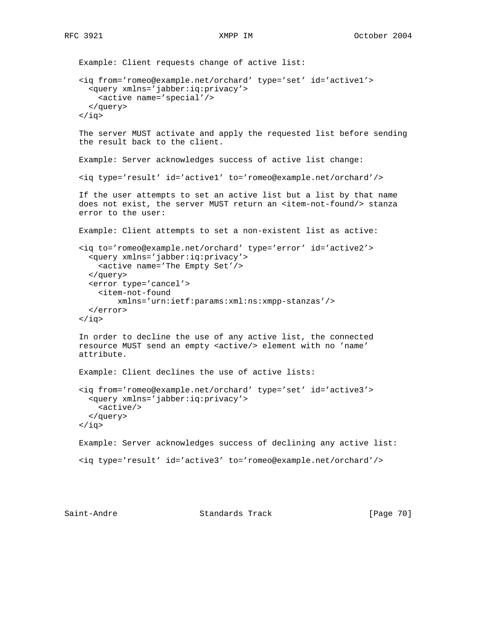```
 Example: Client requests change of active list:
 <iq from='romeo@example.net/orchard' type='set' id='active1'>
   <query xmlns='jabber:iq:privacy'>
     <active name='special'/>
   </query>
\langleiq>
 The server MUST activate and apply the requested list before sending
 the result back to the client.
 Example: Server acknowledges success of active list change:
 <iq type='result' id='active1' to='romeo@example.net/orchard'/>
 If the user attempts to set an active list but a list by that name
does not exist, the server MUST return an <item-not-found/> stanza
 error to the user:
 Example: Client attempts to set a non-existent list as active:
 <iq to='romeo@example.net/orchard' type='error' id='active2'>
   <query xmlns='jabber:iq:privacy'>
     <active name='The Empty Set'/>
   </query>
   <error type='cancel'>
     <item-not-found
         xmlns='urn:ietf:params:xml:ns:xmpp-stanzas'/>
   </error>
\langleiq>
 In order to decline the use of any active list, the connected
 resource MUST send an empty <active/> element with no 'name'
 attribute.
 Example: Client declines the use of active lists:
 <iq from='romeo@example.net/orchard' type='set' id='active3'>
   <query xmlns='jabber:iq:privacy'>
     <active/>
   </query>
\langleiq>
 Example: Server acknowledges success of declining any active list:
 <iq type='result' id='active3' to='romeo@example.net/orchard'/>
```
Saint-Andre Standards Track [Page 70]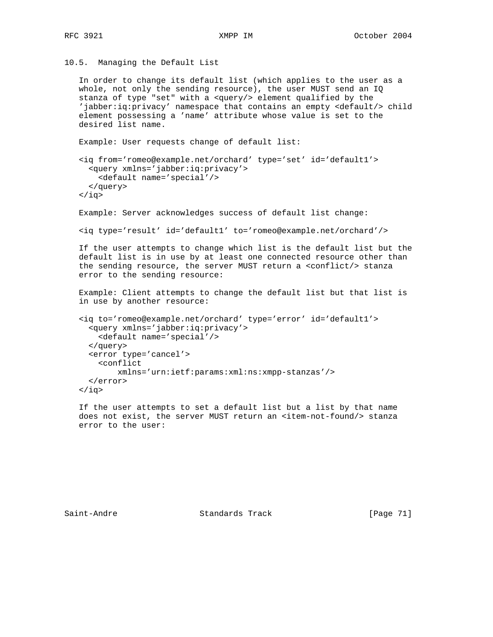10.5. Managing the Default List

```
 In order to change its default list (which applies to the user as a
 whole, not only the sending resource), the user MUST send an IQ
 stanza of type "set" with a <query/> element qualified by the
 'jabber:iq:privacy' namespace that contains an empty <default/> child
 element possessing a 'name' attribute whose value is set to the
 desired list name.
 Example: User requests change of default list:
 <iq from='romeo@example.net/orchard' type='set' id='default1'>
   <query xmlns='jabber:iq:privacy'>
    <default name='special'/>
   </query>
\langleiq>
 Example: Server acknowledges success of default list change:
 <iq type='result' id='default1' to='romeo@example.net/orchard'/>
 If the user attempts to change which list is the default list but the
 default list is in use by at least one connected resource other than
 the sending resource, the server MUST return a <conflict/> stanza
 error to the sending resource:
 Example: Client attempts to change the default list but that list is
 in use by another resource:
 <iq to='romeo@example.net/orchard' type='error' id='default1'>
   <query xmlns='jabber:iq:privacy'>
     <default name='special'/>
   </query>
   <error type='cancel'>
     <conflict
         xmlns='urn:ietf:params:xml:ns:xmpp-stanzas'/>
   </error>
\langleiq>
```
 If the user attempts to set a default list but a list by that name does not exist, the server MUST return an <item-not-found/> stanza error to the user:

Saint-Andre Standards Track [Page 71]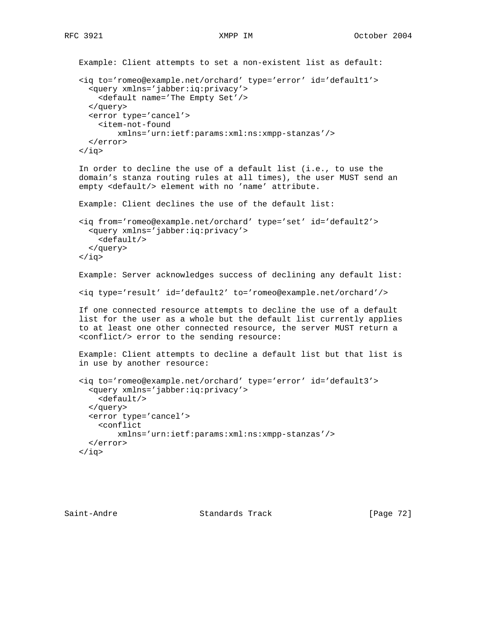```
 Example: Client attempts to set a non-existent list as default:
 <iq to='romeo@example.net/orchard' type='error' id='default1'>
   <query xmlns='jabber:iq:privacy'>
     <default name='The Empty Set'/>
   </query>
   <error type='cancel'>
     <item-not-found
         xmlns='urn:ietf:params:xml:ns:xmpp-stanzas'/>
   </error>
\langleiq>
 In order to decline the use of a default list (i.e., to use the
 domain's stanza routing rules at all times), the user MUST send an
 empty <default/> element with no 'name' attribute.
 Example: Client declines the use of the default list:
 <iq from='romeo@example.net/orchard' type='set' id='default2'>
   <query xmlns='jabber:iq:privacy'>
     <default/>
   </query>
\langleiq>
 Example: Server acknowledges success of declining any default list:
 <iq type='result' id='default2' to='romeo@example.net/orchard'/>
 If one connected resource attempts to decline the use of a default
 list for the user as a whole but the default list currently applies
 to at least one other connected resource, the server MUST return a
 <conflict/> error to the sending resource:
 Example: Client attempts to decline a default list but that list is
 in use by another resource:
 <iq to='romeo@example.net/orchard' type='error' id='default3'>
   <query xmlns='jabber:iq:privacy'>
     <default/>
   </query>
   <error type='cancel'>
     <conflict
         xmlns='urn:ietf:params:xml:ns:xmpp-stanzas'/>
   </error>
\langleiq>
```
Saint-Andre Standards Track [Page 72]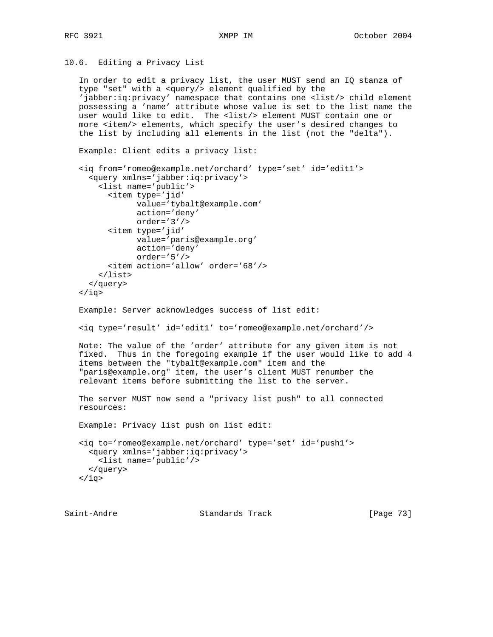10.6. Editing a Privacy List

 In order to edit a privacy list, the user MUST send an IQ stanza of type "set" with a <query/> element qualified by the 'jabber:iq:privacy' namespace that contains one <list/> child element possessing a 'name' attribute whose value is set to the list name the user would like to edit. The <list/> element MUST contain one or more <item/> elements, which specify the user's desired changes to the list by including all elements in the list (not the "delta").

Example: Client edits a privacy list:

```
 <iq from='romeo@example.net/orchard' type='set' id='edit1'>
   <query xmlns='jabber:iq:privacy'>
     <list name='public'>
       <item type='jid'
             value='tybalt@example.com'
             action='deny'
             order='3'/>
       <item type='jid'
             value='paris@example.org'
             action='deny'
             order='5'/>
       <item action='allow' order='68'/>
     </list>
   </query>
\langleiq>
```

```
 Example: Server acknowledges success of list edit:
```
<iq type='result' id='edit1' to='romeo@example.net/orchard'/>

 Note: The value of the 'order' attribute for any given item is not fixed. Thus in the foregoing example if the user would like to add 4 items between the "tybalt@example.com" item and the "paris@example.org" item, the user's client MUST renumber the relevant items before submitting the list to the server.

 The server MUST now send a "privacy list push" to all connected resources:

Example: Privacy list push on list edit:

 <iq to='romeo@example.net/orchard' type='set' id='push1'> <query xmlns='jabber:iq:privacy'> <list name='public'/> </query>  $\langle$ iq>

Saint-Andre Standards Track [Page 73]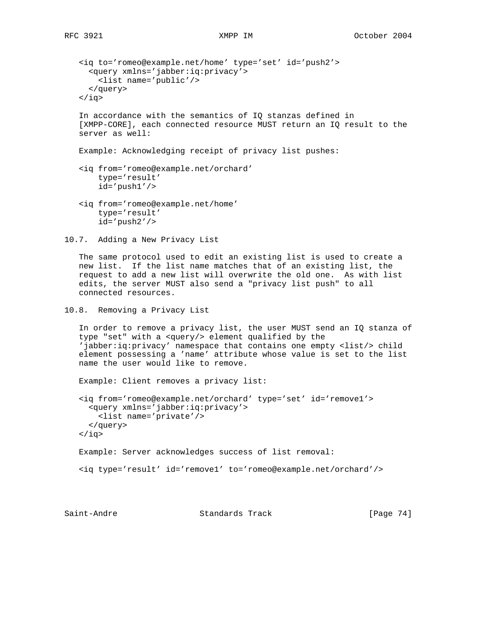```
 <iq to='romeo@example.net/home' type='set' id='push2'>
   <query xmlns='jabber:iq:privacy'>
    <list name='public'/>
   </query>
 </iq>
 In accordance with the semantics of IQ stanzas defined in
```
 [XMPP-CORE], each connected resource MUST return an IQ result to the server as well:

Example: Acknowledging receipt of privacy list pushes:

- <iq from='romeo@example.net/orchard' type='result' id='push1'/>
- <iq from='romeo@example.net/home' type='result' id='push2'/>
- 10.7. Adding a New Privacy List

 The same protocol used to edit an existing list is used to create a new list. If the list name matches that of an existing list, the request to add a new list will overwrite the old one. As with list edits, the server MUST also send a "privacy list push" to all connected resources.

```
10.8. Removing a Privacy List
```
 In order to remove a privacy list, the user MUST send an IQ stanza of type "set" with a <query/> element qualified by the 'jabber:iq:privacy' namespace that contains one empty <list/> child element possessing a 'name' attribute whose value is set to the list name the user would like to remove.

Example: Client removes a privacy list:

```
 <iq from='romeo@example.net/orchard' type='set' id='remove1'>
  <query xmlns='jabber:iq:privacy'>
    <list name='private'/>
  </query>
 </iq>
 Example: Server acknowledges success of list removal:
```
<iq type='result' id='remove1' to='romeo@example.net/orchard'/>

Saint-Andre Standards Track [Page 74]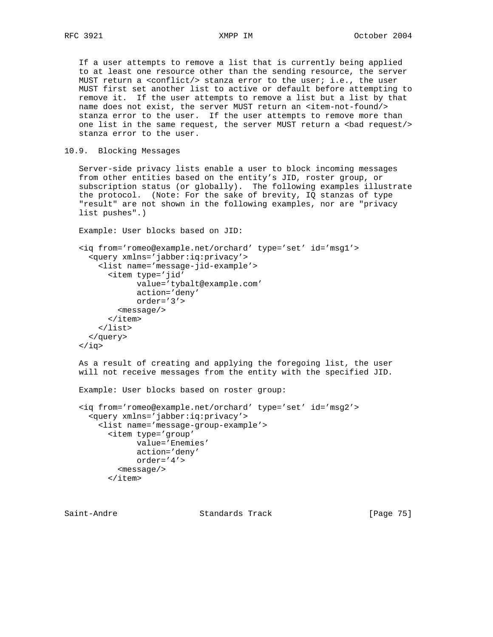If a user attempts to remove a list that is currently being applied to at least one resource other than the sending resource, the server MUST return a <conflict/> stanza error to the user; i.e., the user MUST first set another list to active or default before attempting to remove it. If the user attempts to remove a list but a list by that name does not exist, the server MUST return an <item-not-found/> stanza error to the user. If the user attempts to remove more than one list in the same request, the server MUST return a <br/>bad request/> stanza error to the user.

10.9. Blocking Messages

 Server-side privacy lists enable a user to block incoming messages from other entities based on the entity's JID, roster group, or subscription status (or globally). The following examples illustrate the protocol. (Note: For the sake of brevity, IQ stanzas of type "result" are not shown in the following examples, nor are "privacy list pushes".)

Example: User blocks based on JID:

```
 <iq from='romeo@example.net/orchard' type='set' id='msg1'>
   <query xmlns='jabber:iq:privacy'>
     <list name='message-jid-example'>
       <item type='jid'
              value='tybalt@example.com'
              action='deny'
             order='3'>
         <message/>
       </item>
     </list>
   </query>
\langleiq>
```
 As a result of creating and applying the foregoing list, the user will not receive messages from the entity with the specified JID.

```
 Example: User blocks based on roster group:
```

```
 <iq from='romeo@example.net/orchard' type='set' id='msg2'>
   <query xmlns='jabber:iq:privacy'>
     <list name='message-group-example'>
       <item type='group'
            value='Enemies'
             action='deny'
             order='4'>
         <message/>
       </item>
```
Saint-Andre Standards Track [Page 75]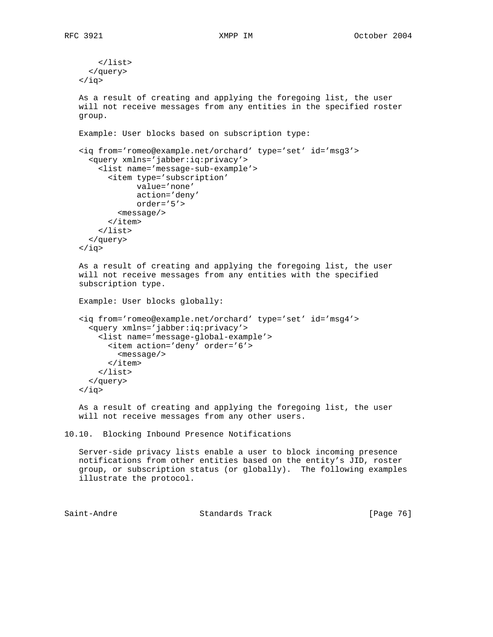```
 </list>
   </query>
\langleiq>
 As a result of creating and applying the foregoing list, the user
 will not receive messages from any entities in the specified roster
 group.
 Example: User blocks based on subscription type:
 <iq from='romeo@example.net/orchard' type='set' id='msg3'>
   <query xmlns='jabber:iq:privacy'>
     <list name='message-sub-example'>
       <item type='subscription'
             value='none'
             action='deny'
             order='5'>
         <message/>
       </item>
     </list>
   </query>
\langleiq>
 As a result of creating and applying the foregoing list, the user
 will not receive messages from any entities with the specified
 subscription type.
 Example: User blocks globally:
 <iq from='romeo@example.net/orchard' type='set' id='msg4'>
   <query xmlns='jabber:iq:privacy'>
     <list name='message-global-example'>
       <item action='deny' order='6'>
```
 <message/> </item> </list> </query> </iq>

 As a result of creating and applying the foregoing list, the user will not receive messages from any other users.

10.10. Blocking Inbound Presence Notifications

 Server-side privacy lists enable a user to block incoming presence notifications from other entities based on the entity's JID, roster group, or subscription status (or globally). The following examples illustrate the protocol.

Saint-Andre Standards Track [Page 76]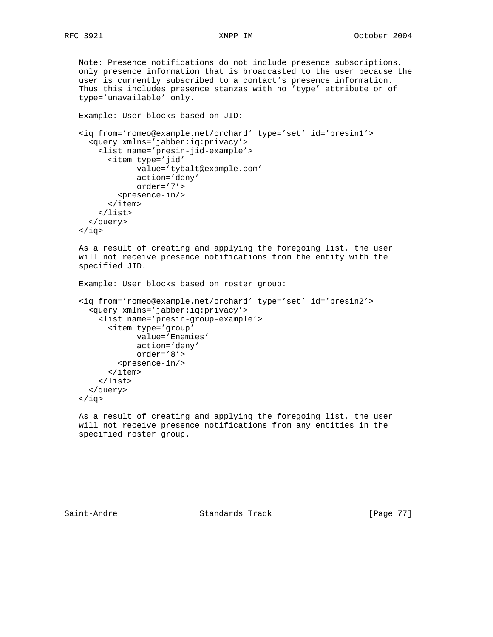Note: Presence notifications do not include presence subscriptions, only presence information that is broadcasted to the user because the user is currently subscribed to a contact's presence information. Thus this includes presence stanzas with no 'type' attribute or of type='unavailable' only.

```
 Example: User blocks based on JID:
 <iq from='romeo@example.net/orchard' type='set' id='presin1'>
   <query xmlns='jabber:iq:privacy'>
     <list name='presin-jid-example'>
       <item type='jid'
             value='tybalt@example.com'
             action='deny'
             order='7'>
         <presence-in/>
       </item>
     </list>
   </query>
 </iq>
```

```
 As a result of creating and applying the foregoing list, the user
 will not receive presence notifications from the entity with the
 specified JID.
```

```
 Example: User blocks based on roster group:
```

```
 <iq from='romeo@example.net/orchard' type='set' id='presin2'>
   <query xmlns='jabber:iq:privacy'>
     <list name='presin-group-example'>
       <item type='group'
             value='Enemies'
             action='deny'
             order='8'>
         <presence-in/>
       </item>
     </list>
   </query>
\langleiq>
```
 As a result of creating and applying the foregoing list, the user will not receive presence notifications from any entities in the specified roster group.

Saint-Andre Standards Track [Page 77]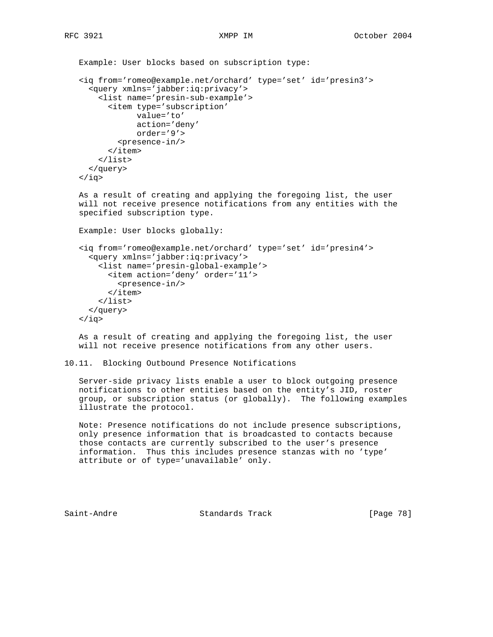Example: User blocks based on subscription type: <iq from='romeo@example.net/orchard' type='set' id='presin3'> <query xmlns='jabber:iq:privacy'> <list name='presin-sub-example'> <item type='subscription' value='to' action='deny' order='9'> <presence-in/> </item> </list> </query>  $\langle$ iq> As a result of creating and applying the foregoing list, the user will not receive presence notifications from any entities with the specified subscription type.

Example: User blocks globally:

 <iq from='romeo@example.net/orchard' type='set' id='presin4'> <query xmlns='jabber:iq:privacy'> <list name='presin-global-example'> <item action='deny' order='11'> <presence-in/> </item> </list> </query> </iq>

 As a result of creating and applying the foregoing list, the user will not receive presence notifications from any other users.

```
10.11. Blocking Outbound Presence Notifications
```
 Server-side privacy lists enable a user to block outgoing presence notifications to other entities based on the entity's JID, roster group, or subscription status (or globally). The following examples illustrate the protocol.

 Note: Presence notifications do not include presence subscriptions, only presence information that is broadcasted to contacts because those contacts are currently subscribed to the user's presence information. Thus this includes presence stanzas with no 'type' attribute or of type='unavailable' only.

Saint-Andre Standards Track [Page 78]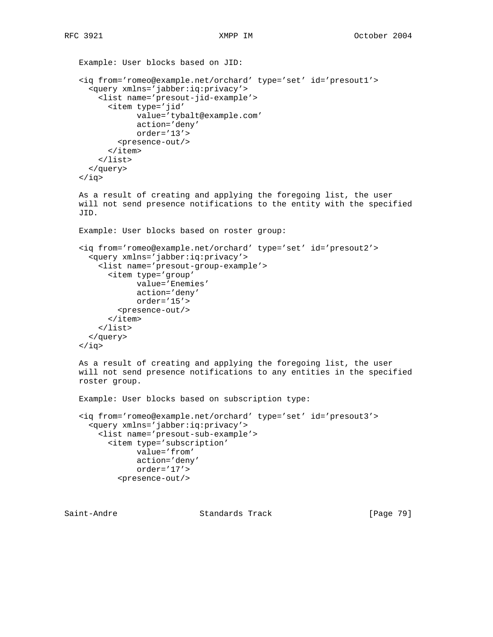```
 Example: User blocks based on JID:
 <iq from='romeo@example.net/orchard' type='set' id='presout1'>
   <query xmlns='jabber:iq:privacy'>
     <list name='presout-jid-example'>
       <item type='jid'
             value='tybalt@example.com'
             action='deny'
             order='13'>
         <presence-out/>
       </item>
     </list>
   </query>
 </iq>
 As a result of creating and applying the foregoing list, the user
 will not send presence notifications to the entity with the specified
 JID.
 Example: User blocks based on roster group:
 <iq from='romeo@example.net/orchard' type='set' id='presout2'>
   <query xmlns='jabber:iq:privacy'>
     <list name='presout-group-example'>
       <item type='group'
             value='Enemies'
             action='deny'
             order='15'>
         <presence-out/>
       </item>
     </list>
   </query>
\langleiq>
 As a result of creating and applying the foregoing list, the user
 will not send presence notifications to any entities in the specified
 roster group.
 Example: User blocks based on subscription type:
 <iq from='romeo@example.net/orchard' type='set' id='presout3'>
   <query xmlns='jabber:iq:privacy'>
     <list name='presout-sub-example'>
       <item type='subscription'
             value='from'
             action='deny'
             order='17'>
```
<presence-out/>

Saint-Andre Standards Track [Page 79]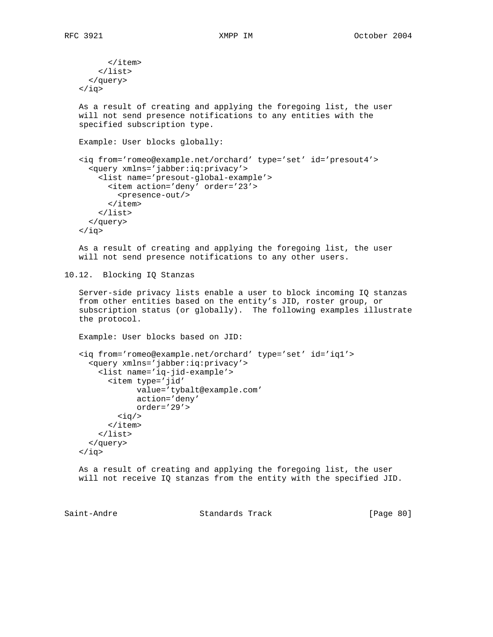```
 </item>
        </list>
      </query>
   \langleiq>
    As a result of creating and applying the foregoing list, the user
    will not send presence notifications to any entities with the
    specified subscription type.
    Example: User blocks globally:
    <iq from='romeo@example.net/orchard' type='set' id='presout4'>
      <query xmlns='jabber:iq:privacy'>
        <list name='presout-global-example'>
          <item action='deny' order='23'>
           <presence-out/>
          </item>
        </list>
      </query>
    </iq>
    As a result of creating and applying the foregoing list, the user
    will not send presence notifications to any other users.
10.12. Blocking IQ Stanzas
    Server-side privacy lists enable a user to block incoming IQ stanzas
    from other entities based on the entity's JID, roster group, or
    subscription status (or globally). The following examples illustrate
    the protocol.
    Example: User blocks based on JID:
    <iq from='romeo@example.net/orchard' type='set' id='iq1'>
      <query xmlns='jabber:iq:privacy'>
```
 <list name='iq-jid-example'> <item type='jid' value='tybalt@example.com' action='deny' order='29'>  $\langle iq \rangle$  </item> </list> </query>

```
 As a result of creating and applying the foregoing list, the user
 will not receive IQ stanzas from the entity with the specified JID.
```
 $\langle$ iq>

Saint-Andre Standards Track [Page 80]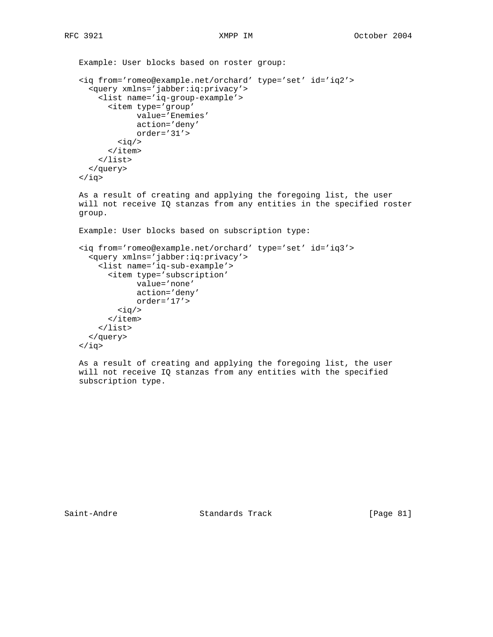Example: User blocks based on roster group: <iq from='romeo@example.net/orchard' type='set' id='iq2'> <query xmlns='jabber:iq:privacy'> <list name='iq-group-example'> <item type='group' value='Enemies' action='deny' order='31'>  $\langle iq \rangle$  </item> </list> </query> </iq> As a result of creating and applying the foregoing list, the user will not receive IQ stanzas from any entities in the specified roster group. Example: User blocks based on subscription type: <iq from='romeo@example.net/orchard' type='set' id='iq3'> <query xmlns='jabber:iq:privacy'> <list name='iq-sub-example'> <item type='subscription' value='none' action='deny' order='17'>  $\langle iq \rangle$  </item> </list> </query>  $\langle$ iq>

 As a result of creating and applying the foregoing list, the user will not receive IQ stanzas from any entities with the specified subscription type.

Saint-Andre Standards Track [Page 81]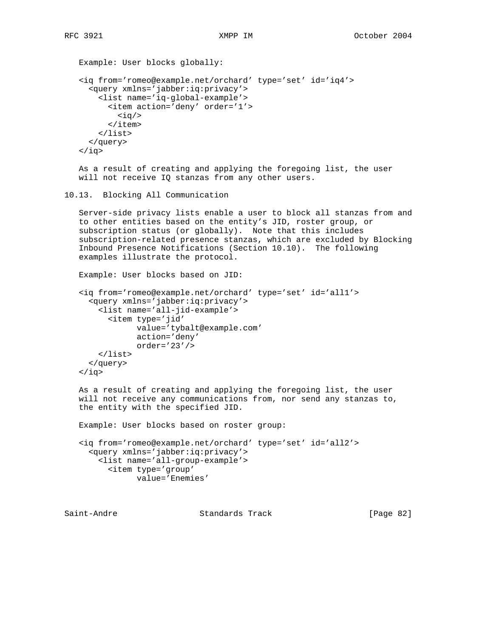```
 Example: User blocks globally:
 <iq from='romeo@example.net/orchard' type='set' id='iq4'>
   <query xmlns='jabber:iq:privacy'>
     <list name='iq-global-example'>
       <item action='deny' order='1'>
         \langle iq \rangle </item>
     </list>
   </query>
\langle iq \rangle As a result of creating and applying the foregoing list, the user
 will not receive IQ stanzas from any other users.
```

```
10.13. Blocking All Communication
```
 Server-side privacy lists enable a user to block all stanzas from and to other entities based on the entity's JID, roster group, or subscription status (or globally). Note that this includes subscription-related presence stanzas, which are excluded by Blocking Inbound Presence Notifications (Section 10.10). The following examples illustrate the protocol.

```
 Example: User blocks based on JID:
```

```
 <iq from='romeo@example.net/orchard' type='set' id='all1'>
   <query xmlns='jabber:iq:privacy'>
     <list name='all-jid-example'>
       <item type='jid'
             value='tybalt@example.com'
             action='deny'
             order='23'/>
     </list>
   </query>
\langleiq>
```
 As a result of creating and applying the foregoing list, the user will not receive any communications from, nor send any stanzas to, the entity with the specified JID.

Example: User blocks based on roster group:

 <iq from='romeo@example.net/orchard' type='set' id='all2'> <query xmlns='jabber:iq:privacy'> <list name='all-group-example'> <item type='group' value='Enemies'

Saint-Andre Standards Track [Page 82]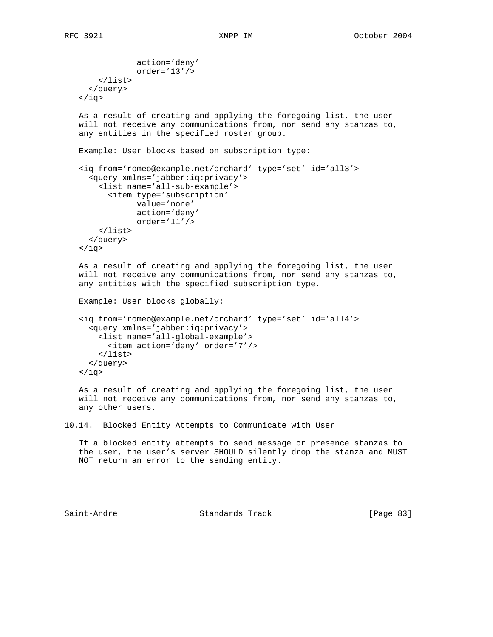```
 action='deny'
                order='13'/>
        </list>
      </query>
   \langleiq>
    As a result of creating and applying the foregoing list, the user
    will not receive any communications from, nor send any stanzas to,
    any entities in the specified roster group.
    Example: User blocks based on subscription type:
    <iq from='romeo@example.net/orchard' type='set' id='all3'>
      <query xmlns='jabber:iq:privacy'>
        <list name='all-sub-example'>
          <item type='subscription'
                value='none'
                action='deny'
                order='11'/>
        </list>
      </query>
   \langleiq>
    As a result of creating and applying the foregoing list, the user
    will not receive any communications from, nor send any stanzas to,
    any entities with the specified subscription type.
    Example: User blocks globally:
    <iq from='romeo@example.net/orchard' type='set' id='all4'>
      <query xmlns='jabber:iq:privacy'>
        <list name='all-global-example'>
          <item action='deny' order='7'/>
        </list>
      </query>
   \langleiq>
    As a result of creating and applying the foregoing list, the user
    will not receive any communications from, nor send any stanzas to,
    any other users.
10.14. Blocked Entity Attempts to Communicate with User
```
 If a blocked entity attempts to send message or presence stanzas to the user, the user's server SHOULD silently drop the stanza and MUST NOT return an error to the sending entity.

Saint-Andre Standards Track [Page 83]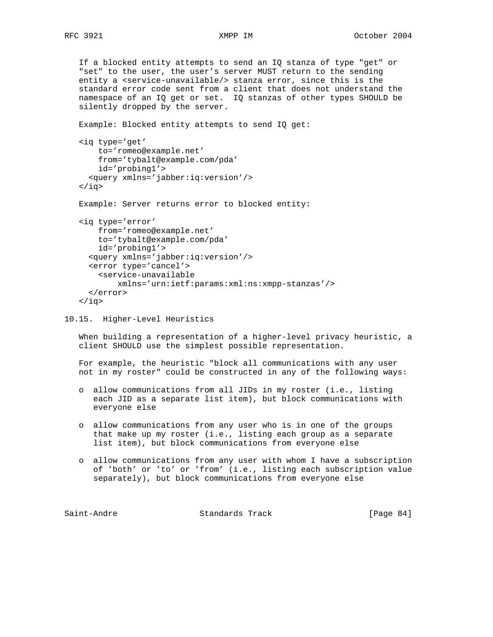If a blocked entity attempts to send an IQ stanza of type "get" or "set" to the user, the user's server MUST return to the sending entity a <service-unavailable/> stanza error, since this is the standard error code sent from a client that does not understand the namespace of an IQ get or set. IQ stanzas of other types SHOULD be silently dropped by the server.

 Example: Blocked entity attempts to send IQ get: <iq type='get' to='romeo@example.net' from='tybalt@example.com/pda' id='probing1'> <query xmlns='jabber:iq:version'/>  $\langle$ iq> Example: Server returns error to blocked entity: <iq type='error' from='romeo@example.net' to='tybalt@example.com/pda' id='probing1'> <query xmlns='jabber:iq:version'/> <error type='cancel'> <service-unavailable xmlns='urn:ietf:params:xml:ns:xmpp-stanzas'/>

```
\langleiq>
```
10.15. Higher-Level Heuristics

</error>

 When building a representation of a higher-level privacy heuristic, a client SHOULD use the simplest possible representation.

 For example, the heuristic "block all communications with any user not in my roster" could be constructed in any of the following ways:

- o allow communications from all JIDs in my roster (i.e., listing each JID as a separate list item), but block communications with everyone else
- o allow communications from any user who is in one of the groups that make up my roster (i.e., listing each group as a separate list item), but block communications from everyone else
- o allow communications from any user with whom I have a subscription of 'both' or 'to' or 'from' (i.e., listing each subscription value separately), but block communications from everyone else

Saint-Andre Standards Track [Page 84]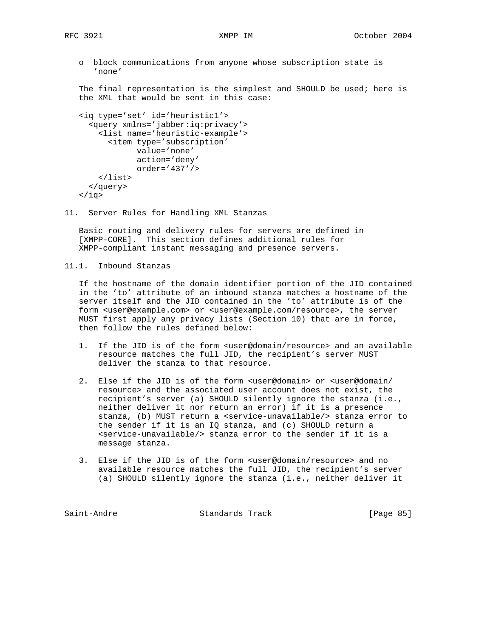o block communications from anyone whose subscription state is 'none'

 The final representation is the simplest and SHOULD be used; here is the XML that would be sent in this case:

```
 <iq type='set' id='heuristic1'>
   <query xmlns='jabber:iq:privacy'>
     <list name='heuristic-example'>
       <item type='subscription'
             value='none'
             action='deny'
             order='437'/>
     </list>
   </query>
\langleiq>
```
11. Server Rules for Handling XML Stanzas

 Basic routing and delivery rules for servers are defined in [XMPP-CORE]. This section defines additional rules for XMPP-compliant instant messaging and presence servers.

11.1. Inbound Stanzas

 If the hostname of the domain identifier portion of the JID contained in the 'to' attribute of an inbound stanza matches a hostname of the server itself and the JID contained in the 'to' attribute is of the form <user@example.com> or <user@example.com/resource>, the server MUST first apply any privacy lists (Section 10) that are in force, then follow the rules defined below:

- 1. If the JID is of the form <user@domain/resource> and an available resource matches the full JID, the recipient's server MUST deliver the stanza to that resource.
- 2. Else if the JID is of the form <user@domain> or <user@domain/ resource> and the associated user account does not exist, the recipient's server (a) SHOULD silently ignore the stanza (i.e., neither deliver it nor return an error) if it is a presence stanza, (b) MUST return a <service-unavailable/> stanza error to the sender if it is an IQ stanza, and (c) SHOULD return a <service-unavailable/> stanza error to the sender if it is a message stanza.
- 3. Else if the JID is of the form <user@domain/resource> and no available resource matches the full JID, the recipient's server (a) SHOULD silently ignore the stanza (i.e., neither deliver it

Saint-Andre Standards Track [Page 85]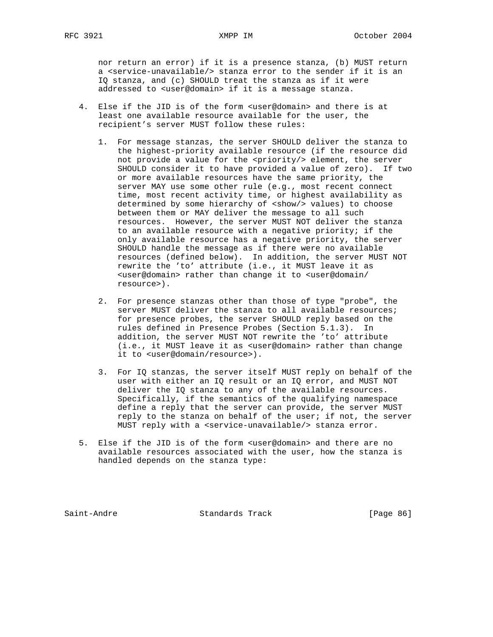nor return an error) if it is a presence stanza, (b) MUST return a <service-unavailable/> stanza error to the sender if it is an IQ stanza, and (c) SHOULD treat the stanza as if it were addressed to <user@domain> if it is a message stanza.

- 4. Else if the JID is of the form <user@domain> and there is at least one available resource available for the user, the recipient's server MUST follow these rules:
	- 1. For message stanzas, the server SHOULD deliver the stanza to the highest-priority available resource (if the resource did not provide a value for the <priority/> element, the server SHOULD consider it to have provided a value of zero). If two or more available resources have the same priority, the server MAY use some other rule (e.g., most recent connect time, most recent activity time, or highest availability as determined by some hierarchy of <show/> values) to choose between them or MAY deliver the message to all such resources. However, the server MUST NOT deliver the stanza to an available resource with a negative priority; if the only available resource has a negative priority, the server SHOULD handle the message as if there were no available resources (defined below). In addition, the server MUST NOT rewrite the 'to' attribute (i.e., it MUST leave it as <user@domain> rather than change it to <user@domain/ resource>).
	- 2. For presence stanzas other than those of type "probe", the server MUST deliver the stanza to all available resources; for presence probes, the server SHOULD reply based on the rules defined in Presence Probes (Section 5.1.3). In addition, the server MUST NOT rewrite the 'to' attribute (i.e., it MUST leave it as <user@domain> rather than change it to <user@domain/resource>).
	- 3. For IQ stanzas, the server itself MUST reply on behalf of the user with either an IQ result or an IQ error, and MUST NOT deliver the IQ stanza to any of the available resources. Specifically, if the semantics of the qualifying namespace define a reply that the server can provide, the server MUST reply to the stanza on behalf of the user; if not, the server MUST reply with a <service-unavailable/> stanza error.
- 5. Else if the JID is of the form <user@domain> and there are no available resources associated with the user, how the stanza is handled depends on the stanza type:

Saint-Andre Standards Track [Page 86]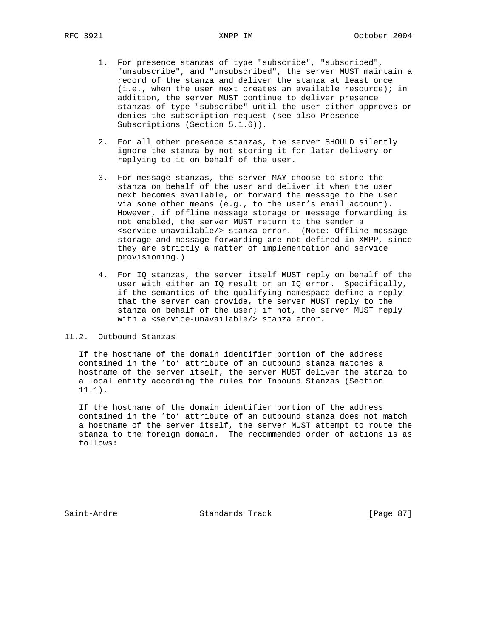- 1. For presence stanzas of type "subscribe", "subscribed", "unsubscribe", and "unsubscribed", the server MUST maintain a record of the stanza and deliver the stanza at least once (i.e., when the user next creates an available resource); in addition, the server MUST continue to deliver presence stanzas of type "subscribe" until the user either approves or denies the subscription request (see also Presence Subscriptions (Section 5.1.6)).
- 2. For all other presence stanzas, the server SHOULD silently ignore the stanza by not storing it for later delivery or replying to it on behalf of the user.
- 3. For message stanzas, the server MAY choose to store the stanza on behalf of the user and deliver it when the user next becomes available, or forward the message to the user via some other means (e.g., to the user's email account). However, if offline message storage or message forwarding is not enabled, the server MUST return to the sender a <service-unavailable/> stanza error. (Note: Offline message storage and message forwarding are not defined in XMPP, since they are strictly a matter of implementation and service provisioning.)
- 4. For IQ stanzas, the server itself MUST reply on behalf of the user with either an IQ result or an IQ error. Specifically, if the semantics of the qualifying namespace define a reply that the server can provide, the server MUST reply to the stanza on behalf of the user; if not, the server MUST reply with a <service-unavailable/> stanza error.

11.2. Outbound Stanzas

 If the hostname of the domain identifier portion of the address contained in the 'to' attribute of an outbound stanza matches a hostname of the server itself, the server MUST deliver the stanza to a local entity according the rules for Inbound Stanzas (Section 11.1).

 If the hostname of the domain identifier portion of the address contained in the 'to' attribute of an outbound stanza does not match a hostname of the server itself, the server MUST attempt to route the stanza to the foreign domain. The recommended order of actions is as follows:

Saint-Andre Standards Track [Page 87]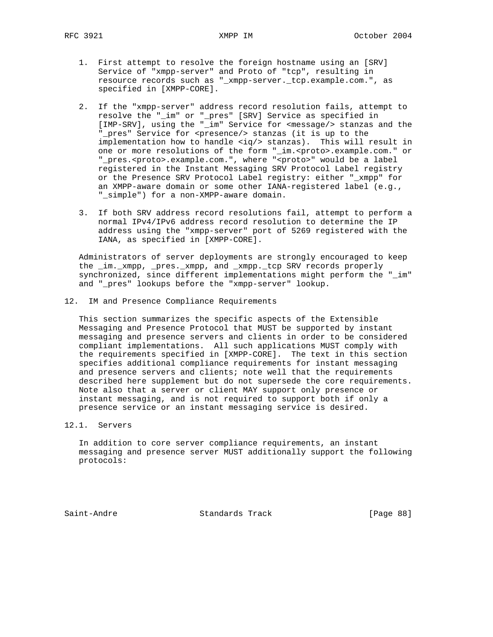- 1. First attempt to resolve the foreign hostname using an [SRV] Service of "xmpp-server" and Proto of "tcp", resulting in resource records such as "\_xmpp-server.\_tcp.example.com.", as specified in [XMPP-CORE].
	- 2. If the "xmpp-server" address record resolution fails, attempt to resolve the "\_im" or "\_pres" [SRV] Service as specified in [IMP-SRV], using the "\_im" Service for <message/> stanzas and the "\_pres" Service for <presence/> stanzas (it is up to the implementation how to handle  $\langle iq/$  stanzas). This will result in one or more resolutions of the form "\_im.<proto>.example.com." or "\_pres.<proto>.example.com.", where "<proto>" would be a label registered in the Instant Messaging SRV Protocol Label registry or the Presence SRV Protocol Label registry: either "\_xmpp" for an XMPP-aware domain or some other IANA-registered label (e.g., "\_simple") for a non-XMPP-aware domain.
	- 3. If both SRV address record resolutions fail, attempt to perform a normal IPv4/IPv6 address record resolution to determine the IP address using the "xmpp-server" port of 5269 registered with the IANA, as specified in [XMPP-CORE].

 Administrators of server deployments are strongly encouraged to keep the \_im.\_xmpp, \_pres.\_xmpp, and \_xmpp.\_tcp SRV records properly synchronized, since different implementations might perform the "\_im" and "\_pres" lookups before the "xmpp-server" lookup.

12. IM and Presence Compliance Requirements

 This section summarizes the specific aspects of the Extensible Messaging and Presence Protocol that MUST be supported by instant messaging and presence servers and clients in order to be considered compliant implementations. All such applications MUST comply with the requirements specified in [XMPP-CORE]. The text in this section specifies additional compliance requirements for instant messaging and presence servers and clients; note well that the requirements described here supplement but do not supersede the core requirements. Note also that a server or client MAY support only presence or instant messaging, and is not required to support both if only a presence service or an instant messaging service is desired.

12.1. Servers

 In addition to core server compliance requirements, an instant messaging and presence server MUST additionally support the following protocols:

Saint-Andre Standards Track [Page 88]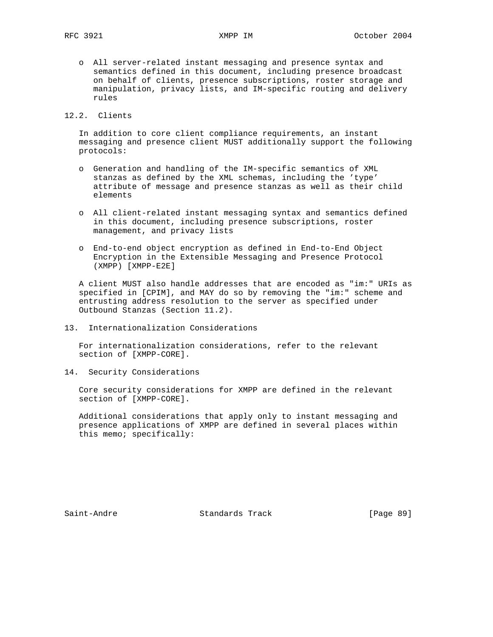o All server-related instant messaging and presence syntax and semantics defined in this document, including presence broadcast on behalf of clients, presence subscriptions, roster storage and manipulation, privacy lists, and IM-specific routing and delivery rules

12.2. Clients

 In addition to core client compliance requirements, an instant messaging and presence client MUST additionally support the following protocols:

- o Generation and handling of the IM-specific semantics of XML stanzas as defined by the XML schemas, including the 'type' attribute of message and presence stanzas as well as their child elements
- o All client-related instant messaging syntax and semantics defined in this document, including presence subscriptions, roster management, and privacy lists
- o End-to-end object encryption as defined in End-to-End Object Encryption in the Extensible Messaging and Presence Protocol (XMPP) [XMPP-E2E]

 A client MUST also handle addresses that are encoded as "im:" URIs as specified in [CPIM], and MAY do so by removing the "im:" scheme and entrusting address resolution to the server as specified under Outbound Stanzas (Section 11.2).

13. Internationalization Considerations

 For internationalization considerations, refer to the relevant section of [XMPP-CORE].

14. Security Considerations

 Core security considerations for XMPP are defined in the relevant section of [XMPP-CORE].

 Additional considerations that apply only to instant messaging and presence applications of XMPP are defined in several places within this memo; specifically:

Saint-Andre Standards Track [Page 89]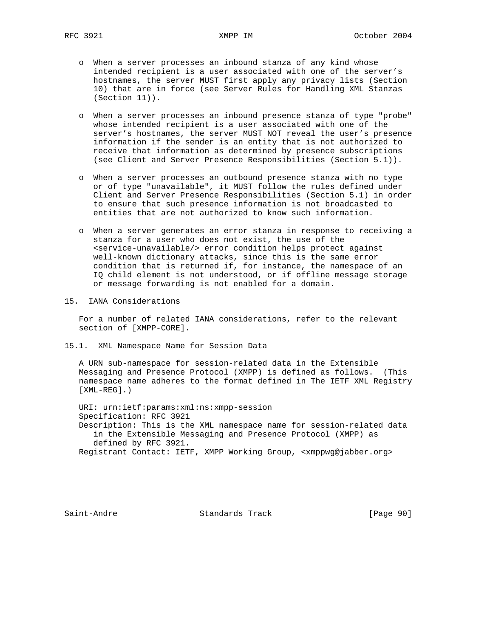- o When a server processes an inbound stanza of any kind whose intended recipient is a user associated with one of the server's hostnames, the server MUST first apply any privacy lists (Section 10) that are in force (see Server Rules for Handling XML Stanzas (Section 11)).
- o When a server processes an inbound presence stanza of type "probe" whose intended recipient is a user associated with one of the server's hostnames, the server MUST NOT reveal the user's presence information if the sender is an entity that is not authorized to receive that information as determined by presence subscriptions (see Client and Server Presence Responsibilities (Section 5.1)).
- o When a server processes an outbound presence stanza with no type or of type "unavailable", it MUST follow the rules defined under Client and Server Presence Responsibilities (Section 5.1) in order to ensure that such presence information is not broadcasted to entities that are not authorized to know such information.
- o When a server generates an error stanza in response to receiving a stanza for a user who does not exist, the use of the <service-unavailable/> error condition helps protect against well-known dictionary attacks, since this is the same error condition that is returned if, for instance, the namespace of an IQ child element is not understood, or if offline message storage or message forwarding is not enabled for a domain.
- 15. IANA Considerations

 For a number of related IANA considerations, refer to the relevant section of [XMPP-CORE].

15.1. XML Namespace Name for Session Data

 A URN sub-namespace for session-related data in the Extensible Messaging and Presence Protocol (XMPP) is defined as follows. (This namespace name adheres to the format defined in The IETF XML Registry [XML-REG].)

 URI: urn:ietf:params:xml:ns:xmpp-session Specification: RFC 3921 Description: This is the XML namespace name for session-related data in the Extensible Messaging and Presence Protocol (XMPP) as defined by RFC 3921. Registrant Contact: IETF, XMPP Working Group, <xmppwg@jabber.org>

Saint-Andre Standards Track [Page 90]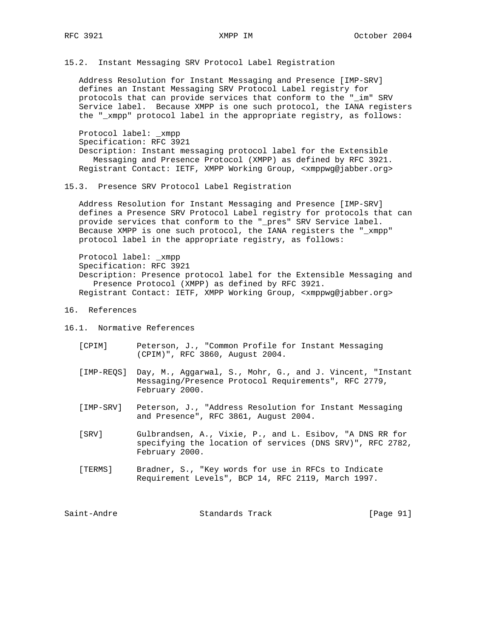15.2. Instant Messaging SRV Protocol Label Registration

 Address Resolution for Instant Messaging and Presence [IMP-SRV] defines an Instant Messaging SRV Protocol Label registry for protocols that can provide services that conform to the "\_im" SRV Service label. Because XMPP is one such protocol, the IANA registers the "\_xmpp" protocol label in the appropriate registry, as follows:

 Protocol label: \_xmpp Specification: RFC 3921 Description: Instant messaging protocol label for the Extensible Messaging and Presence Protocol (XMPP) as defined by RFC 3921. Registrant Contact: IETF, XMPP Working Group, <xmppwg@jabber.org>

15.3. Presence SRV Protocol Label Registration

 Address Resolution for Instant Messaging and Presence [IMP-SRV] defines a Presence SRV Protocol Label registry for protocols that can provide services that conform to the "\_pres" SRV Service label. Because XMPP is one such protocol, the IANA registers the "\_xmpp" protocol label in the appropriate registry, as follows:

 Protocol label: \_xmpp Specification: RFC 3921 Description: Presence protocol label for the Extensible Messaging and Presence Protocol (XMPP) as defined by RFC 3921. Registrant Contact: IETF, XMPP Working Group, <xmppwg@jabber.org>

16. References

16.1. Normative References

- [CPIM] Peterson, J., "Common Profile for Instant Messaging (CPIM)", RFC 3860, August 2004.
- [IMP-REQS] Day, M., Aggarwal, S., Mohr, G., and J. Vincent, "Instant Messaging/Presence Protocol Requirements", RFC 2779, February 2000.
- [IMP-SRV] Peterson, J., "Address Resolution for Instant Messaging and Presence", RFC 3861, August 2004.
- [SRV] Gulbrandsen, A., Vixie, P., and L. Esibov, "A DNS RR for specifying the location of services (DNS SRV)", RFC 2782, February 2000.
- [TERMS] Bradner, S., "Key words for use in RFCs to Indicate Requirement Levels", BCP 14, RFC 2119, March 1997.

Saint-Andre Standards Track [Page 91]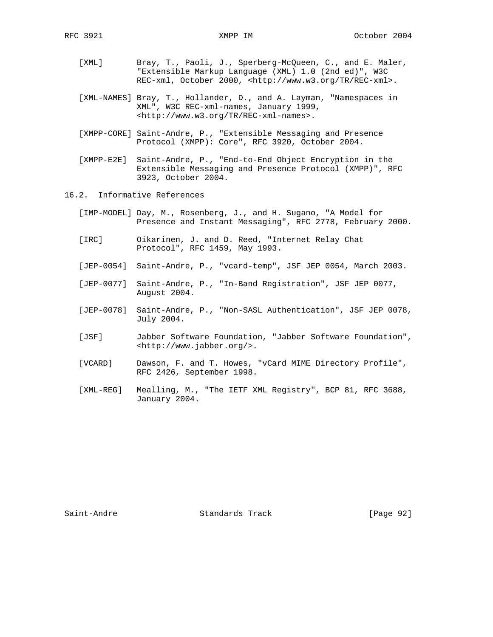- [XML] Bray, T., Paoli, J., Sperberg-McQueen, C., and E. Maler, "Extensible Markup Language (XML) 1.0 (2nd ed)", W3C REC-xml, October 2000, <http://www.w3.org/TR/REC-xml>.
- [XML-NAMES] Bray, T., Hollander, D., and A. Layman, "Namespaces in XML", W3C REC-xml-names, January 1999, <http://www.w3.org/TR/REC-xml-names>.
- [XMPP-CORE] Saint-Andre, P., "Extensible Messaging and Presence Protocol (XMPP): Core", RFC 3920, October 2004.
- [XMPP-E2E] Saint-Andre, P., "End-to-End Object Encryption in the Extensible Messaging and Presence Protocol (XMPP)", RFC 3923, October 2004.
- 16.2. Informative References
	- [IMP-MODEL] Day, M., Rosenberg, J., and H. Sugano, "A Model for Presence and Instant Messaging", RFC 2778, February 2000.
	- [IRC] Oikarinen, J. and D. Reed, "Internet Relay Chat Protocol", RFC 1459, May 1993.
	- [JEP-0054] Saint-Andre, P., "vcard-temp", JSF JEP 0054, March 2003.
	- [JEP-0077] Saint-Andre, P., "In-Band Registration", JSF JEP 0077, August 2004.
	- [JEP-0078] Saint-Andre, P., "Non-SASL Authentication", JSF JEP 0078, July 2004.
	- [JSF] Jabber Software Foundation, "Jabber Software Foundation", <http://www.jabber.org/>.
	- [VCARD] Dawson, F. and T. Howes, "vCard MIME Directory Profile", RFC 2426, September 1998.
	- [XML-REG] Mealling, M., "The IETF XML Registry", BCP 81, RFC 3688, January 2004.

Saint-Andre Standards Track [Page 92]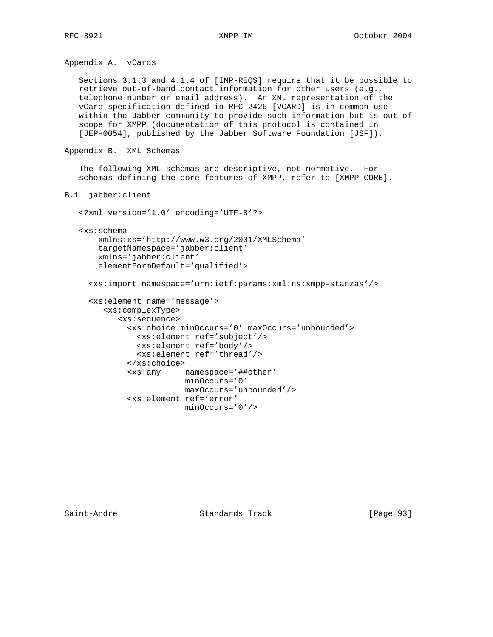Appendix A. vCards

 Sections 3.1.3 and 4.1.4 of [IMP-REQS] require that it be possible to retrieve out-of-band contact information for other users (e.g., telephone number or email address). An XML representation of the vCard specification defined in RFC 2426 [VCARD] is in common use within the Jabber community to provide such information but is out of scope for XMPP (documentation of this protocol is contained in [JEP-0054], published by the Jabber Software Foundation [JSF]).

```
Appendix B. XML Schemas
```
 The following XML schemas are descriptive, not normative. For schemas defining the core features of XMPP, refer to [XMPP-CORE].

```
B.1 jabber:client
```
 <?xml version='1.0' encoding='UTF-8'?> <xs:schema xmlns:xs='http://www.w3.org/2001/XMLSchema' targetNamespace='jabber:client' xmlns='jabber:client' elementFormDefault='qualified'> <xs:import namespace='urn:ietf:params:xml:ns:xmpp-stanzas'/> <xs:element name='message'> <xs:complexType> <xs:sequence> <xs:choice minOccurs='0' maxOccurs='unbounded'> <xs:element ref='subject'/> <xs:element ref='body'/> <xs:element ref='thread'/> </xs:choice>

> <xs:any namespace='##other' minOccurs='0'

<xs:element ref='error'

Saint-Andre Standards Track [Page 93]

maxOccurs='unbounded'/>

minOccurs='0'/>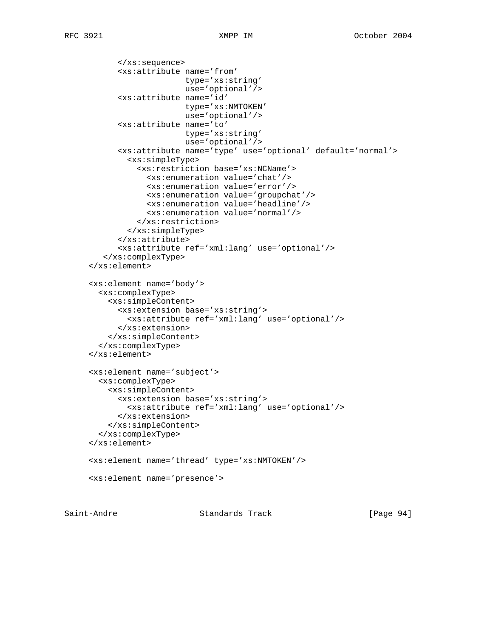```
 </xs:sequence>
       <xs:attribute name='from'
                      type='xs:string'
                      use='optional'/>
       <xs:attribute name='id'
                      type='xs:NMTOKEN'
                      use='optional'/>
       <xs:attribute name='to'
                     type='xs:string'
                      use='optional'/>
       <xs:attribute name='type' use='optional' default='normal'>
         <xs:simpleType>
           <xs:restriction base='xs:NCName'>
             <xs:enumeration value='chat'/>
             <xs:enumeration value='error'/>
             <xs:enumeration value='groupchat'/>
             <xs:enumeration value='headline'/>
             <xs:enumeration value='normal'/>
           </xs:restriction>
         </xs:simpleType>
       </xs:attribute>
       <xs:attribute ref='xml:lang' use='optional'/>
    </xs:complexType>
 </xs:element>
 <xs:element name='body'>
   <xs:complexType>
     <xs:simpleContent>
       <xs:extension base='xs:string'>
         <xs:attribute ref='xml:lang' use='optional'/>
       </xs:extension>
     </xs:simpleContent>
   </xs:complexType>
 </xs:element>
 <xs:element name='subject'>
   <xs:complexType>
     <xs:simpleContent>
       <xs:extension base='xs:string'>
         <xs:attribute ref='xml:lang' use='optional'/>
       </xs:extension>
     </xs:simpleContent>
   </xs:complexType>
 </xs:element>
 <xs:element name='thread' type='xs:NMTOKEN'/>
 <xs:element name='presence'>
```
Saint-Andre Standards Track [Page 94]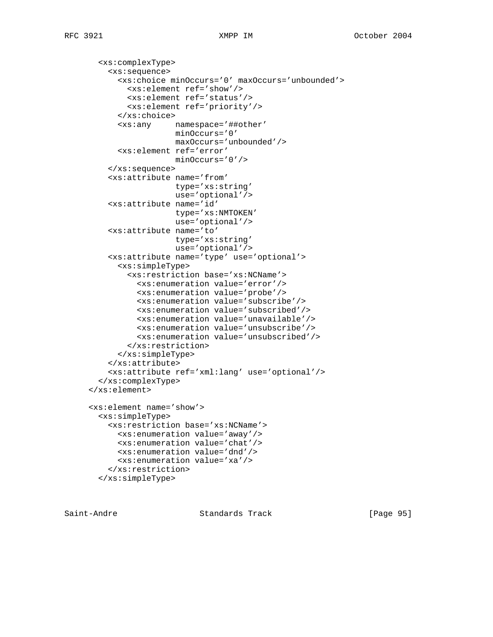<xs:complexType> <xs:sequence> <xs:choice minOccurs='0' maxOccurs='unbounded'> <xs:element ref='show'/> <xs:element ref='status'/> <xs:element ref='priority'/> </xs:choice> <xs:any namespace='##other' minOccurs='0' maxOccurs='unbounded'/> <xs:element ref='error' minOccurs='0'/> </xs:sequence> <xs:attribute name='from' type='xs:string' use='optional'/> <xs:attribute name='id' type='xs:NMTOKEN' use='optional'/> <xs:attribute name='to' type='xs:string' use='optional'/> <xs:attribute name='type' use='optional'> <xs:simpleType> <xs:restriction base='xs:NCName'> <xs:enumeration value='error'/> <xs:enumeration value='probe'/> <xs:enumeration value='subscribe'/> <xs:enumeration value='subscribed'/> <xs:enumeration value='unavailable'/> <xs:enumeration value='unsubscribe'/> <xs:enumeration value='unsubscribed'/> </xs:restriction> </xs:simpleType> </xs:attribute> <xs:attribute ref='xml:lang' use='optional'/> </xs:complexType> </xs:element> <xs:element name='show'> <xs:simpleType> <xs:restriction base='xs:NCName'> <xs:enumeration value='away'/> <xs:enumeration value='chat'/> <xs:enumeration value='dnd'/> <xs:enumeration value='xa'/> </xs:restriction> </xs:simpleType>

Saint-Andre Standards Track [Page 95]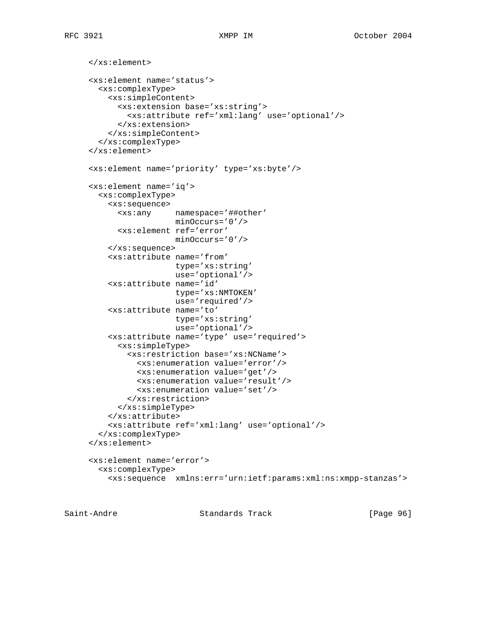```
 </xs:element>
 <xs:element name='status'>
   <xs:complexType>
     <xs:simpleContent>
       <xs:extension base='xs:string'>
         <xs:attribute ref='xml:lang' use='optional'/>
       </xs:extension>
     </xs:simpleContent>
   </xs:complexType>
 </xs:element>
 <xs:element name='priority' type='xs:byte'/>
 <xs:element name='iq'>
   <xs:complexType>
     <xs:sequence>
       <xs:any namespace='##other'
                   minOccurs='0'/>
       <xs:element ref='error'
                   minOccurs='0'/>
     </xs:sequence>
     <xs:attribute name='from'
                   type='xs:string'
                   use='optional'/>
     <xs:attribute name='id'
                   type='xs:NMTOKEN'
                   use='required'/>
     <xs:attribute name='to'
                   type='xs:string'
                   use='optional'/>
     <xs:attribute name='type' use='required'>
       <xs:simpleType>
         <xs:restriction base='xs:NCName'>
           <xs:enumeration value='error'/>
           <xs:enumeration value='get'/>
           <xs:enumeration value='result'/>
           <xs:enumeration value='set'/>
         </xs:restriction>
       </xs:simpleType>
     </xs:attribute>
     <xs:attribute ref='xml:lang' use='optional'/>
   </xs:complexType>
 </xs:element>
 <xs:element name='error'>
   <xs:complexType>
     <xs:sequence xmlns:err='urn:ietf:params:xml:ns:xmpp-stanzas'>
```
Saint-Andre Standards Track [Page 96]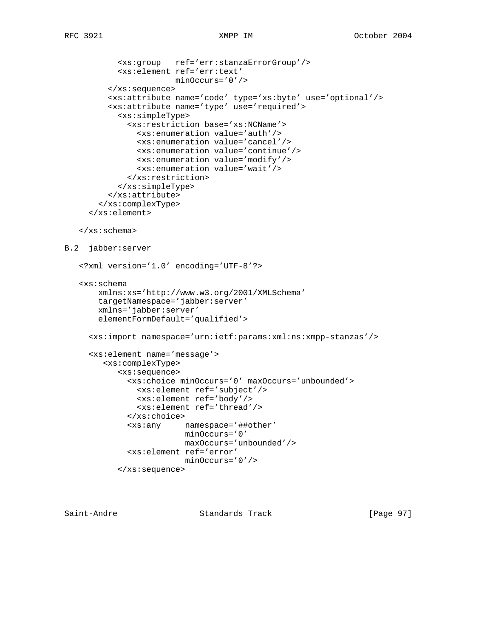```
 <xs:group ref='err:stanzaErrorGroup'/>
            <xs:element ref='err:text'
                        minOccurs='0'/>
          </xs:sequence>
          <xs:attribute name='code' type='xs:byte' use='optional'/>
          <xs:attribute name='type' use='required'>
            <xs:simpleType>
              <xs:restriction base='xs:NCName'>
                <xs:enumeration value='auth'/>
                <xs:enumeration value='cancel'/>
                <xs:enumeration value='continue'/>
                <xs:enumeration value='modify'/>
                <xs:enumeration value='wait'/>
              </xs:restriction>
            </xs:simpleType>
          </xs:attribute>
        </xs:complexType>
      </xs:element>
    </xs:schema>
B.2 jabber:server
    <?xml version='1.0' encoding='UTF-8'?>
    <xs:schema
        xmlns:xs='http://www.w3.org/2001/XMLSchema'
        targetNamespace='jabber:server'
        xmlns='jabber:server'
        elementFormDefault='qualified'>
      <xs:import namespace='urn:ietf:params:xml:ns:xmpp-stanzas'/>
      <xs:element name='message'>
         <xs:complexType>
            <xs:sequence>
              <xs:choice minOccurs='0' maxOccurs='unbounded'>
                <xs:element ref='subject'/>
                <xs:element ref='body'/>
                <xs:element ref='thread'/>
              </xs:choice>
              <xs:any namespace='##other'
                          minOccurs='0'
                          maxOccurs='unbounded'/>
              <xs:element ref='error'
                          minOccurs='0'/>
            </xs:sequence>
```
Saint-Andre Standards Track [Page 97]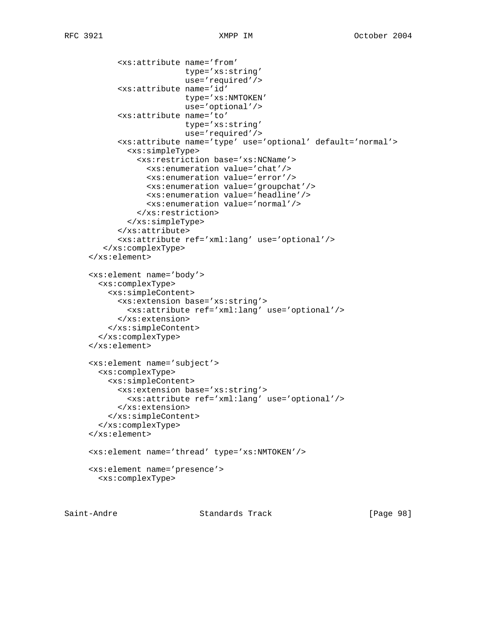```
 <xs:attribute name='from'
                      type='xs:string'
                      use='required'/>
       <xs:attribute name='id'
                      type='xs:NMTOKEN'
                      use='optional'/>
       <xs:attribute name='to'
                      type='xs:string'
                      use='required'/>
       <xs:attribute name='type' use='optional' default='normal'>
         <xs:simpleType>
           <xs:restriction base='xs:NCName'>
             <xs:enumeration value='chat'/>
             <xs:enumeration value='error'/>
             <xs:enumeration value='groupchat'/>
             <xs:enumeration value='headline'/>
             <xs:enumeration value='normal'/>
           </xs:restriction>
         </xs:simpleType>
       </xs:attribute>
       <xs:attribute ref='xml:lang' use='optional'/>
    </xs:complexType>
 </xs:element>
 <xs:element name='body'>
   <xs:complexType>
     <xs:simpleContent>
       <xs:extension base='xs:string'>
         <xs:attribute ref='xml:lang' use='optional'/>
       </xs:extension>
     </xs:simpleContent>
   </xs:complexType>
 </xs:element>
 <xs:element name='subject'>
   <xs:complexType>
     <xs:simpleContent>
       <xs:extension base='xs:string'>
         <xs:attribute ref='xml:lang' use='optional'/>
       </xs:extension>
     </xs:simpleContent>
   </xs:complexType>
 </xs:element>
 <xs:element name='thread' type='xs:NMTOKEN'/>
 <xs:element name='presence'>
   <xs:complexType>
```
Saint-Andre Standards Track [Page 98]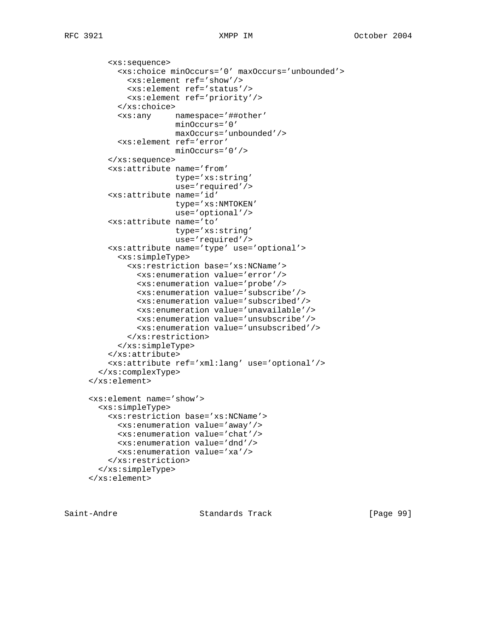```
 <xs:sequence>
       <xs:choice minOccurs='0' maxOccurs='unbounded'>
         <xs:element ref='show'/>
         <xs:element ref='status'/>
         <xs:element ref='priority'/>
       </xs:choice>
       <xs:any namespace='##other'
                   minOccurs='0'
                   maxOccurs='unbounded'/>
       <xs:element ref='error'
                   minOccurs='0'/>
     </xs:sequence>
     <xs:attribute name='from'
                   type='xs:string'
                   use='required'/>
     <xs:attribute name='id'
                   type='xs:NMTOKEN'
                   use='optional'/>
     <xs:attribute name='to'
                   type='xs:string'
                   use='required'/>
     <xs:attribute name='type' use='optional'>
       <xs:simpleType>
         <xs:restriction base='xs:NCName'>
           <xs:enumeration value='error'/>
           <xs:enumeration value='probe'/>
           <xs:enumeration value='subscribe'/>
           <xs:enumeration value='subscribed'/>
           <xs:enumeration value='unavailable'/>
           <xs:enumeration value='unsubscribe'/>
           <xs:enumeration value='unsubscribed'/>
         </xs:restriction>
       </xs:simpleType>
     </xs:attribute>
     <xs:attribute ref='xml:lang' use='optional'/>
   </xs:complexType>
 </xs:element>
 <xs:element name='show'>
   <xs:simpleType>
     <xs:restriction base='xs:NCName'>
       <xs:enumeration value='away'/>
       <xs:enumeration value='chat'/>
       <xs:enumeration value='dnd'/>
       <xs:enumeration value='xa'/>
     </xs:restriction>
   </xs:simpleType>
 </xs:element>
```
Saint-Andre Standards Track [Page 99]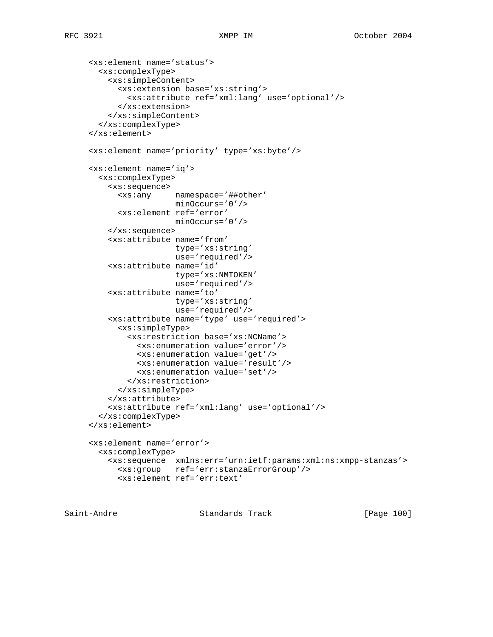```
 <xs:element name='status'>
  <xs:complexType>
     <xs:simpleContent>
       <xs:extension base='xs:string'>
         <xs:attribute ref='xml:lang' use='optional'/>
       </xs:extension>
     </xs:simpleContent>
   </xs:complexType>
 </xs:element>
 <xs:element name='priority' type='xs:byte'/>
 <xs:element name='iq'>
   <xs:complexType>
     <xs:sequence>
       <xs:any namespace='##other'
                   minOccurs='0'/>
       <xs:element ref='error'
                   minOccurs='0'/>
     </xs:sequence>
     <xs:attribute name='from'
                   type='xs:string'
                   use='required'/>
     <xs:attribute name='id'
                   type='xs:NMTOKEN'
                   use='required'/>
     <xs:attribute name='to'
                   type='xs:string'
                   use='required'/>
     <xs:attribute name='type' use='required'>
       <xs:simpleType>
         <xs:restriction base='xs:NCName'>
           <xs:enumeration value='error'/>
           <xs:enumeration value='get'/>
           <xs:enumeration value='result'/>
           <xs:enumeration value='set'/>
         </xs:restriction>
       </xs:simpleType>
     </xs:attribute>
     <xs:attribute ref='xml:lang' use='optional'/>
   </xs:complexType>
 </xs:element>
 <xs:element name='error'>
   <xs:complexType>
     <xs:sequence xmlns:err='urn:ietf:params:xml:ns:xmpp-stanzas'>
       <xs:group ref='err:stanzaErrorGroup'/>
       <xs:element ref='err:text'
```
Saint-Andre Standards Track [Page 100]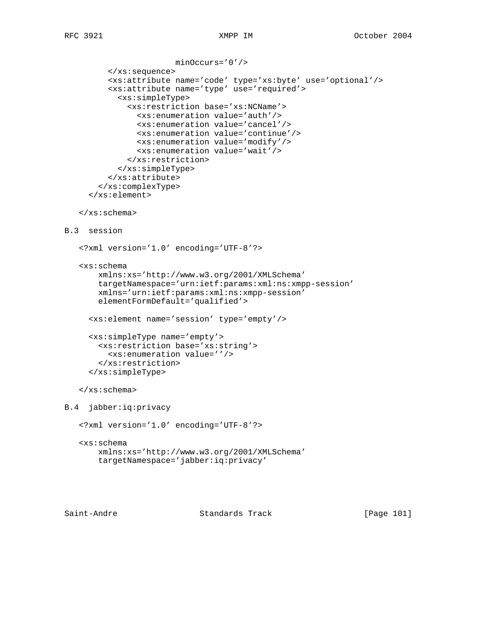```
 minOccurs='0'/>
          </xs:sequence>
          <xs:attribute name='code' type='xs:byte' use='optional'/>
          <xs:attribute name='type' use='required'>
            <xs:simpleType>
              <xs:restriction base='xs:NCName'>
                <xs:enumeration value='auth'/>
                <xs:enumeration value='cancel'/>
                <xs:enumeration value='continue'/>
                <xs:enumeration value='modify'/>
                <xs:enumeration value='wait'/>
              </xs:restriction>
            </xs:simpleType>
          </xs:attribute>
        </xs:complexType>
      </xs:element>
    </xs:schema>
B.3 session
    <?xml version='1.0' encoding='UTF-8'?>
    <xs:schema
        xmlns:xs='http://www.w3.org/2001/XMLSchema'
        targetNamespace='urn:ietf:params:xml:ns:xmpp-session'
        xmlns='urn:ietf:params:xml:ns:xmpp-session'
        elementFormDefault='qualified'>
      <xs:element name='session' type='empty'/>
      <xs:simpleType name='empty'>
        <xs:restriction base='xs:string'>
          <xs:enumeration value=''/>
        </xs:restriction>
      </xs:simpleType>
    </xs:schema>
B.4 jabber:iq:privacy
    <?xml version='1.0' encoding='UTF-8'?>
    <xs:schema
        xmlns:xs='http://www.w3.org/2001/XMLSchema'
        targetNamespace='jabber:iq:privacy'
```
Saint-Andre Standards Track [Page 101]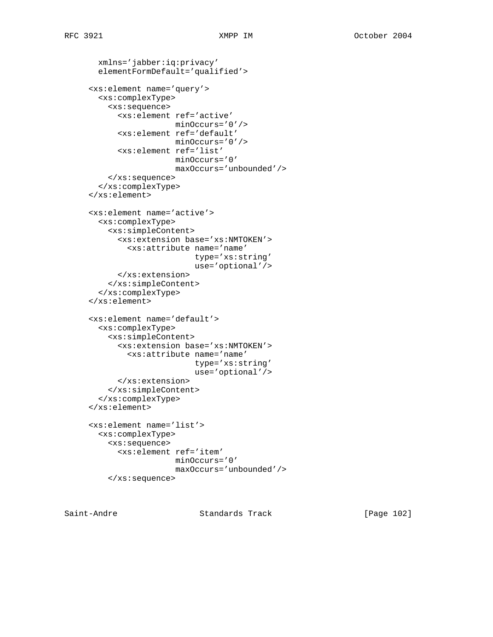```
 xmlns='jabber:iq:privacy'
   elementFormDefault='qualified'>
 <xs:element name='query'>
   <xs:complexType>
     <xs:sequence>
       <xs:element ref='active'
                   minOccurs='0'/>
       <xs:element ref='default'
                   minOccurs='0'/>
       <xs:element ref='list'
                   minOccurs='0'
                   maxOccurs='unbounded'/>
     </xs:sequence>
   </xs:complexType>
 </xs:element>
 <xs:element name='active'>
   <xs:complexType>
     <xs:simpleContent>
       <xs:extension base='xs:NMTOKEN'>
         <xs:attribute name='name'
                        type='xs:string'
                        use='optional'/>
       </xs:extension>
     </xs:simpleContent>
   </xs:complexType>
 </xs:element>
 <xs:element name='default'>
  <xs:complexType>
     <xs:simpleContent>
       <xs:extension base='xs:NMTOKEN'>
         <xs:attribute name='name'
                       type='xs:string'
                       use='optional'/>
       </xs:extension>
     </xs:simpleContent>
   </xs:complexType>
 </xs:element>
 <xs:element name='list'>
  <xs:complexType>
     <xs:sequence>
       <xs:element ref='item'
                   minOccurs='0'
                   maxOccurs='unbounded'/>
     </xs:sequence>
```
Saint-Andre Standards Track [Page 102]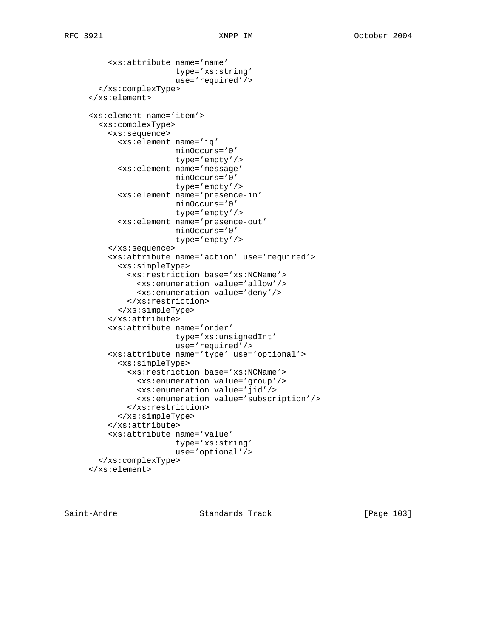```
 <xs:attribute name='name'
                   type='xs:string'
                    use='required'/>
   </xs:complexType>
 </xs:element>
 <xs:element name='item'>
   <xs:complexType>
     <xs:sequence>
       <xs:element name='iq'
                   minOccurs='0'
                   type='empty'/>
       <xs:element name='message'
                   minOccurs='0'
                   type='empty'/>
       <xs:element name='presence-in'
                   minOccurs='0'
                   type='empty'/>
       <xs:element name='presence-out'
                   minOccurs='0'
                   type='empty'/>
     </xs:sequence>
     <xs:attribute name='action' use='required'>
       <xs:simpleType>
         <xs:restriction base='xs:NCName'>
           <xs:enumeration value='allow'/>
           <xs:enumeration value='deny'/>
         </xs:restriction>
       </xs:simpleType>
     </xs:attribute>
     <xs:attribute name='order'
                   type='xs:unsignedInt'
                   use='required'/>
     <xs:attribute name='type' use='optional'>
       <xs:simpleType>
         <xs:restriction base='xs:NCName'>
           <xs:enumeration value='group'/>
           <xs:enumeration value='jid'/>
           <xs:enumeration value='subscription'/>
         </xs:restriction>
       </xs:simpleType>
     </xs:attribute>
     <xs:attribute name='value'
                   type='xs:string'
                   use='optional'/>
   </xs:complexType>
 </xs:element>
```
Saint-Andre Standards Track [Page 103]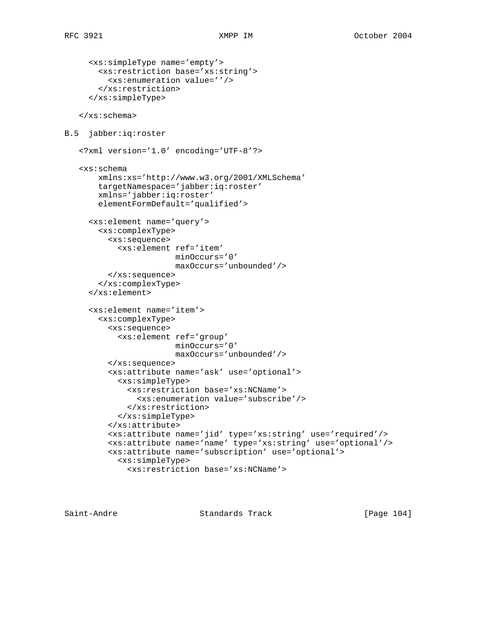```
 <xs:simpleType name='empty'>
        <xs:restriction base='xs:string'>
          <xs:enumeration value=''/>
        </xs:restriction>
      </xs:simpleType>
    </xs:schema>
B.5 jabber:iq:roster
    <?xml version='1.0' encoding='UTF-8'?>
    <xs:schema
        xmlns:xs='http://www.w3.org/2001/XMLSchema'
        targetNamespace='jabber:iq:roster'
        xmlns='jabber:iq:roster'
        elementFormDefault='qualified'>
      <xs:element name='query'>
        <xs:complexType>
          <xs:sequence>
            <xs:element ref='item'
                        minOccurs='0'
                        maxOccurs='unbounded'/>
          </xs:sequence>
        </xs:complexType>
      </xs:element>
      <xs:element name='item'>
        <xs:complexType>
          <xs:sequence>
            <xs:element ref='group'
                        minOccurs='0'
                        maxOccurs='unbounded'/>
          </xs:sequence>
          <xs:attribute name='ask' use='optional'>
            <xs:simpleType>
              <xs:restriction base='xs:NCName'>
                <xs:enumeration value='subscribe'/>
              </xs:restriction>
            </xs:simpleType>
          </xs:attribute>
          <xs:attribute name='jid' type='xs:string' use='required'/>
          <xs:attribute name='name' type='xs:string' use='optional'/>
          <xs:attribute name='subscription' use='optional'>
            <xs:simpleType>
              <xs:restriction base='xs:NCName'>
```
Saint-Andre Standards Track [Page 104]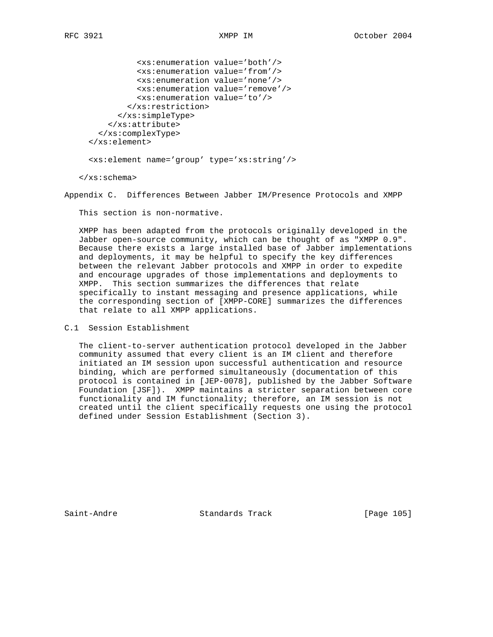|                                          | <xs:enumeration value="both"></xs:enumeration> |                                                  |
|------------------------------------------|------------------------------------------------|--------------------------------------------------|
|                                          | <xs: enumeration="" value="from"></xs:>        |                                                  |
|                                          | <xs:enumeration value="none"></xs:enumeration> |                                                  |
|                                          |                                                | <xs:enumeration value="remove"></xs:enumeration> |
|                                          | <xs:enumeration value="to"></xs:enumeration>   |                                                  |
|                                          |                                                |                                                  |
|                                          |                                                |                                                  |
| $\langle x s : \text{attribute} \rangle$ |                                                |                                                  |
|                                          | $\langle x s : \text{complexType} \rangle$     |                                                  |
| $\langle xs : \text{element} \rangle$    |                                                |                                                  |
|                                          |                                                |                                                  |

<xs:element name='group' type='xs:string'/>

</xs:schema>

Appendix C. Differences Between Jabber IM/Presence Protocols and XMPP

This section is non-normative.

 XMPP has been adapted from the protocols originally developed in the Jabber open-source community, which can be thought of as "XMPP 0.9". Because there exists a large installed base of Jabber implementations and deployments, it may be helpful to specify the key differences between the relevant Jabber protocols and XMPP in order to expedite and encourage upgrades of those implementations and deployments to XMPP. This section summarizes the differences that relate specifically to instant messaging and presence applications, while the corresponding section of [XMPP-CORE] summarizes the differences that relate to all XMPP applications.

C.1 Session Establishment

 The client-to-server authentication protocol developed in the Jabber community assumed that every client is an IM client and therefore initiated an IM session upon successful authentication and resource binding, which are performed simultaneously (documentation of this protocol is contained in [JEP-0078], published by the Jabber Software Foundation [JSF]). XMPP maintains a stricter separation between core functionality and IM functionality; therefore, an IM session is not created until the client specifically requests one using the protocol defined under Session Establishment (Section 3).

Saint-Andre Standards Track [Page 105]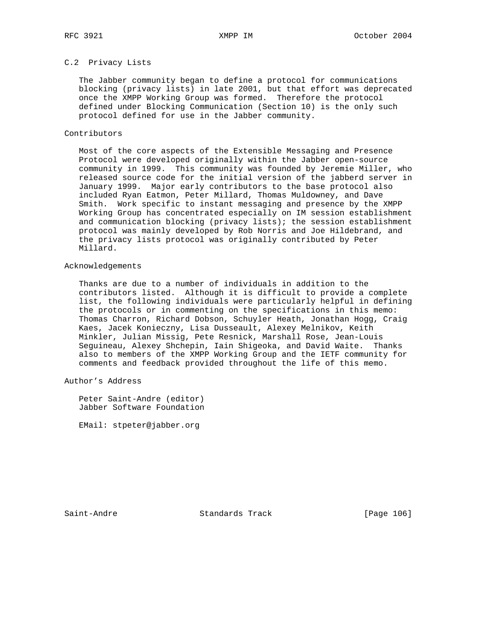# C.2 Privacy Lists

 The Jabber community began to define a protocol for communications blocking (privacy lists) in late 2001, but that effort was deprecated once the XMPP Working Group was formed. Therefore the protocol defined under Blocking Communication (Section 10) is the only such protocol defined for use in the Jabber community.

## Contributors

 Most of the core aspects of the Extensible Messaging and Presence Protocol were developed originally within the Jabber open-source community in 1999. This community was founded by Jeremie Miller, who released source code for the initial version of the jabberd server in January 1999. Major early contributors to the base protocol also included Ryan Eatmon, Peter Millard, Thomas Muldowney, and Dave Smith. Work specific to instant messaging and presence by the XMPP Working Group has concentrated especially on IM session establishment and communication blocking (privacy lists); the session establishment protocol was mainly developed by Rob Norris and Joe Hildebrand, and the privacy lists protocol was originally contributed by Peter Millard.

## Acknowledgements

 Thanks are due to a number of individuals in addition to the contributors listed. Although it is difficult to provide a complete list, the following individuals were particularly helpful in defining the protocols or in commenting on the specifications in this memo: Thomas Charron, Richard Dobson, Schuyler Heath, Jonathan Hogg, Craig Kaes, Jacek Konieczny, Lisa Dusseault, Alexey Melnikov, Keith Minkler, Julian Missig, Pete Resnick, Marshall Rose, Jean-Louis Seguineau, Alexey Shchepin, Iain Shigeoka, and David Waite. Thanks also to members of the XMPP Working Group and the IETF community for comments and feedback provided throughout the life of this memo.

Author's Address

 Peter Saint-Andre (editor) Jabber Software Foundation

EMail: stpeter@jabber.org

Saint-Andre Standards Track [Page 106]